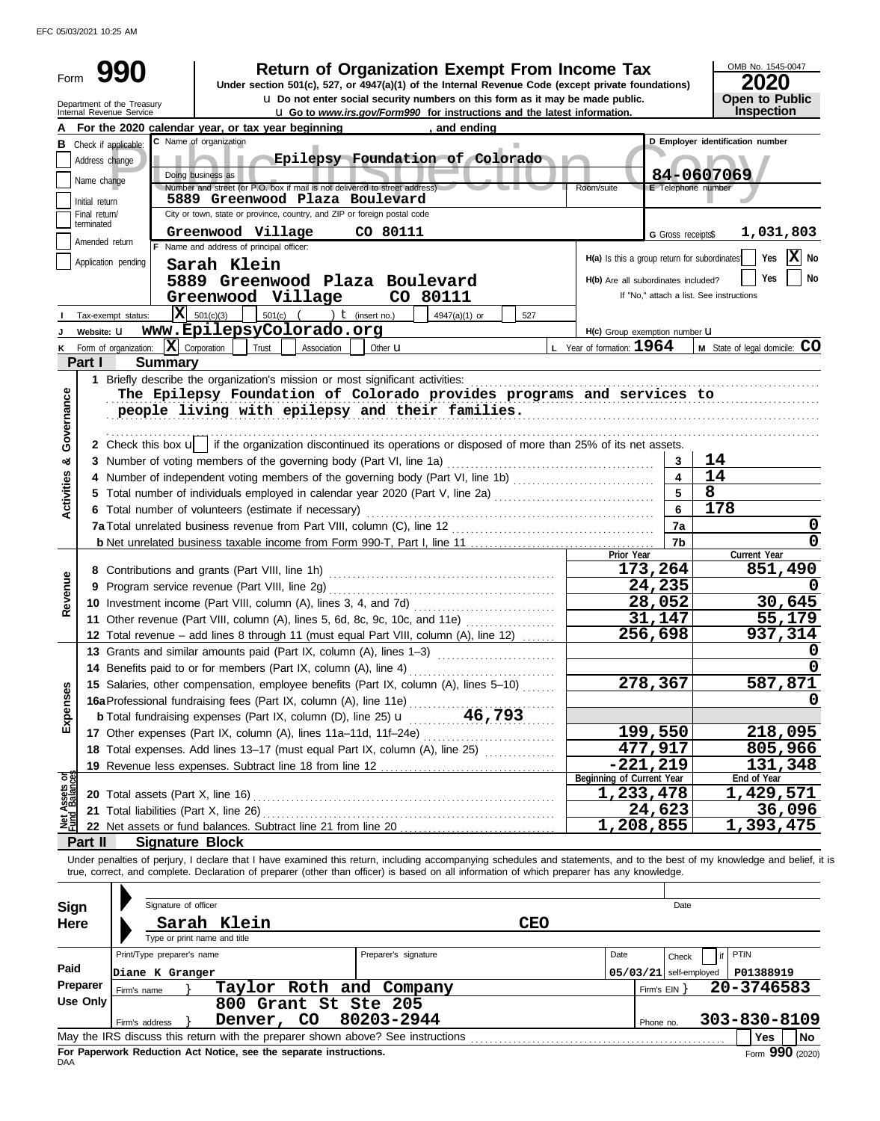EFC 05/03/2021 10:25 AM

| Form                           |                 | <b>Return of Organization Exempt From Income Tax</b><br>Under section 501(c), 527, or 4947(a)(1) of the Internal Revenue Code (except private foundations)<br><b>u</b> Do not enter social security numbers on this form as it may be made public.<br>Department of the Treasury<br>Internal Revenue Service<br><b>u</b> Go to www.irs.gov/Form990 for instructions and the latest information. |                                              |                          | OMB No. 1545-0047<br>2020<br><b>Open to Public</b><br>Inspection |
|--------------------------------|-----------------|-------------------------------------------------------------------------------------------------------------------------------------------------------------------------------------------------------------------------------------------------------------------------------------------------------------------------------------------------------------------------------------------------|----------------------------------------------|--------------------------|------------------------------------------------------------------|
|                                |                 | , and ending<br>For the 2020 calendar year, or tax year beginning                                                                                                                                                                                                                                                                                                                               |                                              |                          |                                                                  |
|                                |                 | C Name of organization                                                                                                                                                                                                                                                                                                                                                                          |                                              |                          | D Employer identification number                                 |
| В                              |                 | Check if applicable:                                                                                                                                                                                                                                                                                                                                                                            |                                              |                          |                                                                  |
|                                | Address change  | Epilepsy Foundation of Colorado                                                                                                                                                                                                                                                                                                                                                                 |                                              |                          |                                                                  |
|                                | Name change     | Doing business as<br>Number and street (or P.O. box if mail is not delivered to street address)                                                                                                                                                                                                                                                                                                 | Room/suite                                   | E Telephone number       | 84-0607069                                                       |
|                                | Initial return  | 5889 Greenwood Plaza Boulevard                                                                                                                                                                                                                                                                                                                                                                  |                                              |                          |                                                                  |
|                                | Final return/   | City or town, state or province, country, and ZIP or foreign postal code                                                                                                                                                                                                                                                                                                                        |                                              |                          |                                                                  |
|                                | terminated      | Greenwood Village<br>CO 80111                                                                                                                                                                                                                                                                                                                                                                   |                                              | G Gross receipts\$       | 1,031,803                                                        |
|                                | Amended return  | F Name and address of principal officer:                                                                                                                                                                                                                                                                                                                                                        |                                              |                          |                                                                  |
|                                |                 | Application pending<br>Sarah Klein                                                                                                                                                                                                                                                                                                                                                              | H(a) Is this a group return for subordinates |                          | $ \mathbf{X} $ No<br>Yes                                         |
|                                |                 | 5889 Greenwood Plaza Boulevard                                                                                                                                                                                                                                                                                                                                                                  | H(b) Are all subordinates included?          |                          | <b>Yes</b><br>No                                                 |
|                                |                 | Greenwood Village<br>CO 80111                                                                                                                                                                                                                                                                                                                                                                   |                                              |                          | If "No," attach a list. See instructions                         |
|                                |                 | $ \mathbf{X} $ 501(c)(3)<br>501(c) $($ $)$ $($ $)$ $($ insert no.)<br>4947(a)(1) or                                                                                                                                                                                                                                                                                                             |                                              |                          |                                                                  |
|                                |                 | Tax-exempt status:<br>527<br>www.EpilepsyColorado.org                                                                                                                                                                                                                                                                                                                                           |                                              |                          |                                                                  |
|                                | Website: U      |                                                                                                                                                                                                                                                                                                                                                                                                 | H(c) Group exemption number LI               |                          |                                                                  |
| Κ                              |                 | Form of organization: $\overline{\mathbf{X}}$ Corporation<br>Trust<br>Association<br>Other $\mathbf u$                                                                                                                                                                                                                                                                                          | L Year of formation: $1964$                  |                          | M State of legal domicile: CO                                    |
|                                | Part I          | <b>Summary</b>                                                                                                                                                                                                                                                                                                                                                                                  |                                              |                          |                                                                  |
| Governance                     |                 | 1 Briefly describe the organization's mission or most significant activities:<br>The Epilepsy Foundation of Colorado provides programs and services to<br>people living with epilepsy and their families.                                                                                                                                                                                       |                                              |                          |                                                                  |
|                                |                 | 2 Check this box u   if the organization discontinued its operations or disposed of more than 25% of its net assets.                                                                                                                                                                                                                                                                            |                                              |                          |                                                                  |
| න්                             |                 | 3 Number of voting members of the governing body (Part VI, line 1a)                                                                                                                                                                                                                                                                                                                             |                                              | 3                        | 14<br>14                                                         |
|                                |                 | 4 Number of independent voting members of the governing body (Part VI, line 1b) [[[[[[[[[[[[[[[[[[[[[[[[[[[[[[                                                                                                                                                                                                                                                                                  |                                              | $\overline{\mathbf{4}}$  |                                                                  |
| <b>Activities</b>              |                 | 5 Total number of individuals employed in calendar year 2020 (Part V, line 2a) [[[[[[[[[[[[[[[[[[[[[[[[[[[[[[                                                                                                                                                                                                                                                                                   |                                              | 5                        | 8                                                                |
|                                |                 | 6 Total number of volunteers (estimate if necessary)                                                                                                                                                                                                                                                                                                                                            |                                              | 6                        | 178                                                              |
|                                |                 |                                                                                                                                                                                                                                                                                                                                                                                                 |                                              | 7a                       | 0                                                                |
|                                |                 |                                                                                                                                                                                                                                                                                                                                                                                                 |                                              | 7b                       | 0                                                                |
|                                |                 |                                                                                                                                                                                                                                                                                                                                                                                                 | Prior Year                                   |                          | Current Year                                                     |
|                                |                 |                                                                                                                                                                                                                                                                                                                                                                                                 |                                              | 173,264                  | 851,490                                                          |
|                                |                 |                                                                                                                                                                                                                                                                                                                                                                                                 |                                              | 24,235                   | O                                                                |
| Revenue                        |                 |                                                                                                                                                                                                                                                                                                                                                                                                 |                                              | 28,052                   | 30,645                                                           |
|                                |                 |                                                                                                                                                                                                                                                                                                                                                                                                 |                                              | 31,147                   | 55,179                                                           |
|                                |                 | 12 Total revenue - add lines 8 through 11 (must equal Part VIII, column (A), line 12)                                                                                                                                                                                                                                                                                                           |                                              | 256,698                  | 937,314                                                          |
|                                |                 | 13 Grants and similar amounts paid (Part IX, column (A), lines 1-3)                                                                                                                                                                                                                                                                                                                             |                                              |                          | n                                                                |
|                                |                 |                                                                                                                                                                                                                                                                                                                                                                                                 |                                              |                          | 0                                                                |
|                                |                 | 15 Salaries, other compensation, employee benefits (Part IX, column (A), lines 5-10)                                                                                                                                                                                                                                                                                                            |                                              | 278,367                  | 587,871                                                          |
| Expenses                       |                 | 16a Professional fundraising fees (Part IX, column (A), line 11e)                                                                                                                                                                                                                                                                                                                               |                                              |                          | $\Omega$                                                         |
|                                |                 |                                                                                                                                                                                                                                                                                                                                                                                                 |                                              |                          |                                                                  |
|                                |                 | 17 Other expenses (Part IX, column (A), lines 11a-11d, 11f-24e)                                                                                                                                                                                                                                                                                                                                 |                                              | 199,550                  | 218,095                                                          |
|                                |                 | 18 Total expenses. Add lines 13-17 (must equal Part IX, column (A), line 25) [                                                                                                                                                                                                                                                                                                                  |                                              | 477,917                  | 805,966                                                          |
|                                |                 |                                                                                                                                                                                                                                                                                                                                                                                                 |                                              | $-221,219$               | 131,348                                                          |
|                                |                 |                                                                                                                                                                                                                                                                                                                                                                                                 | Beginning of Current Year                    |                          | End of Year                                                      |
| Net Assets or<br>Fund Balances |                 |                                                                                                                                                                                                                                                                                                                                                                                                 | 1,233,478                                    |                          | 1,429,571                                                        |
|                                |                 | 21 Total liabilities (Part X, line 26)                                                                                                                                                                                                                                                                                                                                                          |                                              | 24,623                   | 36,096                                                           |
|                                |                 |                                                                                                                                                                                                                                                                                                                                                                                                 | 1,208,855                                    |                          | 1,393,475                                                        |
|                                | Part II         | <b>Signature Block</b>                                                                                                                                                                                                                                                                                                                                                                          |                                              |                          |                                                                  |
|                                |                 | Under penalties of perjury, I declare that I have examined this return, including accompanying schedules and statements, and to the best of my knowledge and belief, it is<br>true, correct, and complete. Declaration of preparer (other than officer) is based on all information of which preparer has any knowledge.                                                                        |                                              |                          |                                                                  |
| <b>Sign</b>                    |                 | Signature of officer                                                                                                                                                                                                                                                                                                                                                                            |                                              | Date                     |                                                                  |
| <b>Here</b>                    |                 | Sarah Klein<br><b>CEO</b>                                                                                                                                                                                                                                                                                                                                                                       |                                              |                          |                                                                  |
|                                |                 | Type or print name and title                                                                                                                                                                                                                                                                                                                                                                    |                                              |                          |                                                                  |
|                                |                 | Print/Type preparer's name<br>Preparer's signature                                                                                                                                                                                                                                                                                                                                              | Date                                         |                          | PTIN                                                             |
| Paid                           |                 |                                                                                                                                                                                                                                                                                                                                                                                                 |                                              | Check                    |                                                                  |
|                                | Preparer        | Diane K Granger                                                                                                                                                                                                                                                                                                                                                                                 |                                              | $05/03/21$ self-employed | P01388919                                                        |
|                                | <b>Use Only</b> | Taylor Roth and Company<br>Firm's name                                                                                                                                                                                                                                                                                                                                                          |                                              | Firm's $EIN$ }           | 20-3746583                                                       |
|                                |                 | 800 Grant St Ste 205                                                                                                                                                                                                                                                                                                                                                                            |                                              |                          |                                                                  |
|                                |                 | 80203-2944<br>Denver, CO<br>Firm's address                                                                                                                                                                                                                                                                                                                                                      |                                              | Phone no.                | 303-830-8109                                                     |
|                                |                 |                                                                                                                                                                                                                                                                                                                                                                                                 |                                              |                          | Yes<br><b>No</b>                                                 |

|     |  |  | For Paperwork Reduction Act Notice, see the separate instructions. |  |
|-----|--|--|--------------------------------------------------------------------|--|
| DAA |  |  |                                                                    |  |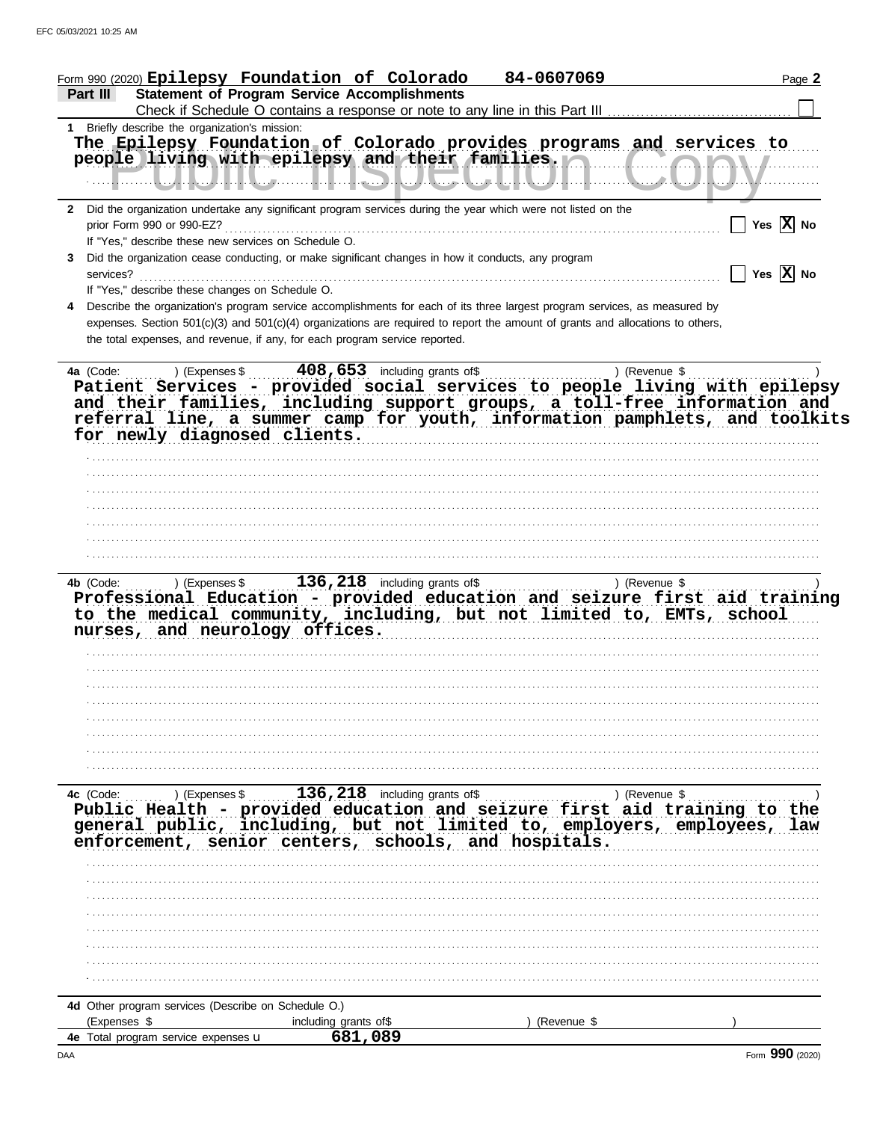|                                                                                                                                                                                                                                               | Form 990 (2020) Epilepsy Foundation of Colorado         | 84-0607069    | Page 2       |
|-----------------------------------------------------------------------------------------------------------------------------------------------------------------------------------------------------------------------------------------------|---------------------------------------------------------|---------------|--------------|
| <b>Statement of Program Service Accomplishments</b><br>Part III                                                                                                                                                                               |                                                         |               |              |
|                                                                                                                                                                                                                                               |                                                         |               |              |
| 1 Briefly describe the organization's mission:                                                                                                                                                                                                |                                                         |               |              |
| The Epilepsy Foundation of Colorado provides programs and services to                                                                                                                                                                         |                                                         |               |              |
| people living with epilepsy and their families. A second that the second second terms of the second second terms                                                                                                                              |                                                         |               |              |
|                                                                                                                                                                                                                                               |                                                         |               |              |
|                                                                                                                                                                                                                                               |                                                         |               |              |
| Did the organization undertake any significant program services during the year which were not listed on the<br>$\mathbf{2}$                                                                                                                  |                                                         |               |              |
| prior Form 990 or 990-EZ?                                                                                                                                                                                                                     |                                                         |               | Yes $X$ No   |
| If "Yes," describe these new services on Schedule O.                                                                                                                                                                                          |                                                         |               |              |
| Did the organization cease conducting, or make significant changes in how it conducts, any program<br>3                                                                                                                                       |                                                         |               |              |
| services?                                                                                                                                                                                                                                     |                                                         |               | Yes $ X $ No |
| If "Yes," describe these changes on Schedule O.                                                                                                                                                                                               |                                                         |               |              |
| Describe the organization's program service accomplishments for each of its three largest program services, as measured by<br>4                                                                                                               |                                                         |               |              |
| expenses. Section 501(c)(3) and 501(c)(4) organizations are required to report the amount of grants and allocations to others,                                                                                                                |                                                         |               |              |
| the total expenses, and revenue, if any, for each program service reported.                                                                                                                                                                   |                                                         |               |              |
|                                                                                                                                                                                                                                               |                                                         |               |              |
| $\ldots$ ) (Expenses \$ $\ldots$<br>4a (Code:                                                                                                                                                                                                 |                                                         |               |              |
| Patient Services - provided social services to people living with epilepsy                                                                                                                                                                    |                                                         |               |              |
| and their families, including support groups, a toll-free information and                                                                                                                                                                     |                                                         |               |              |
| referral line, a summer camp for youth, information pamphlets, and toolkits                                                                                                                                                                   |                                                         |               |              |
| for newly diagnosed clients.                                                                                                                                                                                                                  |                                                         |               |              |
|                                                                                                                                                                                                                                               |                                                         |               |              |
|                                                                                                                                                                                                                                               |                                                         |               |              |
|                                                                                                                                                                                                                                               |                                                         |               |              |
|                                                                                                                                                                                                                                               |                                                         |               |              |
|                                                                                                                                                                                                                                               |                                                         |               |              |
|                                                                                                                                                                                                                                               |                                                         |               |              |
|                                                                                                                                                                                                                                               |                                                         |               |              |
|                                                                                                                                                                                                                                               |                                                         |               |              |
| 4b (Code:<br>)(Expenses \$                                                                                                                                                                                                                    | $\frac{136}{218}$ including grants of $\frac{136}{218}$ | ) (Revenue \$ |              |
| Professional Education - provided education and seizure first aid training                                                                                                                                                                    |                                                         |               |              |
| to the medical community, including, but not limited to, EMTs, school                                                                                                                                                                         |                                                         |               |              |
| nurses, and neurology offices.                                                                                                                                                                                                                |                                                         |               |              |
|                                                                                                                                                                                                                                               |                                                         |               |              |
|                                                                                                                                                                                                                                               |                                                         |               |              |
|                                                                                                                                                                                                                                               |                                                         |               |              |
|                                                                                                                                                                                                                                               |                                                         |               |              |
|                                                                                                                                                                                                                                               |                                                         |               |              |
|                                                                                                                                                                                                                                               |                                                         |               |              |
|                                                                                                                                                                                                                                               |                                                         |               |              |
|                                                                                                                                                                                                                                               |                                                         |               |              |
|                                                                                                                                                                                                                                               |                                                         |               |              |
|                                                                                                                                                                                                                                               |                                                         |               |              |
|                                                                                                                                                                                                                                               |                                                         |               |              |
| 4c (Code:                                                                                                                                                                                                                                     |                                                         |               |              |
|                                                                                                                                                                                                                                               |                                                         |               |              |
|                                                                                                                                                                                                                                               |                                                         |               |              |
|                                                                                                                                                                                                                                               |                                                         |               |              |
| He (Code: ) (Expenses \$ 136,218 including grants of \$ ) (Revenue \$ ) (Revenue \$ ) (Revenue \$ ) (Revenue \$ ) (Revenue \$ ) (Revenue \$ ) (Revenue \$ ) (Revenue \$ ) (Revenue \$ ) (Revenue \$ ) (Revenue \$ ) (Revenue \$ ) (Revenue \$ |                                                         |               |              |
|                                                                                                                                                                                                                                               |                                                         |               |              |
|                                                                                                                                                                                                                                               |                                                         |               |              |
|                                                                                                                                                                                                                                               |                                                         |               |              |
|                                                                                                                                                                                                                                               |                                                         |               |              |
|                                                                                                                                                                                                                                               |                                                         |               |              |
|                                                                                                                                                                                                                                               |                                                         |               |              |
|                                                                                                                                                                                                                                               |                                                         |               |              |
|                                                                                                                                                                                                                                               |                                                         |               |              |
|                                                                                                                                                                                                                                               |                                                         |               |              |
| 4d Other program services (Describe on Schedule O.)<br>(Expenses \$                                                                                                                                                                           | including grants of\$                                   | (Revenue \$   |              |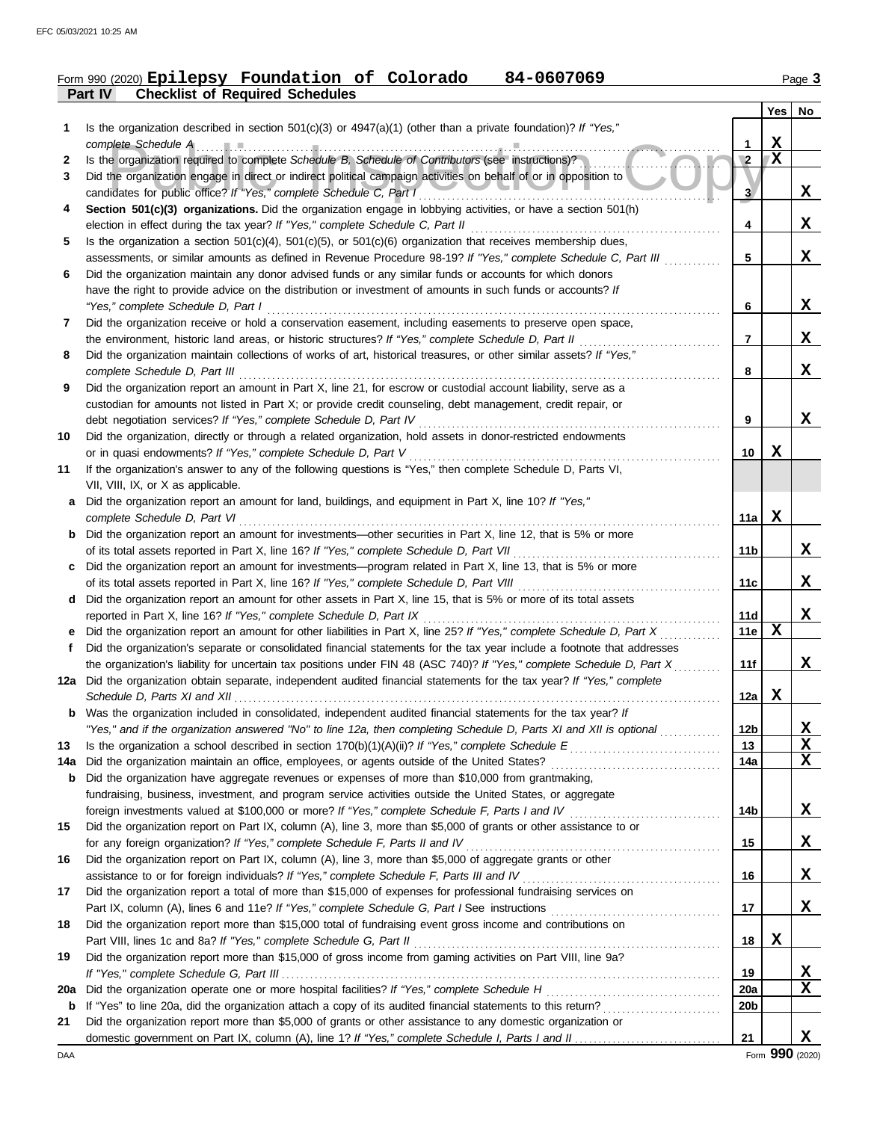## **Part IV Checklist of Required Schedules** Form 990 (2020) Epilepsy Foundation of Colorado 84-0607069 Page 3

|     |                                                                                                                                                                                                                                                             |                       |              | $Yes \mid No$ |
|-----|-------------------------------------------------------------------------------------------------------------------------------------------------------------------------------------------------------------------------------------------------------------|-----------------------|--------------|---------------|
| 1   | Is the organization described in section 501(c)(3) or 4947(a)(1) (other than a private foundation)? If "Yes,"                                                                                                                                               |                       |              |               |
|     | complete Schedule A<br><b>The Contract of the Contract of the Contract of the Contract of the Contract of the Contract of the Contract of the Contract of the Contract of the Contract of the Contract of the Contract of The Contract of The Contract </b> |                       | X            |               |
| 2   | Is the organization required to complete Schedule B, Schedule of Contributors (see instructions)?                                                                                                                                                           | $\overline{2}$        | $\mathbf{X}$ |               |
| 3   | Did the organization engage in direct or indirect political campaign activities on behalf of or in opposition to                                                                                                                                            |                       |              |               |
|     | candidates for public office? If "Yes," complete Schedule C, Part I                                                                                                                                                                                         | 3                     |              | X             |
| 4   | Section 501(c)(3) organizations. Did the organization engage in lobbying activities, or have a section 501(h)                                                                                                                                               |                       |              |               |
|     | election in effect during the tax year? If "Yes," complete Schedule C, Part II                                                                                                                                                                              | 4                     |              | X             |
| 5   | Is the organization a section $501(c)(4)$ , $501(c)(5)$ , or $501(c)(6)$ organization that receives membership dues,                                                                                                                                        |                       |              |               |
|     | assessments, or similar amounts as defined in Revenue Procedure 98-19? If "Yes," complete Schedule C, Part III                                                                                                                                              | 5                     |              | X             |
| 6   | Did the organization maintain any donor advised funds or any similar funds or accounts for which donors                                                                                                                                                     |                       |              |               |
|     | have the right to provide advice on the distribution or investment of amounts in such funds or accounts? If                                                                                                                                                 |                       |              | X             |
| 7   | "Yes," complete Schedule D, Part I<br>Did the organization receive or hold a conservation easement, including easements to preserve open space,                                                                                                             | 6                     |              |               |
|     | the environment, historic land areas, or historic structures? If "Yes," complete Schedule D, Part II                                                                                                                                                        | 7                     |              | X             |
| 8   | Did the organization maintain collections of works of art, historical treasures, or other similar assets? If "Yes,"                                                                                                                                         |                       |              |               |
|     | complete Schedule D, Part III                                                                                                                                                                                                                               | 8                     |              | X             |
| 9   | Did the organization report an amount in Part X, line 21, for escrow or custodial account liability, serve as a                                                                                                                                             |                       |              |               |
|     | custodian for amounts not listed in Part X; or provide credit counseling, debt management, credit repair, or                                                                                                                                                |                       |              |               |
|     | debt negotiation services? If "Yes," complete Schedule D, Part IV                                                                                                                                                                                           | 9                     |              | X             |
| 10  | Did the organization, directly or through a related organization, hold assets in donor-restricted endowments                                                                                                                                                |                       |              |               |
|     | or in quasi endowments? If "Yes," complete Schedule D, Part V                                                                                                                                                                                               | 10                    | X            |               |
| 11  | If the organization's answer to any of the following questions is "Yes," then complete Schedule D, Parts VI,                                                                                                                                                |                       |              |               |
|     | VII, VIII, IX, or X as applicable.                                                                                                                                                                                                                          |                       |              |               |
| а   | Did the organization report an amount for land, buildings, and equipment in Part X, line 10? If "Yes,"                                                                                                                                                      |                       |              |               |
|     | complete Schedule D, Part VI                                                                                                                                                                                                                                | 11a                   | X            |               |
| b   | Did the organization report an amount for investments—other securities in Part X, line 12, that is 5% or more                                                                                                                                               |                       |              |               |
|     | of its total assets reported in Part X, line 16? If "Yes," complete Schedule D, Part VII                                                                                                                                                                    | 11b                   |              | X,            |
| c   | Did the organization report an amount for investments—program related in Part X, line 13, that is 5% or more                                                                                                                                                |                       |              |               |
|     | of its total assets reported in Part X, line 16? If "Yes," complete Schedule D, Part VIII                                                                                                                                                                   | 11c                   |              | X             |
| d   | Did the organization report an amount for other assets in Part X, line 15, that is 5% or more of its total assets                                                                                                                                           |                       |              |               |
|     | reported in Part X, line 16? If "Yes," complete Schedule D, Part IX                                                                                                                                                                                         | 11d                   |              | X             |
| е   | Did the organization report an amount for other liabilities in Part X, line 25? If "Yes," complete Schedule D, Part X                                                                                                                                       | 11e                   | X            |               |
| f   | Did the organization's separate or consolidated financial statements for the tax year include a footnote that addresses                                                                                                                                     |                       |              |               |
|     | the organization's liability for uncertain tax positions under FIN 48 (ASC 740)? If "Yes," complete Schedule D, Part X                                                                                                                                      | 11f                   |              | X             |
|     | 12a Did the organization obtain separate, independent audited financial statements for the tax year? If "Yes," complete                                                                                                                                     |                       |              |               |
|     |                                                                                                                                                                                                                                                             | 12a                   | X            |               |
|     | <b>b</b> Was the organization included in consolidated, independent audited financial statements for the tax year? If                                                                                                                                       |                       |              |               |
| 13  | "Yes," and if the organization answered "No" to line 12a, then completing Schedule D, Parts XI and XII is optional                                                                                                                                          | 12 <sub>b</sub><br>13 |              | <u>x</u><br>X |
| 14a | Did the organization maintain an office, employees, or agents outside of the United States?                                                                                                                                                                 | 14a                   |              | X             |
| b   | Did the organization have aggregate revenues or expenses of more than \$10,000 from grantmaking,                                                                                                                                                            |                       |              |               |
|     | fundraising, business, investment, and program service activities outside the United States, or aggregate                                                                                                                                                   |                       |              |               |
|     |                                                                                                                                                                                                                                                             | 14b                   |              | X             |
| 15  | Did the organization report on Part IX, column (A), line 3, more than \$5,000 of grants or other assistance to or                                                                                                                                           |                       |              |               |
|     | for any foreign organization? If "Yes," complete Schedule F, Parts II and IV                                                                                                                                                                                | 15                    |              | X,            |
| 16  | Did the organization report on Part IX, column (A), line 3, more than \$5,000 of aggregate grants or other                                                                                                                                                  |                       |              |               |
|     |                                                                                                                                                                                                                                                             | 16                    |              | X             |
| 17  | Did the organization report a total of more than \$15,000 of expenses for professional fundraising services on                                                                                                                                              |                       |              |               |
|     |                                                                                                                                                                                                                                                             | 17                    |              | X             |
| 18  | Did the organization report more than \$15,000 total of fundraising event gross income and contributions on                                                                                                                                                 |                       |              |               |
|     |                                                                                                                                                                                                                                                             | 18                    | X            |               |
| 19  | Did the organization report more than \$15,000 of gross income from gaming activities on Part VIII, line 9a?                                                                                                                                                |                       |              |               |
|     |                                                                                                                                                                                                                                                             | 19                    |              | x             |
| 20a |                                                                                                                                                                                                                                                             | 20a                   |              | X             |
| b   |                                                                                                                                                                                                                                                             | 20 <sub>b</sub>       |              |               |
| 21  | Did the organization report more than \$5,000 of grants or other assistance to any domestic organization or                                                                                                                                                 |                       |              |               |
|     |                                                                                                                                                                                                                                                             | 21                    |              | X.            |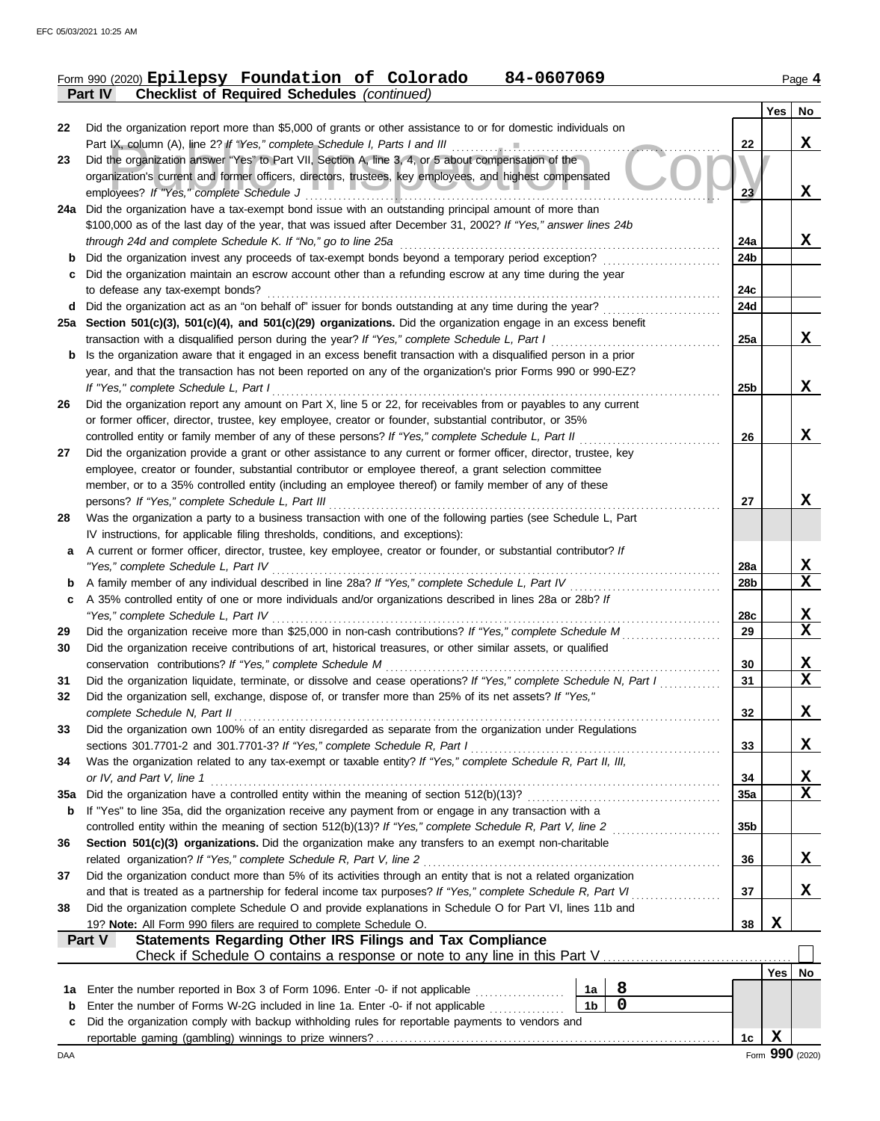#### Form 990 (2020) Page **4 Part IV Checklist of Required Schedules** *(continued)* **Epilepsy Foundation of Colorado 84-0607069**

|     | noonnot of hoquitou concuutou                                                                                                                                                                                                 |                 |            |                  |
|-----|-------------------------------------------------------------------------------------------------------------------------------------------------------------------------------------------------------------------------------|-----------------|------------|------------------|
|     |                                                                                                                                                                                                                               |                 | <b>Yes</b> | No               |
| 22  | Did the organization report more than \$5,000 of grants or other assistance to or for domestic individuals on<br>Part IX, column (A), line 2? If "Yes," complete Schedule I, Parts I and III                                  | 22              |            | X                |
| 23  | Did the organization answer "Yes" to Part VII, Section A, line 3, 4, or 5 about compensation of the                                                                                                                           |                 |            |                  |
|     | organization's current and former officers, directors, trustees, key employees, and highest compensated                                                                                                                       |                 |            |                  |
|     | employees? If "Yes," complete Schedule J                                                                                                                                                                                      | 23 <sub>l</sub> |            | X                |
|     | 24a Did the organization have a tax-exempt bond issue with an outstanding principal amount of more than                                                                                                                       |                 |            |                  |
|     | \$100,000 as of the last day of the year, that was issued after December 31, 2002? If "Yes," answer lines 24b                                                                                                                 |                 |            |                  |
|     | through 24d and complete Schedule K. If "No," go to line 25a                                                                                                                                                                  | 24a             |            | X                |
| b   | Did the organization invest any proceeds of tax-exempt bonds beyond a temporary period exception?                                                                                                                             | 24b             |            |                  |
| c   | Did the organization maintain an escrow account other than a refunding escrow at any time during the year                                                                                                                     |                 |            |                  |
|     | to defease any tax-exempt bonds?                                                                                                                                                                                              | 24c             |            |                  |
|     | d Did the organization act as an "on behalf of" issuer for bonds outstanding at any time during the year?                                                                                                                     | 24d             |            |                  |
|     | 25a Section 501(c)(3), 501(c)(4), and 501(c)(29) organizations. Did the organization engage in an excess benefit                                                                                                              |                 |            |                  |
|     | transaction with a disqualified person during the year? If "Yes," complete Schedule L, Part I                                                                                                                                 | 25a             |            | X                |
| b   | Is the organization aware that it engaged in an excess benefit transaction with a disqualified person in a prior                                                                                                              |                 |            |                  |
|     | year, and that the transaction has not been reported on any of the organization's prior Forms 990 or 990-EZ?                                                                                                                  |                 |            |                  |
|     | If "Yes," complete Schedule L, Part I                                                                                                                                                                                         | 25 <sub>b</sub> |            | X                |
| 26  | Did the organization report any amount on Part X, line 5 or 22, for receivables from or payables to any current                                                                                                               |                 |            |                  |
|     | or former officer, director, trustee, key employee, creator or founder, substantial contributor, or 35%<br>controlled entity or family member of any of these persons? If "Yes," complete Schedule L, Part II                 | 26              |            | X                |
| 27  | Did the organization provide a grant or other assistance to any current or former officer, director, trustee, key                                                                                                             |                 |            |                  |
|     | employee, creator or founder, substantial contributor or employee thereof, a grant selection committee                                                                                                                        |                 |            |                  |
|     | member, or to a 35% controlled entity (including an employee thereof) or family member of any of these                                                                                                                        |                 |            |                  |
|     | persons? If "Yes," complete Schedule L, Part III                                                                                                                                                                              | 27              |            | X                |
| 28  | Was the organization a party to a business transaction with one of the following parties (see Schedule L, Part                                                                                                                |                 |            |                  |
|     | IV instructions, for applicable filing thresholds, conditions, and exceptions):                                                                                                                                               |                 |            |                  |
| a   | A current or former officer, director, trustee, key employee, creator or founder, or substantial contributor? If                                                                                                              |                 |            |                  |
|     | "Yes," complete Schedule L, Part IV                                                                                                                                                                                           | 28a             |            | <u>x</u>         |
| b   | A family member of any individual described in line 28a? If "Yes," complete Schedule L, Part IV                                                                                                                               | 28b             |            | $\mathbf x$      |
| c   | A 35% controlled entity of one or more individuals and/or organizations described in lines 28a or 28b? If                                                                                                                     |                 |            |                  |
|     | "Yes," complete Schedule L, Part IV                                                                                                                                                                                           | 28c             |            | X                |
| 29  | Did the organization receive more than \$25,000 in non-cash contributions? If "Yes," complete Schedule M                                                                                                                      | 29              |            | X                |
| 30  | Did the organization receive contributions of art, historical treasures, or other similar assets, or qualified                                                                                                                |                 |            |                  |
|     | conservation contributions? If "Yes," complete Schedule M                                                                                                                                                                     | 30              |            | X<br>$\mathbf X$ |
| 31  | Did the organization liquidate, terminate, or dissolve and cease operations? If "Yes," complete Schedule N, Part I<br>Did the organization sell, exchange, dispose of, or transfer more than 25% of its net assets? If "Yes," | 31              |            |                  |
| 32  | complete Schedule N, Part II                                                                                                                                                                                                  | 32              |            | X                |
| 33  | Did the organization own 100% of an entity disregarded as separate from the organization under Regulations                                                                                                                    |                 |            |                  |
|     | sections 301.7701-2 and 301.7701-3? If "Yes," complete Schedule R, Part I                                                                                                                                                     | 33              |            | X                |
| 34  | Was the organization related to any tax-exempt or taxable entity? If "Yes," complete Schedule R, Part II, III,                                                                                                                |                 |            |                  |
|     | or IV, and Part V, line 1                                                                                                                                                                                                     | 34              |            | X                |
| 35a |                                                                                                                                                                                                                               | 35a             |            | X                |
| b   | If "Yes" to line 35a, did the organization receive any payment from or engage in any transaction with a                                                                                                                       |                 |            |                  |
|     |                                                                                                                                                                                                                               | 35 <sub>b</sub> |            |                  |
| 36  | Section 501(c)(3) organizations. Did the organization make any transfers to an exempt non-charitable                                                                                                                          |                 |            |                  |
|     | related organization? If "Yes," complete Schedule R, Part V, line 2                                                                                                                                                           | 36              |            | X                |
| 37  | Did the organization conduct more than 5% of its activities through an entity that is not a related organization                                                                                                              |                 |            |                  |
|     | and that is treated as a partnership for federal income tax purposes? If "Yes," complete Schedule R, Part VI                                                                                                                  | 37              |            | X                |
| 38  | Did the organization complete Schedule O and provide explanations in Schedule O for Part VI, lines 11b and                                                                                                                    |                 |            |                  |
|     | 19? Note: All Form 990 filers are required to complete Schedule O.                                                                                                                                                            | 38              | Х          |                  |
|     | Statements Regarding Other IRS Filings and Tax Compliance<br>Part V                                                                                                                                                           |                 |            |                  |
|     |                                                                                                                                                                                                                               |                 | Yes        | No               |
| 1a  | 8<br>Enter the number reported in Box 3 of Form 1096. Enter -0- if not applicable<br>1a                                                                                                                                       |                 |            |                  |
| b   | 0<br>Enter the number of Forms W-2G included in line 1a. Enter -0- if not applicable<br>1 <sub>b</sub>                                                                                                                        |                 |            |                  |
| c   | Did the organization comply with backup withholding rules for reportable payments to vendors and                                                                                                                              |                 |            |                  |
|     |                                                                                                                                                                                                                               | 1c              | X          |                  |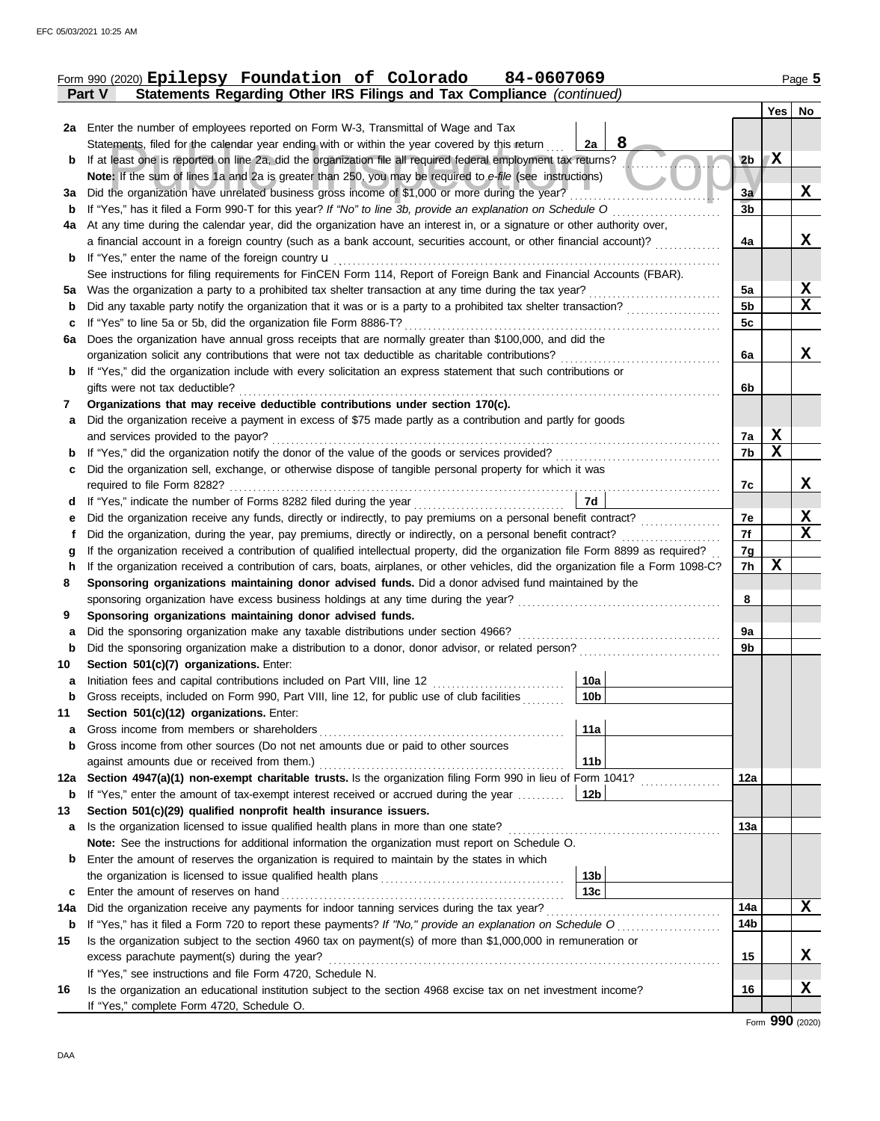|        | Form 990 (2020) Epilepsy Foundation of Colorado 84-0607069                                                                         |                      |                |        | Page 5 |  |
|--------|------------------------------------------------------------------------------------------------------------------------------------|----------------------|----------------|--------|--------|--|
|        | Statements Regarding Other IRS Filings and Tax Compliance (continued)<br>Part V                                                    |                      |                |        |        |  |
|        |                                                                                                                                    |                      |                | Yes    | No     |  |
|        | 2a Enter the number of employees reported on Form W-3, Transmittal of Wage and Tax                                                 |                      |                |        |        |  |
|        | Statements, filed for the calendar year ending with or within the year covered by this return                                      | 8<br>2a              |                |        |        |  |
| b      | If at least one is reported on line 2a, did the organization file all required federal employment tax returns?                     |                      | 2 <sub>b</sub> | ΙX     |        |  |
|        | Note: If the sum of lines 1a and 2a is greater than 250, you may be required to e-file (see instructions)                          |                      |                |        |        |  |
| За     | Did the organization have unrelated business gross income of \$1,000 or more during the year?                                      |                      | 3a             |        | X      |  |
| b      | If "Yes," has it filed a Form 990-T for this year? If "No" to line 3b, provide an explanation on Schedule O                        |                      | 3 <sub>b</sub> |        |        |  |
| 4a     | At any time during the calendar year, did the organization have an interest in, or a signature or other authority over,            |                      |                |        |        |  |
|        | a financial account in a foreign country (such as a bank account, securities account, or other financial account)?                 |                      | 4a             |        | X      |  |
| b      | If "Yes," enter the name of the foreign country $\mathbf u$                                                                        |                      |                |        |        |  |
|        | See instructions for filing requirements for FinCEN Form 114, Report of Foreign Bank and Financial Accounts (FBAR).                |                      |                |        |        |  |
| 5а     |                                                                                                                                    |                      | 5a             |        | X      |  |
| b      | Did any taxable party notify the organization that it was or is a party to a prohibited tax shelter transaction?                   |                      | 5 <sub>b</sub> |        | X      |  |
| c      | If "Yes" to line 5a or 5b, did the organization file Form 8886-T?                                                                  |                      | 5c             |        |        |  |
| 6a     | Does the organization have annual gross receipts that are normally greater than \$100,000, and did the                             |                      |                |        |        |  |
|        | organization solicit any contributions that were not tax deductible as charitable contributions?                                   |                      | 6a             |        | X      |  |
| b      | If "Yes," did the organization include with every solicitation an express statement that such contributions or                     |                      |                |        |        |  |
|        | gifts were not tax deductible?                                                                                                     |                      | 6b             |        |        |  |
| 7      | Organizations that may receive deductible contributions under section 170(c).                                                      |                      |                |        |        |  |
| a      | Did the organization receive a payment in excess of \$75 made partly as a contribution and partly for goods                        |                      |                |        |        |  |
|        | and services provided to the payor?                                                                                                |                      | 7a             | X<br>X |        |  |
| b      | If "Yes," did the organization notify the donor of the value of the goods or services provided?                                    |                      | 7b             |        |        |  |
| c      | Did the organization sell, exchange, or otherwise dispose of tangible personal property for which it was                           |                      |                |        |        |  |
|        | If "Yes," indicate the number of Forms 8282 filed during the year<br>[[[[[[[[[[[[[]]]]]                                            | 7d                   | 7c             |        | x      |  |
| d      | Did the organization receive any funds, directly or indirectly, to pay premiums on a personal benefit contract?                    |                      | 7e             |        | X      |  |
| е<br>t | Did the organization, during the year, pay premiums, directly or indirectly, on a personal benefit contract?                       |                      | 7f             |        | X      |  |
| g      | If the organization received a contribution of qualified intellectual property, did the organization file Form 8899 as required?   |                      | 7g             |        |        |  |
| h      | If the organization received a contribution of cars, boats, airplanes, or other vehicles, did the organization file a Form 1098-C? |                      | 7h             | X      |        |  |
| 8      | Sponsoring organizations maintaining donor advised funds. Did a donor advised fund maintained by the                               |                      |                |        |        |  |
|        |                                                                                                                                    |                      | 8              |        |        |  |
| 9      | Sponsoring organizations maintaining donor advised funds.                                                                          |                      |                |        |        |  |
| a      | Did the sponsoring organization make any taxable distributions under section 4966?                                                 |                      | 9a             |        |        |  |
| b      |                                                                                                                                    |                      | 9b             |        |        |  |
| 10     | Section 501(c)(7) organizations. Enter:                                                                                            |                      |                |        |        |  |
| a      | Initiation fees and capital contributions included on Part VIII, line 12                                                           | $-1.1$ $-1.1$<br>10a |                |        |        |  |
| b      | Gross receipts, included on Form 990, Part VIII, line 12, for public use of club facilities                                        | 10b                  |                |        |        |  |
| 11     | Section 501(c)(12) organizations. Enter:                                                                                           |                      |                |        |        |  |
| а      | Gross income from members or shareholders                                                                                          | 11a                  |                |        |        |  |
| b      | Gross income from other sources (Do not net amounts due or paid to other sources                                                   |                      |                |        |        |  |
|        | against amounts due or received from them.)                                                                                        | 11 <sub>b</sub>      |                |        |        |  |
| 12a    | Section 4947(a)(1) non-exempt charitable trusts. Is the organization filing Form 990 in lieu of Form 1041?                         |                      | 12a            |        |        |  |
| b      | If "Yes," enter the amount of tax-exempt interest received or accrued during the year    12b                                       |                      |                |        |        |  |
| 13     | Section 501(c)(29) qualified nonprofit health insurance issuers.                                                                   |                      |                |        |        |  |
| а      | Is the organization licensed to issue qualified health plans in more than one state?                                               |                      | 13a            |        |        |  |
|        | Note: See the instructions for additional information the organization must report on Schedule O.                                  |                      |                |        |        |  |
| b      | Enter the amount of reserves the organization is required to maintain by the states in which                                       |                      |                |        |        |  |
|        |                                                                                                                                    | 13 <sub>b</sub>      |                |        |        |  |
| c      |                                                                                                                                    | 13c                  |                |        |        |  |
| 14a    |                                                                                                                                    |                      | 14a            |        | x      |  |
| b      |                                                                                                                                    |                      | 14b            |        |        |  |
|        |                                                                                                                                    |                      |                |        |        |  |

|    | Is the organization subject to the section 4960 tax on payment(s) of more than \$1,000,000 in remuneration or   |    |  |
|----|-----------------------------------------------------------------------------------------------------------------|----|--|
|    | excess parachute payment(s) during the year?                                                                    | 15 |  |
|    | If "Yes," see instructions and file Form 4720, Schedule N.                                                      |    |  |
| 16 | Is the organization an educational institution subject to the section 4968 excise tax on net investment income? | 16 |  |
|    | If "Yes," complete Form 4720, Schedule O.                                                                       |    |  |

Form **990** (2020)

DAA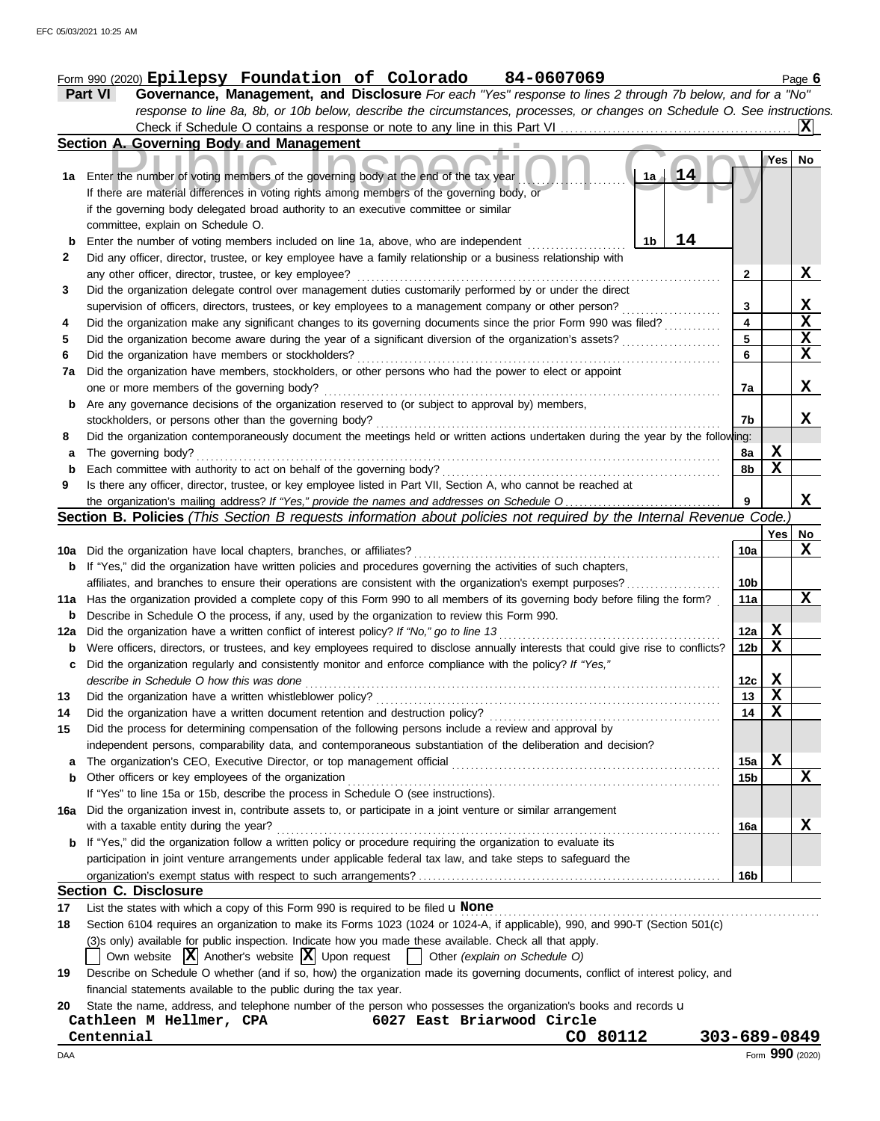| Form 990 (2020) Epilepsy Foundation of Colorado |  | 84-0607069 | Page to |
|-------------------------------------------------|--|------------|---------|
|                                                 |  |            |         |

| <b>Part VI</b> | <b>Governance, Management, and Disclosure</b> For each "Yes" response to lines 2 through 7b below, and for a "No"         |
|----------------|---------------------------------------------------------------------------------------------------------------------------|
|                | response to line 8a, 8b, or 10b below, describe the circumstances, processes, or changes on Schedule O. See instructions. |
|                |                                                                                                                           |

|             | Section A. Governing Body and Management                                                                                            |                 |             |                         |
|-------------|-------------------------------------------------------------------------------------------------------------------------------------|-----------------|-------------|-------------------------|
|             |                                                                                                                                     |                 | Yes         | No                      |
| 1a          | 14<br>1a<br>Enter the number of voting members of the governing body at the end of the tax year                                     |                 |             |                         |
|             | If there are material differences in voting rights among members of the governing body, or                                          |                 |             |                         |
|             | if the governing body delegated broad authority to an executive committee or similar                                                |                 |             |                         |
|             | committee, explain on Schedule O.                                                                                                   |                 |             |                         |
| b           | 14<br>Enter the number of voting members included on line 1a, above, who are independent<br>1b                                      |                 |             |                         |
| 2           | Did any officer, director, trustee, or key employee have a family relationship or a business relationship with                      |                 |             |                         |
|             | any other officer, director, trustee, or key employee?                                                                              | 2               |             | X                       |
| 3           | Did the organization delegate control over management duties customarily performed by or under the direct                           |                 |             |                         |
|             | supervision of officers, directors, trustees, or key employees to a management company or other person?                             | 3               |             | X                       |
| 4           | Did the organization make any significant changes to its governing documents since the prior Form 990 was filed?                    | 4               |             | $\overline{\mathbf{x}}$ |
| 5           | Did the organization become aware during the year of a significant diversion of the organization's assets?                          | 5               |             | $\overline{\mathbf{X}}$ |
| 6           | Did the organization have members or stockholders?                                                                                  | 6               |             | $\mathbf x$             |
| 7а          | Did the organization have members, stockholders, or other persons who had the power to elect or appoint                             |                 |             |                         |
|             | one or more members of the governing body?                                                                                          | 7a              |             | X                       |
| b           | Are any governance decisions of the organization reserved to (or subject to approval by) members,                                   |                 |             |                         |
|             | stockholders, or persons other than the governing body?                                                                             | 7b              |             | x                       |
| 8           | Did the organization contemporaneously document the meetings held or written actions undertaken during the year by the following:   |                 |             |                         |
| а           | The governing body?                                                                                                                 | 8a              | X           |                         |
| $\mathbf b$ | Each committee with authority to act on behalf of the governing body?                                                               | 8b              | X           |                         |
| 9           | Is there any officer, director, trustee, or key employee listed in Part VII, Section A, who cannot be reached at                    |                 |             |                         |
|             |                                                                                                                                     | 9               |             | X                       |
|             | Section B. Policies (This Section B requests information about policies not required by the Internal Revenue Code.                  |                 |             |                         |
|             |                                                                                                                                     |                 | Yes         | No                      |
| 10a         | Did the organization have local chapters, branches, or affiliates?                                                                  | 10a             |             | X                       |
| b           | If "Yes," did the organization have written policies and procedures governing the activities of such chapters,                      |                 |             |                         |
|             | affiliates, and branches to ensure their operations are consistent with the organization's exempt purposes?                         | 10 <sub>b</sub> |             |                         |
| 11a         | Has the organization provided a complete copy of this Form 990 to all members of its governing body before filing the form?         | 11a             |             | X                       |
| b           | Describe in Schedule O the process, if any, used by the organization to review this Form 990.                                       |                 |             |                         |
| 12a         | Did the organization have a written conflict of interest policy? If "No," go to line 13                                             | 12a             | <u>х</u>    |                         |
| b           | Were officers, directors, or trustees, and key employees required to disclose annually interests that could give rise to conflicts? | 12 <sub>b</sub> | $\mathbf x$ |                         |
| c           | Did the organization regularly and consistently monitor and enforce compliance with the policy? If "Yes,"                           |                 |             |                         |
|             | describe in Schedule O how this was done                                                                                            | 12c             | X           |                         |
| 13          | Did the organization have a written whistleblower policy?                                                                           | 13              | $\mathbf x$ |                         |
| 14          | Did the organization have a written document retention and destruction policy?                                                      | 14              | $\mathbf x$ |                         |
| 15          | Did the process for determining compensation of the following persons include a review and approval by                              |                 |             |                         |
|             | independent persons, comparability data, and contemporaneous substantiation of the deliberation and decision?                       |                 |             |                         |
| a           |                                                                                                                                     | 15a             | X           |                         |
| b           | Other officers or key employees of the organization                                                                                 | 15 <sub>b</sub> |             | X                       |
|             | If "Yes" to line 15a or 15b, describe the process in Schedule O (see instructions).                                                 |                 |             |                         |
| 16а         | Did the organization invest in, contribute assets to, or participate in a joint venture or similar arrangement                      |                 |             |                         |
|             | with a taxable entity during the year?                                                                                              | 16a             |             | X                       |
| b           | If "Yes," did the organization follow a written policy or procedure requiring the organization to evaluate its                      |                 |             |                         |
|             | participation in joint venture arrangements under applicable federal tax law, and take steps to safeguard the                       |                 |             |                         |
|             |                                                                                                                                     | 16b             |             |                         |
|             | <b>Section C. Disclosure</b>                                                                                                        |                 |             |                         |
| 17          | List the states with which a copy of this Form 990 is required to be filed $\mathbf u$ None                                         |                 |             |                         |

**18** Section 6104 requires an organization to make its Forms 1023 (1024 or 1024-A, if applicable), 990, and 990-T (Section 501(c)

(3)s only) available for public inspection. Indicate how you made these available. Check all that apply.

Own website **X** Another's website **X** Upon request  $\Box$  Other *(explain on Schedule O)* 

**19** Describe on Schedule O whether (and if so, how) the organization made its governing documents, conflict of interest policy, and financial statements available to the public during the tax year.

**20** State the name, address, and telephone number of the person who possesses the organization's books and records  $\bf u$ 

| Cathleen M Hellmer, CPA | 6027 East Briarwood Circle |          |                 |
|-------------------------|----------------------------|----------|-----------------|
| Centennial              |                            | CO 80112 | 303-689-0849    |
| <b>DAA</b>              |                            |          | Form 990 (2020) |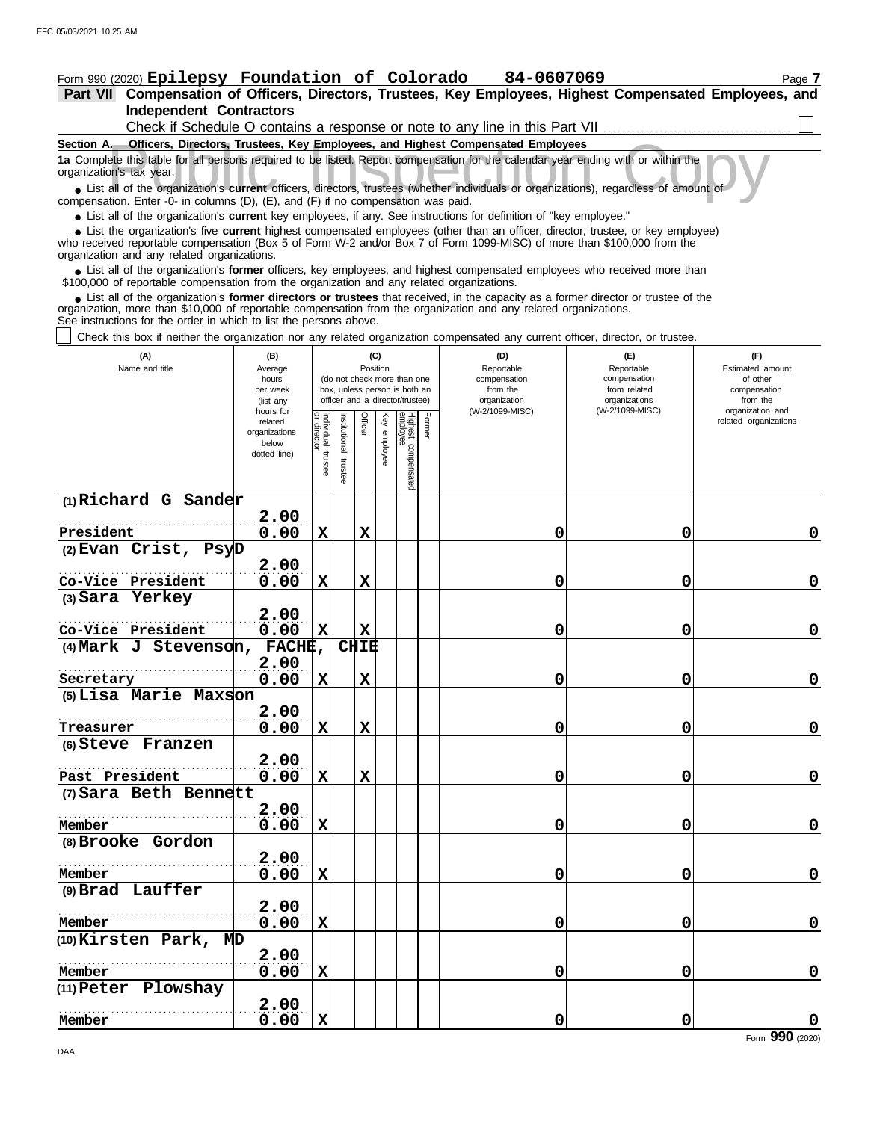# Form 990 (2020) Epilepsy Foundation of Colorado 84-0607069 Page 7

**Independent Contractors Part VII Compensation of Officers, Directors, Trustees, Key Employees, Highest Compensated Employees, and**

| Check if Schedule O contains a response or note to any line in this Part VII                                                                                                                                                                                                                                      |  |
|-------------------------------------------------------------------------------------------------------------------------------------------------------------------------------------------------------------------------------------------------------------------------------------------------------------------|--|
| Section A. Officers, Directors, Trustees, Key Employees, and Highest Compensated Employees                                                                                                                                                                                                                        |  |
| 1a Complete this table for all persons required to be listed. Report compensation for the calendar year ending with or within the<br>organization's tax year.                                                                                                                                                     |  |
| • List all of the organization's current officers, directors, trustees (whether individuals or organizations), regardless of amount of<br>compensation. Enter -0- in columns $(D)$ , $(E)$ , and $(F)$ if no compensation was paid.                                                                               |  |
| • List all of the organization's <b>current</b> key employees, if any. See instructions for definition of "key employee."                                                                                                                                                                                         |  |
| • List the organization's five <b>current</b> highest compensated employees (other than an officer, director, trustee, or key employee)<br>who received reportable compensation (Box 5 of Form W-2 and/or Box 7 of Form 1099-MISC) of more than \$100,000 from the<br>organization and any related organizations. |  |
| • List all of the organization's former officers, key employees, and highest compensated employees who received more than<br>\$100,000 of reportable compensation from the organization and any related organizations.                                                                                            |  |
| Just all of the ergenization's <b>former directors</b> or trustees that resolved in the conseity as a former director or trustee of the                                                                                                                                                                           |  |

List all of the organization's **former directors or trustees** that received, in the capacity as a former director or trustee of the organization, more than \$10,000 of reportable compensation from the organization and any related organizations. See instructions for the order in which to list the persons above. **•**

Check this box if neither the organization nor any related organization compensated any current officer, director, or trustee.

| (A)<br>Name and title  | (B)<br>Average<br>hours<br>per week<br>(list any               |                                   |                      | (C)<br>Position         |                 | (do not check more than one<br>box, unless person is both an<br>officer and a director/trustee) | (D)<br>Reportable<br>compensation<br>from the<br>organization | (E)<br>Reportable<br>compensation<br>from related<br>organizations<br>(W-2/1099-MISC) | (F)<br>Estimated amount<br>of other<br>compensation<br>from the<br>organization and |
|------------------------|----------------------------------------------------------------|-----------------------------------|----------------------|-------------------------|-----------------|-------------------------------------------------------------------------------------------------|---------------------------------------------------------------|---------------------------------------------------------------------------------------|-------------------------------------------------------------------------------------|
|                        | hours for<br>related<br>organizations<br>below<br>dotted line) | Individual trustee<br>or director | nstitutional trustee | Officer                 | Key<br>employee | Former<br>Highest compensated<br>employee                                                       | (W-2/1099-MISC)                                               |                                                                                       | related organizations                                                               |
| $(1)$ Richard G Sander |                                                                |                                   |                      |                         |                 |                                                                                                 |                                                               |                                                                                       |                                                                                     |
| President              | 2.00<br>0.00                                                   | $\mathbf X$                       |                      | $\mathbf x$             |                 |                                                                                                 | 0                                                             | 0                                                                                     | 0                                                                                   |
| $(2)$ Evan Crist, PsyD |                                                                |                                   |                      |                         |                 |                                                                                                 |                                                               |                                                                                       |                                                                                     |
|                        | 2.00                                                           |                                   |                      |                         |                 |                                                                                                 |                                                               |                                                                                       |                                                                                     |
| Co-Vice President      | 0.00                                                           | $\mathbf X$                       |                      | X                       |                 |                                                                                                 | 0                                                             | 0                                                                                     | $\mathbf 0$                                                                         |
| (3) Sara Yerkey        | 2.00                                                           |                                   |                      |                         |                 |                                                                                                 |                                                               |                                                                                       |                                                                                     |
| Co-Vice President      | 0.00                                                           | $\mathbf X$                       |                      | X                       |                 |                                                                                                 | 0                                                             | 0                                                                                     | $\mathbf 0$                                                                         |
| (4) Mark J Stevenson,  | FACHE,                                                         |                                   |                      | <b>CHIE</b>             |                 |                                                                                                 |                                                               |                                                                                       |                                                                                     |
|                        | 2.00                                                           |                                   |                      |                         |                 |                                                                                                 |                                                               |                                                                                       |                                                                                     |
| Secretary              | 0.00                                                           | $\mathbf x$                       |                      | $\mathbf x$             |                 |                                                                                                 | 0                                                             | 0                                                                                     | $\mathbf 0$                                                                         |
| (5) Lisa Marie Maxson  |                                                                |                                   |                      |                         |                 |                                                                                                 |                                                               |                                                                                       |                                                                                     |
|                        | 2.00                                                           |                                   |                      |                         |                 |                                                                                                 |                                                               |                                                                                       |                                                                                     |
| Treasurer              | 0.00                                                           | $\mathbf x$                       |                      | $\mathbf x$             |                 |                                                                                                 | 0                                                             | 0                                                                                     | $\mathbf 0$                                                                         |
| (6) Steve Franzen      |                                                                |                                   |                      |                         |                 |                                                                                                 |                                                               |                                                                                       |                                                                                     |
| Past President         | 2.00<br>0.00                                                   | $\mathbf x$                       |                      | $\overline{\mathbf{X}}$ |                 |                                                                                                 | 0                                                             | 0                                                                                     | $\mathbf 0$                                                                         |
| (7) Sara Beth Bennett  |                                                                |                                   |                      |                         |                 |                                                                                                 |                                                               |                                                                                       |                                                                                     |
|                        | 2.00                                                           |                                   |                      |                         |                 |                                                                                                 |                                                               |                                                                                       |                                                                                     |
| Member                 | 0.00                                                           | $\mathbf x$                       |                      |                         |                 |                                                                                                 | 0                                                             | 0                                                                                     | $\mathbf 0$                                                                         |
| (8) Brooke Gordon      |                                                                |                                   |                      |                         |                 |                                                                                                 |                                                               |                                                                                       |                                                                                     |
|                        | 2.00                                                           |                                   |                      |                         |                 |                                                                                                 |                                                               |                                                                                       |                                                                                     |
| Member                 | 0.00                                                           | $\mathbf X$                       |                      |                         |                 |                                                                                                 | 0                                                             | 0                                                                                     | $\mathbf 0$                                                                         |
| (9) Brad Lauffer       |                                                                |                                   |                      |                         |                 |                                                                                                 |                                                               |                                                                                       |                                                                                     |
| Member                 | 2.00<br>0.00                                                   | $\mathbf x$                       |                      |                         |                 |                                                                                                 | 0                                                             | 0                                                                                     | $\mathbf 0$                                                                         |
| (10) Kirsten Park, MD  |                                                                |                                   |                      |                         |                 |                                                                                                 |                                                               |                                                                                       |                                                                                     |
|                        | 2.00                                                           |                                   |                      |                         |                 |                                                                                                 |                                                               |                                                                                       |                                                                                     |
| Member                 | 0.00                                                           | X                                 |                      |                         |                 |                                                                                                 | 0                                                             | 0                                                                                     | $\mathbf 0$                                                                         |
| (11) Peter Plowshay    |                                                                |                                   |                      |                         |                 |                                                                                                 |                                                               |                                                                                       |                                                                                     |
|                        | 2.00                                                           |                                   |                      |                         |                 |                                                                                                 |                                                               |                                                                                       |                                                                                     |
| Member                 | 0.00                                                           | X                                 |                      |                         |                 |                                                                                                 | 0                                                             | 0                                                                                     | $\mathbf 0$                                                                         |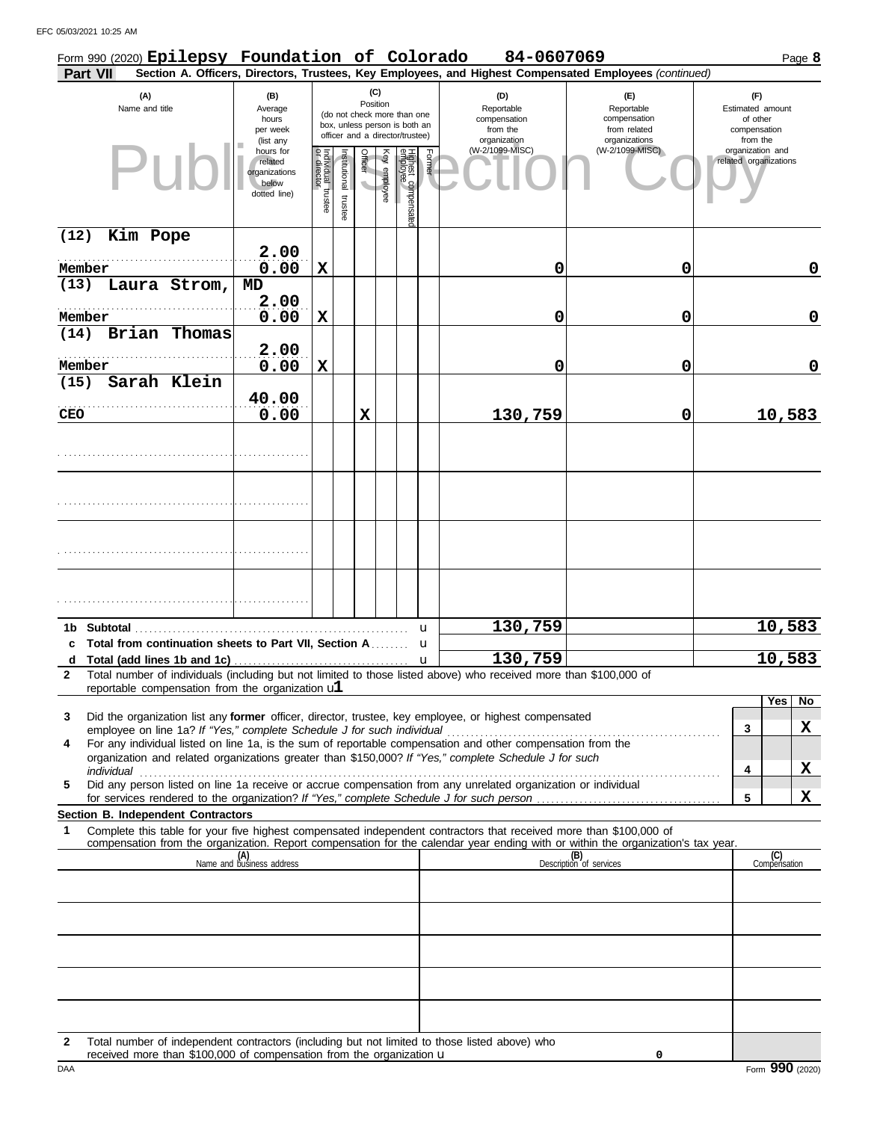|                    | Form 990 (2020) Epilepsy Foundation of Colorado                                                                                                                                                                                                        |                                                                |                                   |                       |                 |              |                                                                                                 |        | 84-0607069                                                                                             |                                                                    |                                                                 | Page 8                  |
|--------------------|--------------------------------------------------------------------------------------------------------------------------------------------------------------------------------------------------------------------------------------------------------|----------------------------------------------------------------|-----------------------------------|-----------------------|-----------------|--------------|-------------------------------------------------------------------------------------------------|--------|--------------------------------------------------------------------------------------------------------|--------------------------------------------------------------------|-----------------------------------------------------------------|-------------------------|
|                    | Part VII                                                                                                                                                                                                                                               |                                                                |                                   |                       |                 |              |                                                                                                 |        | Section A. Officers, Directors, Trustees, Key Employees, and Highest Compensated Employees (continued) |                                                                    |                                                                 |                         |
|                    | (A)<br>Name and title                                                                                                                                                                                                                                  | (B)<br>Average<br>hours<br>per week<br>(list any               |                                   |                       | (C)<br>Position |              | (do not check more than one<br>box, unless person is both an<br>officer and a director/trustee) |        | (D)<br>Reportable<br>compensation<br>from the<br>organization                                          | (E)<br>Reportable<br>compensation<br>from related<br>organizations | (F)<br>Estimated amount<br>of other<br>compensation<br>from the |                         |
|                    | $\mathsf{P}\mathsf{H}$                                                                                                                                                                                                                                 | hours for<br>related<br>organizations<br>below<br>dotted line) | Individual trustee<br>or director | Institutional trustee | Officer         | Key employee | Highest compensate<br>employee                                                                  | Former | (W-2/1099-MISC)                                                                                        | (W-2/1099-MISC)                                                    | organization and<br>related organizations                       |                         |
| (12)               | Kim Pope<br>Member                                                                                                                                                                                                                                     | 2.00<br>0.00                                                   | $\mathbf x$                       |                       |                 |              |                                                                                                 |        | 0                                                                                                      | 0                                                                  |                                                                 | 0                       |
| (13)               | Laura Strom,                                                                                                                                                                                                                                           | MD<br>2.00                                                     |                                   |                       |                 |              |                                                                                                 |        |                                                                                                        |                                                                    |                                                                 |                         |
|                    | Member                                                                                                                                                                                                                                                 | 0.00                                                           | $\mathbf x$                       |                       |                 |              |                                                                                                 |        | 0                                                                                                      | 0                                                                  |                                                                 | $\mathbf 0$             |
| (14)               | Brian Thomas<br>Member                                                                                                                                                                                                                                 | 2.00<br>0.00                                                   | $\mathbf x$                       |                       |                 |              |                                                                                                 |        | 0                                                                                                      | 0                                                                  |                                                                 | $\mathbf 0$             |
| (15)<br><b>CEO</b> | Sarah Klein                                                                                                                                                                                                                                            | 40.00<br>0.00                                                  |                                   |                       | X               |              |                                                                                                 |        | 130,759                                                                                                | 0                                                                  |                                                                 | 10,583                  |
|                    |                                                                                                                                                                                                                                                        |                                                                |                                   |                       |                 |              |                                                                                                 |        |                                                                                                        |                                                                    |                                                                 |                         |
|                    |                                                                                                                                                                                                                                                        |                                                                |                                   |                       |                 |              |                                                                                                 |        |                                                                                                        |                                                                    |                                                                 |                         |
|                    |                                                                                                                                                                                                                                                        |                                                                |                                   |                       |                 |              |                                                                                                 |        |                                                                                                        |                                                                    |                                                                 |                         |
|                    |                                                                                                                                                                                                                                                        |                                                                |                                   |                       |                 |              |                                                                                                 |        |                                                                                                        |                                                                    |                                                                 |                         |
|                    | Total from continuation sheets to Part VII, Section A                                                                                                                                                                                                  |                                                                |                                   |                       |                 |              |                                                                                                 | u<br>u | 130,759                                                                                                |                                                                    |                                                                 | 10,583                  |
| $\mathbf{2}$       | Total number of individuals (including but not limited to those listed above) who received more than \$100,000 of                                                                                                                                      |                                                                |                                   |                       |                 |              |                                                                                                 |        | 130,759                                                                                                |                                                                    |                                                                 | 583<br>10,              |
|                    | reportable compensation from the organization $\mathbf{u}$                                                                                                                                                                                             |                                                                |                                   |                       |                 |              |                                                                                                 |        |                                                                                                        |                                                                    |                                                                 | Yes  <br>N <sub>o</sub> |
| 3                  | Did the organization list any former officer, director, trustee, key employee, or highest compensated                                                                                                                                                  |                                                                |                                   |                       |                 |              |                                                                                                 |        |                                                                                                        |                                                                    | 3                                                               | $\mathbf x$             |
| 4                  | For any individual listed on line 1a, is the sum of reportable compensation and other compensation from the<br>organization and related organizations greater than \$150,000? If "Yes," complete Schedule J for such                                   |                                                                |                                   |                       |                 |              |                                                                                                 |        |                                                                                                        |                                                                    | 4                                                               | X                       |
| 5                  | Did any person listed on line 1a receive or accrue compensation from any unrelated organization or individual                                                                                                                                          |                                                                |                                   |                       |                 |              |                                                                                                 |        |                                                                                                        |                                                                    | 5                                                               | X                       |
|                    | Section B. Independent Contractors                                                                                                                                                                                                                     |                                                                |                                   |                       |                 |              |                                                                                                 |        |                                                                                                        |                                                                    |                                                                 |                         |
| 1                  | Complete this table for your five highest compensated independent contractors that received more than \$100,000 of<br>compensation from the organization. Report compensation for the calendar year ending with or within the organization's tax year. |                                                                |                                   |                       |                 |              |                                                                                                 |        |                                                                                                        |                                                                    |                                                                 |                         |
|                    |                                                                                                                                                                                                                                                        | (A)<br>Name and business address                               |                                   |                       |                 |              |                                                                                                 |        |                                                                                                        | (B)<br>Description of services                                     |                                                                 | (C)<br>Compensation     |
|                    |                                                                                                                                                                                                                                                        |                                                                |                                   |                       |                 |              |                                                                                                 |        |                                                                                                        |                                                                    |                                                                 |                         |
|                    |                                                                                                                                                                                                                                                        |                                                                |                                   |                       |                 |              |                                                                                                 |        |                                                                                                        |                                                                    |                                                                 |                         |
|                    |                                                                                                                                                                                                                                                        |                                                                |                                   |                       |                 |              |                                                                                                 |        |                                                                                                        |                                                                    |                                                                 |                         |
|                    |                                                                                                                                                                                                                                                        |                                                                |                                   |                       |                 |              |                                                                                                 |        |                                                                                                        |                                                                    |                                                                 |                         |
| $\mathbf{2}$       | Total number of independent contractors (including but not limited to those listed above) who                                                                                                                                                          |                                                                |                                   |                       |                 |              |                                                                                                 |        |                                                                                                        |                                                                    |                                                                 |                         |

received more than \$100,000 of compensation from the organization u

**0**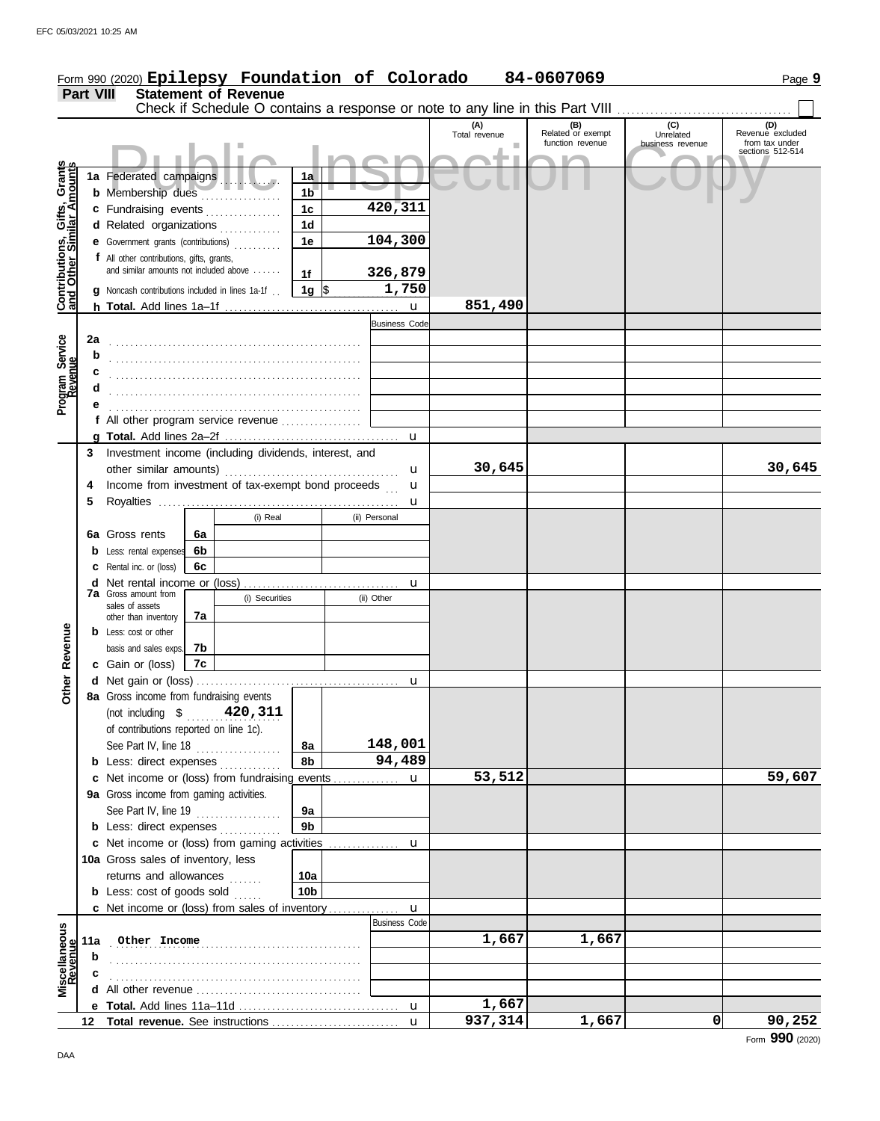|                                                                  |                  | Form 990 (2020) Epilepsy Foundation of Colorado         |    |                             |                 |               |                      |                      | 84-0607069                                                                    |                  | Page 9                             |
|------------------------------------------------------------------|------------------|---------------------------------------------------------|----|-----------------------------|-----------------|---------------|----------------------|----------------------|-------------------------------------------------------------------------------|------------------|------------------------------------|
|                                                                  | <b>Part VIII</b> |                                                         |    | <b>Statement of Revenue</b> |                 |               |                      |                      |                                                                               |                  |                                    |
|                                                                  |                  |                                                         |    |                             |                 |               |                      |                      | Check if Schedule O contains a response or note to any line in this Part VIII |                  |                                    |
|                                                                  |                  |                                                         |    |                             |                 |               |                      | (A)<br>Total revenue | (B)<br>Related or exempt                                                      | (C)<br>Unrelated | (D)<br>Revenue excluded            |
|                                                                  |                  |                                                         |    |                             |                 |               |                      |                      | function revenue                                                              | business revenue | from tax under<br>sections 512-514 |
|                                                                  |                  |                                                         |    |                             |                 |               |                      |                      |                                                                               |                  |                                    |
| <b>Contributions, Gifts, Grants</b><br>and Other Similar Amounts |                  | 1a Federated campaigns                                  |    |                             | 1a              |               |                      |                      |                                                                               |                  |                                    |
|                                                                  |                  | b Membership dues                                       |    |                             | 1 <sub>b</sub>  |               |                      |                      |                                                                               |                  |                                    |
|                                                                  |                  | c Fundraising events                                    |    |                             | 1 <sub>c</sub>  |               | 420,311              |                      |                                                                               |                  |                                    |
|                                                                  |                  | d Related organizations                                 |    | .                           | 1 <sub>d</sub>  |               |                      |                      |                                                                               |                  |                                    |
|                                                                  |                  | e Government grants (contributions)                     |    |                             | 1e              |               | 104,300              |                      |                                                                               |                  |                                    |
|                                                                  |                  | f All other contributions, gifts, grants,               |    |                             |                 |               |                      |                      |                                                                               |                  |                                    |
|                                                                  |                  | and similar amounts not included above                  |    |                             | 1f              |               | 326,879              |                      |                                                                               |                  |                                    |
|                                                                  |                  | <b>g</b> Noncash contributions included in lines 1a-1f. |    |                             | 1g $\sqrt{3}$   |               | 1,750                |                      |                                                                               |                  |                                    |
|                                                                  |                  |                                                         |    |                             |                 |               | $\mathbf{u}$         | 851,490              |                                                                               |                  |                                    |
|                                                                  |                  |                                                         |    |                             |                 |               | <b>Business Code</b> |                      |                                                                               |                  |                                    |
|                                                                  | 2a               |                                                         |    |                             |                 |               |                      |                      |                                                                               |                  |                                    |
|                                                                  | b                |                                                         |    |                             |                 |               |                      |                      |                                                                               |                  |                                    |
|                                                                  |                  |                                                         |    |                             |                 |               |                      |                      |                                                                               |                  |                                    |
|                                                                  |                  |                                                         |    |                             |                 |               |                      |                      |                                                                               |                  |                                    |
| Program Service<br>Revenue                                       |                  |                                                         |    |                             |                 |               |                      |                      |                                                                               |                  |                                    |
|                                                                  |                  | f All other program service revenue                     |    |                             |                 |               |                      |                      |                                                                               |                  |                                    |
|                                                                  |                  |                                                         |    |                             |                 |               | $\mathbf{u}$         |                      |                                                                               |                  |                                    |
|                                                                  |                  | 3 Investment income (including dividends, interest, and |    |                             |                 |               |                      |                      |                                                                               |                  |                                    |
|                                                                  |                  |                                                         |    |                             |                 |               | u                    | 30,645               |                                                                               |                  | 30,645                             |
|                                                                  | 4                | Income from investment of tax-exempt bond proceeds      |    |                             |                 |               | u                    |                      |                                                                               |                  |                                    |
|                                                                  | 5                |                                                         |    |                             |                 |               | u                    |                      |                                                                               |                  |                                    |
|                                                                  |                  |                                                         |    | (i) Real                    |                 | (ii) Personal |                      |                      |                                                                               |                  |                                    |
|                                                                  |                  | 6a Gross rents                                          | 6a |                             |                 |               |                      |                      |                                                                               |                  |                                    |
|                                                                  |                  | <b>b</b> Less: rental expenses                          | 6b |                             |                 |               |                      |                      |                                                                               |                  |                                    |
|                                                                  |                  | <b>c</b> Rental inc. or (loss)                          | 6с |                             |                 |               |                      |                      |                                                                               |                  |                                    |
|                                                                  |                  | d Net rental income or (loss)                           |    |                             |                 |               | u                    |                      |                                                                               |                  |                                    |
|                                                                  |                  | <b>7a</b> Gross amount from<br>sales of assets          |    | (i) Securities              |                 | (ii) Other    |                      |                      |                                                                               |                  |                                    |
|                                                                  |                  | other than inventory                                    | 7a |                             |                 |               |                      |                      |                                                                               |                  |                                    |
|                                                                  |                  | <b>b</b> Less: cost or other                            |    |                             |                 |               |                      |                      |                                                                               |                  |                                    |
| Revenue                                                          |                  | basis and sales exps.                                   | 7b |                             |                 |               |                      |                      |                                                                               |                  |                                    |
|                                                                  |                  | c Gain or (loss)                                        | 7c |                             |                 |               |                      |                      |                                                                               |                  |                                    |
| <b>Other</b>                                                     |                  | d Net gain or (loss)                                    |    |                             |                 |               |                      |                      |                                                                               |                  |                                    |
|                                                                  |                  | 8a Gross income from fundraising events                 |    |                             |                 |               |                      |                      |                                                                               |                  |                                    |
|                                                                  |                  | (not including $$$ 420, 311                             |    |                             |                 |               |                      |                      |                                                                               |                  |                                    |
|                                                                  |                  | of contributions reported on line 1c).                  |    |                             |                 |               |                      |                      |                                                                               |                  |                                    |
|                                                                  |                  | See Part IV, line 18                                    |    |                             | 8а              |               | 148,001              |                      |                                                                               |                  |                                    |
|                                                                  |                  | <b>b</b> Less: direct expenses                          |    |                             | 8b              |               | 94,489               |                      |                                                                               |                  |                                    |
|                                                                  |                  | c Net income or (loss) from fundraising events          |    |                             |                 |               | $\mathbf{u}$         | 53,512               |                                                                               |                  | 59,607                             |
|                                                                  |                  | 9a Gross income from gaming activities.                 |    |                             |                 |               |                      |                      |                                                                               |                  |                                    |
|                                                                  |                  | See Part IV, line 19                                    |    | .                           | 9а              |               |                      |                      |                                                                               |                  |                                    |
|                                                                  |                  | <b>b</b> Less: direct expenses                          |    |                             | 9 <sub>b</sub>  |               |                      |                      |                                                                               |                  |                                    |
|                                                                  |                  | c Net income or (loss) from gaming activities           |    |                             |                 |               | $\mathbf u$          |                      |                                                                               |                  |                                    |
|                                                                  |                  | 10a Gross sales of inventory, less                      |    |                             |                 |               |                      |                      |                                                                               |                  |                                    |
|                                                                  |                  | returns and allowances                                  |    |                             | 10a             |               |                      |                      |                                                                               |                  |                                    |
|                                                                  |                  | <b>b</b> Less: cost of goods sold                       |    |                             | 10 <sub>b</sub> |               |                      |                      |                                                                               |                  |                                    |
|                                                                  |                  | c Net income or (loss) from sales of inventory          |    |                             |                 |               | u                    |                      |                                                                               |                  |                                    |
|                                                                  |                  |                                                         |    |                             |                 |               | <b>Business Code</b> |                      |                                                                               |                  |                                    |
| Miscellaneous<br>Revenue                                         |                  | 11a Other Income                                        |    |                             |                 |               |                      | 1,667                | 1,667                                                                         |                  |                                    |
|                                                                  | b                |                                                         |    |                             |                 |               |                      |                      |                                                                               |                  |                                    |
|                                                                  |                  |                                                         |    |                             |                 |               |                      |                      |                                                                               |                  |                                    |
|                                                                  |                  |                                                         |    |                             |                 |               |                      |                      |                                                                               |                  |                                    |
|                                                                  |                  |                                                         |    |                             |                 |               | $\mathbf u$          | 1,667                |                                                                               |                  |                                    |
|                                                                  |                  |                                                         |    |                             |                 |               | $\mathbf{u}$         | 937,314              | 1,667                                                                         | 0                | 90,252                             |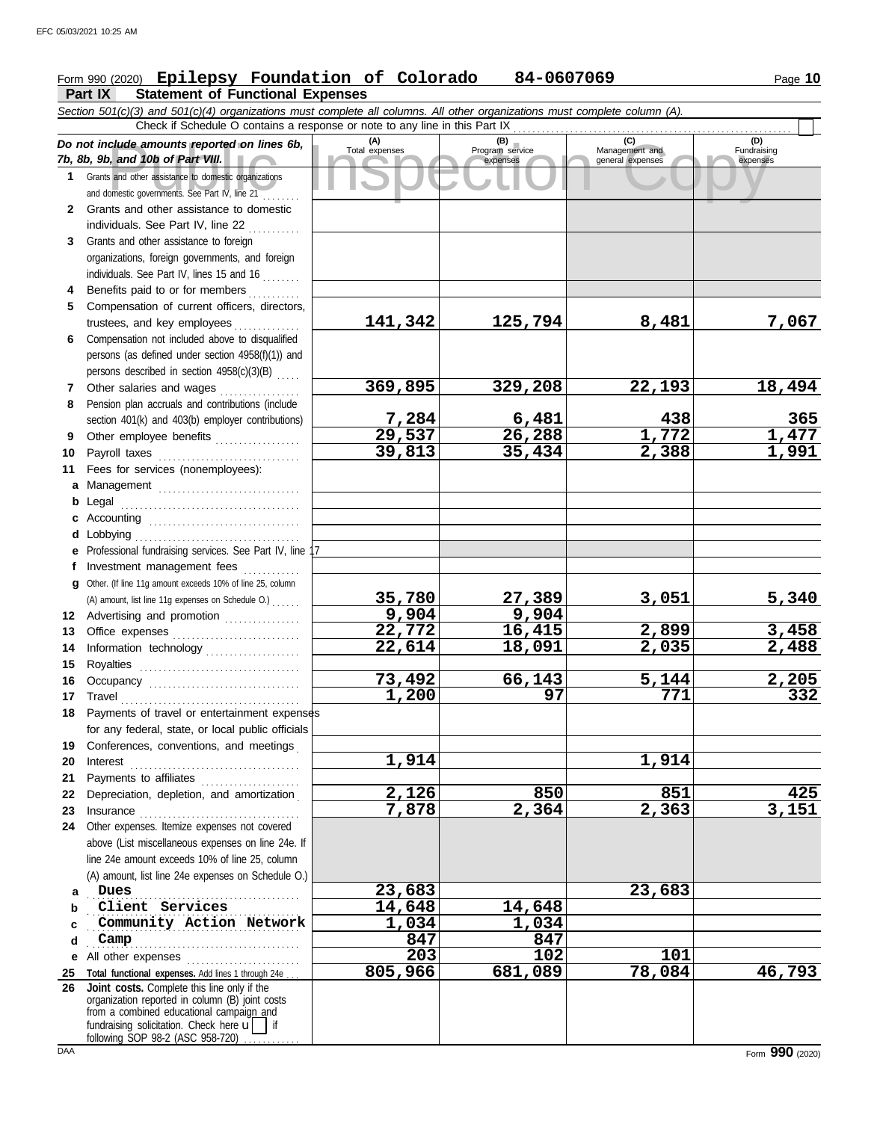# Form 990 (2020) Page **10 Epilepsy Foundation of Colorado 84-0607069**

**Part IX Statement of Functional Expenses**

|        | Section 501(c)(3) and 501(c)(4) organizations must complete all columns. All other organizations must complete column (A). |                       |                                    |                                           |                                |
|--------|----------------------------------------------------------------------------------------------------------------------------|-----------------------|------------------------------------|-------------------------------------------|--------------------------------|
|        | Check if Schedule O contains a response or note to any line in this Part IX                                                |                       |                                    |                                           |                                |
|        | Do not include amounts reported on lines 6b,<br>7b, 8b, 9b, and 10b of Part VIII.                                          | (A)<br>Total expenses | (B)<br>Program service<br>expenses | (C)<br>Management and<br>general expenses | (D)<br>Fundraising<br>expenses |
| 1.     | Grants and other assistance to domestic organizations<br>and domestic governments. See Part IV, line 21                    |                       |                                    |                                           |                                |
|        | 2 Grants and other assistance to domestic                                                                                  |                       |                                    |                                           |                                |
|        | individuals. See Part IV, line 22                                                                                          |                       |                                    |                                           |                                |
| 3      | Grants and other assistance to foreign                                                                                     |                       |                                    |                                           |                                |
|        | organizations, foreign governments, and foreign                                                                            |                       |                                    |                                           |                                |
|        | individuals. See Part IV, lines 15 and 16                                                                                  |                       |                                    |                                           |                                |
| 4<br>5 | Benefits paid to or for members<br>Compensation of current officers, directors,                                            |                       |                                    |                                           |                                |
|        | trustees, and key employees                                                                                                | 141,342               | 125,794                            | 8,481                                     | 7,067                          |
| 6      | Compensation not included above to disqualified                                                                            |                       |                                    |                                           |                                |
|        | persons (as defined under section 4958(f)(1)) and                                                                          |                       |                                    |                                           |                                |
|        | persons described in section 4958(c)(3)(B)                                                                                 |                       |                                    |                                           |                                |
| 7      | Other salaries and wages                                                                                                   | 369,895               | 329,208                            | 22,193                                    | 18,494                         |
| 8      | Pension plan accruals and contributions (include                                                                           |                       |                                    |                                           |                                |
|        | section 401(k) and 403(b) employer contributions)                                                                          |                       | 6,481                              | 438                                       | 365                            |
| 9      | Other employee benefits                                                                                                    | 7,284<br>29,537       | 26,288                             | 1,772                                     | 1,477                          |
| 10     | Payroll taxes                                                                                                              | 39,813                | 35,434                             | 2,388                                     | 1,991                          |
| 11     | Fees for services (nonemployees):                                                                                          |                       |                                    |                                           |                                |
| a      | Management                                                                                                                 |                       |                                    |                                           |                                |
| b      |                                                                                                                            |                       |                                    |                                           |                                |
| c      |                                                                                                                            |                       |                                    |                                           |                                |
| d      | Lobbying                                                                                                                   |                       |                                    |                                           |                                |
| e      | Professional fundraising services. See Part IV, line 17                                                                    |                       |                                    |                                           |                                |
| f      | Investment management fees                                                                                                 |                       |                                    |                                           |                                |
| q      | Other. (If line 11g amount exceeds 10% of line 25, column                                                                  |                       |                                    |                                           |                                |
|        | (A) amount, list line 11g expenses on Schedule O.)                                                                         | 35,780                | 27,389                             | 3,051                                     | 5,340                          |
| 12     | Advertising and promotion [1] [1] Advertising and promotion                                                                | 9,904                 | 9,904                              |                                           |                                |
| 13     |                                                                                                                            | 22,772                | 16,415                             | 2,899                                     | 3,458                          |
| 14     | Information technology                                                                                                     | 22,614                | 18,091                             | 2,035                                     | 2,488                          |
| 15     |                                                                                                                            |                       |                                    |                                           |                                |
| 16     |                                                                                                                            | 73,492                | 66,143<br>97                       | 5,144                                     | 2,205<br>332                   |
| 17     | Travel                                                                                                                     | 1,200                 |                                    | 771                                       |                                |
|        | Payments of travel or entertainment expenses<br>for any federal, state, or local public officials                          |                       |                                    |                                           |                                |
| 19     | Conferences, conventions, and meetings                                                                                     |                       |                                    |                                           |                                |
| 20     | Interest                                                                                                                   | 1,914                 |                                    | 1,914                                     |                                |
| 21     |                                                                                                                            |                       |                                    |                                           |                                |
| 22     | Depreciation, depletion, and amortization                                                                                  | 2,126                 | 850                                | 851                                       | 425                            |
| 23     | Insurance <b>construction</b>                                                                                              | 7,878                 | $\overline{2,364}$                 | $\overline{2,}363$                        | 3,151                          |
| 24     | Other expenses. Itemize expenses not covered                                                                               |                       |                                    |                                           |                                |
|        | above (List miscellaneous expenses on line 24e. If                                                                         |                       |                                    |                                           |                                |
|        | line 24e amount exceeds 10% of line 25, column                                                                             |                       |                                    |                                           |                                |
|        | (A) amount, list line 24e expenses on Schedule O.)                                                                         |                       |                                    |                                           |                                |
| a      | Dues                                                                                                                       | 23,683                |                                    | 23,683                                    |                                |
| b      | Client Services                                                                                                            | 14,648                | 14,648                             |                                           |                                |
| c      | Community Action Network                                                                                                   | 1,034                 | 1,034                              |                                           |                                |
| d      | Camp                                                                                                                       | 847                   | 847                                |                                           |                                |
| е      | All other expenses                                                                                                         | 203                   | 102                                | 101                                       |                                |
| 25     | Total functional expenses. Add lines 1 through 24e.                                                                        | 805,966               | 681,089                            | 78,084                                    | 46,793                         |
| 26     | Joint costs. Complete this line only if the<br>organization reported in column (B) joint costs                             |                       |                                    |                                           |                                |
|        | from a combined educational campaign and                                                                                   |                       |                                    |                                           |                                |
|        | fundraising solicitation. Check here $\mathbf{u}$   if<br>following SOP 98-2 (ASC 958-720)                                 |                       |                                    |                                           |                                |
|        |                                                                                                                            |                       |                                    |                                           |                                |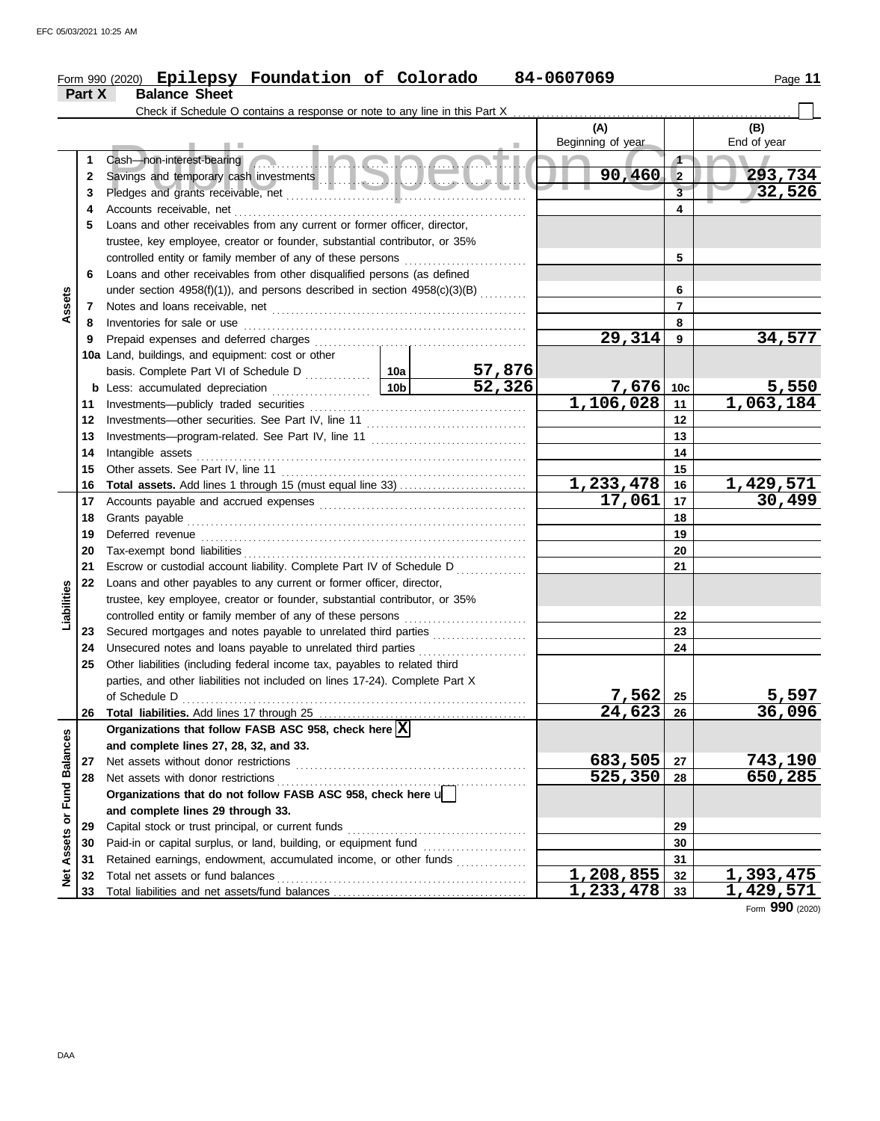#### Form 990 (2020) Page **11 Part X Balance Sheet Epilepsy Foundation of Colorado 84-0607069**

|                      |    | Check if Schedule O contains a response or note to any line in this Part X     |                 |                         |                        |                         |                  |
|----------------------|----|--------------------------------------------------------------------------------|-----------------|-------------------------|------------------------|-------------------------|------------------|
|                      |    |                                                                                |                 |                         | (A)                    |                         | (B)              |
|                      |    |                                                                                |                 |                         | Beginning of year      |                         | End of year      |
|                      | 1  | <u> Incina</u><br>Cash-non-interest-bearing                                    |                 |                         |                        | $\mathbf{f}$            |                  |
|                      | 2  |                                                                                |                 |                         | 90,460                 | $\overline{2}$          | 293,734          |
|                      | 3  |                                                                                |                 |                         |                        | $\overline{\mathbf{3}}$ | 32,526           |
|                      | 4  | Accounts receivable, net                                                       |                 |                         |                        | 4                       |                  |
|                      | 5  | Loans and other receivables from any current or former officer, director,      |                 |                         |                        |                         |                  |
|                      |    | trustee, key employee, creator or founder, substantial contributor, or 35%     |                 |                         |                        |                         |                  |
|                      |    | controlled entity or family member of any of these persons                     |                 |                         |                        | 5                       |                  |
|                      | 6  | Loans and other receivables from other disqualified persons (as defined        |                 |                         |                        |                         |                  |
|                      |    | under section $4958(f)(1)$ ), and persons described in section $4958(c)(3)(B)$ |                 |                         |                        | 6                       |                  |
| Assets               | 7  |                                                                                |                 |                         |                        | $\overline{7}$          |                  |
|                      | 8  | Inventories for sale or use                                                    |                 |                         |                        | 8                       |                  |
|                      | 9  | Prepaid expenses and deferred charges                                          |                 |                         | 29,314                 | 9                       | 34,577           |
|                      |    | 10a Land, buildings, and equipment: cost or other                              |                 |                         |                        |                         |                  |
|                      |    |                                                                                |                 |                         |                        |                         |                  |
|                      |    | <b>b</b> Less: accumulated depreciation<br>.                                   | 10 <sub>b</sub> | $\frac{57,876}{52,326}$ | 7,676 10c              |                         | 5,550            |
|                      | 11 | Investments--publicly traded securities                                        |                 |                         | $1,106,028$ 11         |                         | 1,063,184        |
|                      | 12 | Investments-other securities. See Part IV, line 11                             |                 |                         |                        | 12                      |                  |
|                      | 13 |                                                                                |                 | 13                      |                        |                         |                  |
|                      | 14 | Intangible assets                                                              |                 |                         |                        | 14                      |                  |
|                      | 15 | Other assets. See Part IV, line 11                                             |                 |                         |                        | 15                      |                  |
|                      | 16 |                                                                                |                 |                         | 1,233,478              | 16                      | 1,429,571        |
|                      | 17 |                                                                                |                 |                         | 17,061                 | 17                      | 30,499           |
|                      | 18 | Grants payable                                                                 |                 |                         |                        | 18                      |                  |
|                      | 19 | Deferred revenue                                                               |                 |                         | 19                     |                         |                  |
|                      | 20 | Tax-exempt bond liabilities                                                    |                 |                         |                        | 20                      |                  |
|                      | 21 | Escrow or custodial account liability. Complete Part IV of Schedule D          |                 |                         |                        | 21                      |                  |
|                      | 22 | Loans and other payables to any current or former officer, director,           |                 |                         |                        |                         |                  |
| Liabilities          |    | trustee, key employee, creator or founder, substantial contributor, or 35%     |                 |                         |                        |                         |                  |
|                      |    | controlled entity or family member of any of these persons                     |                 |                         |                        | 22                      |                  |
|                      | 23 | Secured mortgages and notes payable to unrelated third parties                 |                 |                         |                        | 23                      |                  |
|                      | 24 | Unsecured notes and loans payable to unrelated third parties                   |                 | .                       |                        | 24                      |                  |
|                      | 25 | Other liabilities (including federal income tax, payables to related third     |                 |                         |                        |                         |                  |
|                      |    | parties, and other liabilities not included on lines 17-24). Complete Part X   |                 |                         |                        |                         |                  |
|                      |    |                                                                                |                 |                         | 7,562                  | 25                      | 5,597            |
|                      |    |                                                                                |                 |                         | $\overline{24,623}$    | 26                      | 36,096           |
|                      |    | Organizations that follow FASB ASC 958, check here $ \overline{X} $            |                 |                         |                        |                         |                  |
|                      |    | and complete lines 27, 28, 32, and 33.                                         |                 |                         |                        |                         |                  |
|                      | 27 | Net assets without donor restrictions                                          |                 |                         | 683,505                | 27                      | <u>743,190</u>   |
|                      | 28 | Net assets with donor restrictions                                             |                 |                         | 525,350                | 28                      | 650,285          |
| <b>Fund Balances</b> |    | Organizations that do not follow FASB ASC 958, check here $\mathbf{u}$         |                 |                         |                        |                         |                  |
| ð                    |    | and complete lines 29 through 33.                                              |                 |                         |                        |                         |                  |
|                      | 29 | Capital stock or trust principal, or current funds                             |                 |                         |                        | 29                      |                  |
| Assets               | 30 | Paid-in or capital surplus, or land, building, or equipment fund               |                 | .                       |                        | 30                      |                  |
|                      | 31 | Retained earnings, endowment, accumulated income, or other funds               |                 |                         |                        | 31                      |                  |
| ğ                    | 32 | Total net assets or fund balances                                              |                 |                         | $\overline{1,208,855}$ | 32                      | 1,393,475        |
|                      | 33 |                                                                                |                 |                         | 1,233,478              | 33                      | <u>1,429,571</u> |

Form **990** (2020)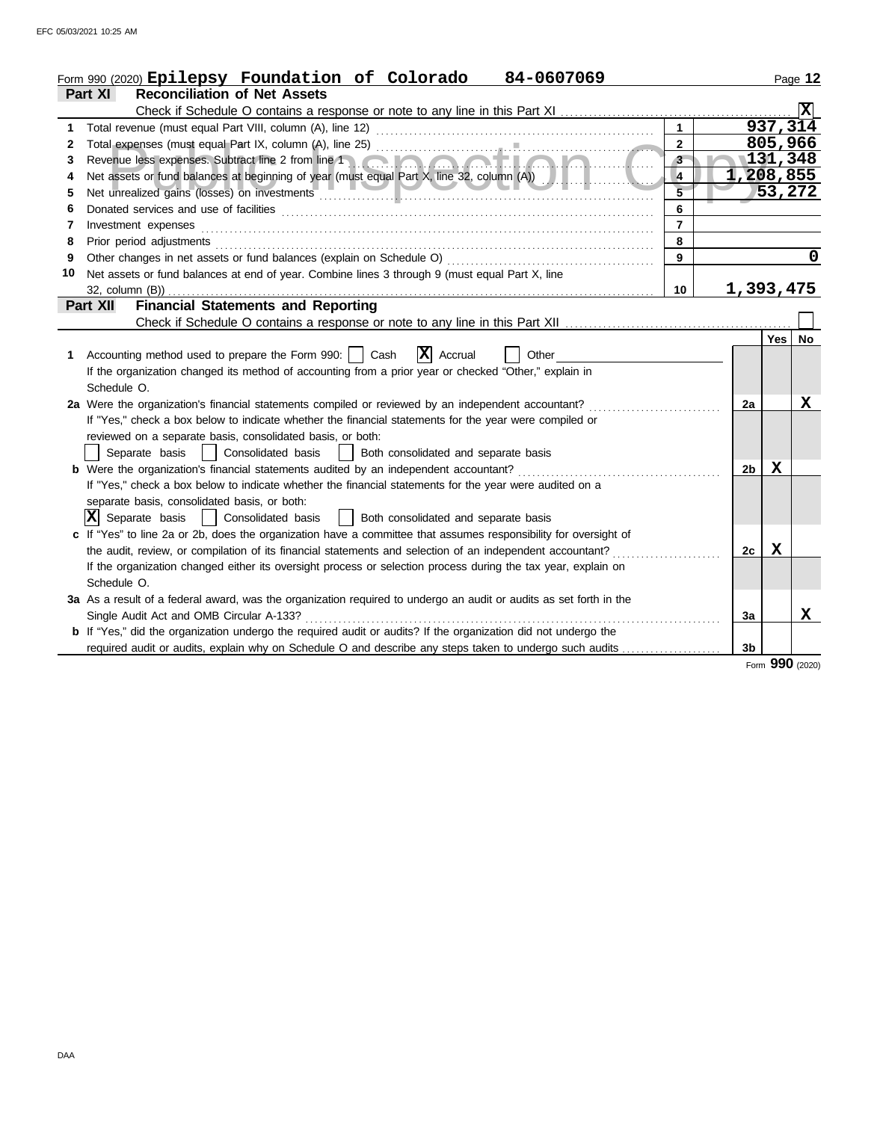|    | Form 990 (2020) Epilepsy Foundation of Colorado<br>84-0607069                                                                                                                                                                  |                 |                |          | Page 12   |
|----|--------------------------------------------------------------------------------------------------------------------------------------------------------------------------------------------------------------------------------|-----------------|----------------|----------|-----------|
|    | <b>Reconciliation of Net Assets</b><br>Part XI                                                                                                                                                                                 |                 |                |          |           |
|    |                                                                                                                                                                                                                                |                 |                |          |           |
| 1. |                                                                                                                                                                                                                                | $\mathbf 1$     |                | 937, 314 |           |
| 2  |                                                                                                                                                                                                                                | $\overline{2}$  |                | 805,966  |           |
| 3  |                                                                                                                                                                                                                                | $3 -$           |                | 131,348  |           |
| 4  |                                                                                                                                                                                                                                | $\overline{4}$  | 1,208,855      |          |           |
| 5  |                                                                                                                                                                                                                                |                 |                | 53,272   |           |
| 6  |                                                                                                                                                                                                                                | 6               |                |          |           |
| 7  | Investment expenses                                                                                                                                                                                                            | $\overline{7}$  |                |          |           |
| 8  | Prior period adjustments [11, 12] and the contract of the contract of the contract of the contract of the contract of the contract of the contract of the contract of the contract of the contract of the contract of the cont | 8               |                |          |           |
| 9  |                                                                                                                                                                                                                                | 9               |                |          | 0         |
| 10 | Net assets or fund balances at end of year. Combine lines 3 through 9 (must equal Part X, line                                                                                                                                 |                 |                |          |           |
|    | $32$ , column $(B)$ )                                                                                                                                                                                                          | 10 <sup>1</sup> | 1,393,475      |          |           |
|    | <b>Financial Statements and Reporting</b><br>Part XII                                                                                                                                                                          |                 |                |          |           |
|    |                                                                                                                                                                                                                                |                 |                |          |           |
|    |                                                                                                                                                                                                                                |                 |                | Yes      | <b>No</b> |
| 1. | $ \mathbf{X} $ Accrual<br>Accounting method used to prepare the Form 990:     Cash<br>Other                                                                                                                                    |                 |                |          |           |
|    | If the organization changed its method of accounting from a prior year or checked "Other," explain in                                                                                                                          |                 |                |          |           |
|    | Schedule O.                                                                                                                                                                                                                    |                 |                |          |           |
|    | 2a Were the organization's financial statements compiled or reviewed by an independent accountant?                                                                                                                             |                 | 2a             |          | X         |
|    | If "Yes," check a box below to indicate whether the financial statements for the year were compiled or                                                                                                                         |                 |                |          |           |
|    | reviewed on a separate basis, consolidated basis, or both:                                                                                                                                                                     |                 |                |          |           |
|    | Separate basis   Consolidated basis   Both consolidated and separate basis                                                                                                                                                     |                 |                |          |           |
|    | <b>b</b> Were the organization's financial statements audited by an independent accountant?                                                                                                                                    |                 | 2b             | X        |           |
|    | If "Yes," check a box below to indicate whether the financial statements for the year were audited on a                                                                                                                        |                 |                |          |           |
|    | separate basis, consolidated basis, or both:                                                                                                                                                                                   |                 |                |          |           |
|    | $ \mathbf{X} $ Separate basis $ \cdot $ Consolidated basis<br>  Both consolidated and separate basis                                                                                                                           |                 |                |          |           |
|    | c If "Yes" to line 2a or 2b, does the organization have a committee that assumes responsibility for oversight of                                                                                                               |                 |                |          |           |
|    | the audit, review, or compilation of its financial statements and selection of an independent accountant?                                                                                                                      |                 | 2c             | Х        |           |
|    | If the organization changed either its oversight process or selection process during the tax year, explain on                                                                                                                  |                 |                |          |           |
|    | Schedule O.                                                                                                                                                                                                                    |                 |                |          |           |
|    | 3a As a result of a federal award, was the organization required to undergo an audit or audits as set forth in the                                                                                                             |                 |                |          |           |
|    | Single Audit Act and OMB Circular A-133?                                                                                                                                                                                       |                 | 3a             |          | X         |
|    | <b>b</b> If "Yes," did the organization undergo the required audit or audits? If the organization did not undergo the                                                                                                          |                 |                |          |           |
|    | required audit or audits, explain why on Schedule O and describe any steps taken to undergo such audits                                                                                                                        |                 | 3 <sub>b</sub> |          |           |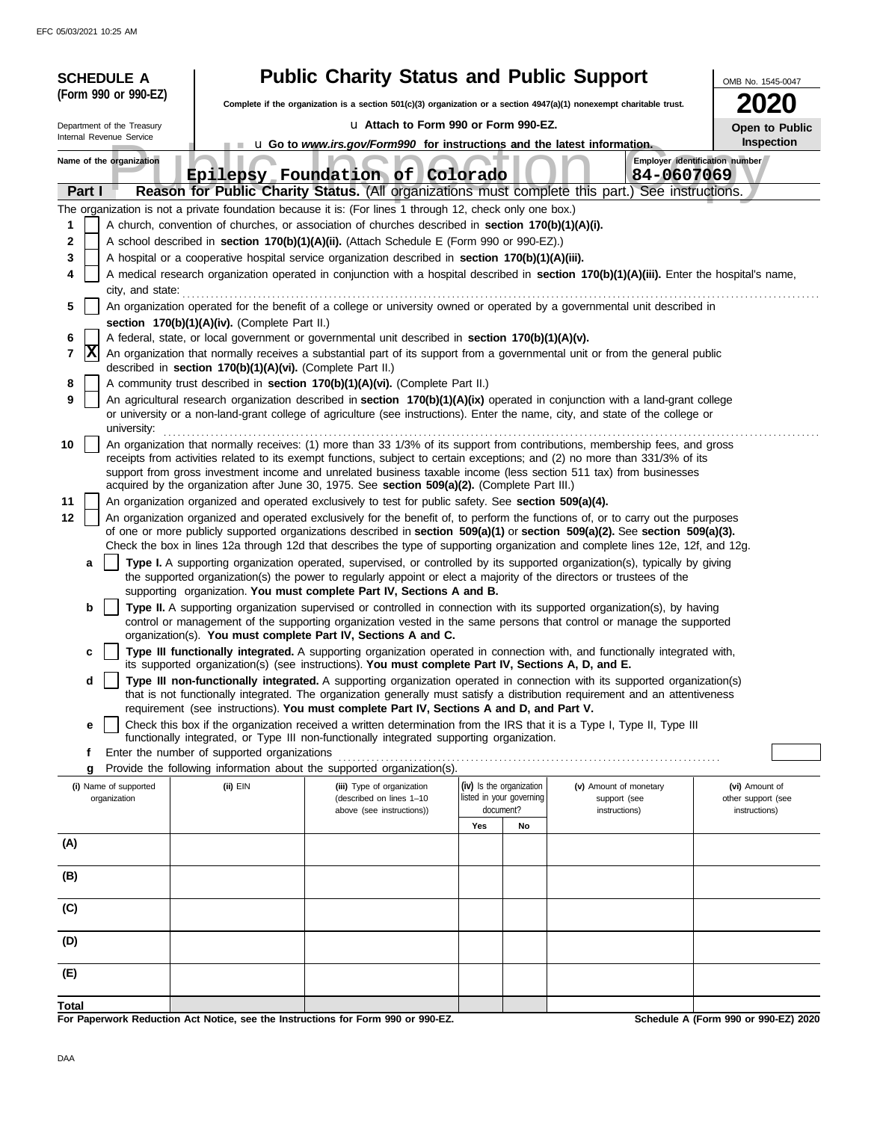| <b>SCHEDULE A</b>                                      |                                                                                                                                                                                                                                                                                                                                                                                 | <b>Public Charity Status and Public Support</b>                                                                          |                                       |                                                                                                                                                                                                                                                                 | OMB No. 1545-0047                                     |  |  |  |  |
|--------------------------------------------------------|---------------------------------------------------------------------------------------------------------------------------------------------------------------------------------------------------------------------------------------------------------------------------------------------------------------------------------------------------------------------------------|--------------------------------------------------------------------------------------------------------------------------|---------------------------------------|-----------------------------------------------------------------------------------------------------------------------------------------------------------------------------------------------------------------------------------------------------------------|-------------------------------------------------------|--|--|--|--|
| (Form 990 or 990-EZ)                                   |                                                                                                                                                                                                                                                                                                                                                                                 | Complete if the organization is a section $501(c)(3)$ organization or a section $4947(a)(1)$ nonexempt charitable trust. |                                       |                                                                                                                                                                                                                                                                 |                                                       |  |  |  |  |
|                                                        |                                                                                                                                                                                                                                                                                                                                                                                 | La Attach to Form 990 or Form 990-EZ.                                                                                    |                                       |                                                                                                                                                                                                                                                                 |                                                       |  |  |  |  |
| Department of the Treasury<br>Internal Revenue Service |                                                                                                                                                                                                                                                                                                                                                                                 |                                                                                                                          |                                       |                                                                                                                                                                                                                                                                 | Open to Public<br>Inspection                          |  |  |  |  |
| Name of the organization                               |                                                                                                                                                                                                                                                                                                                                                                                 | <b>u</b> Go to <i>www.irs.gov/Form990</i> for instructions and the latest information.                                   |                                       |                                                                                                                                                                                                                                                                 | Employer identification number                        |  |  |  |  |
|                                                        |                                                                                                                                                                                                                                                                                                                                                                                 | Epilepsy Foundation of Colorado                                                                                          |                                       | 84-0607069                                                                                                                                                                                                                                                      |                                                       |  |  |  |  |
| Part I                                                 |                                                                                                                                                                                                                                                                                                                                                                                 |                                                                                                                          |                                       | Reason for Public Charity Status. (All organizations must complete this part.) See instructions.                                                                                                                                                                |                                                       |  |  |  |  |
|                                                        |                                                                                                                                                                                                                                                                                                                                                                                 | The organization is not a private foundation because it is: (For lines 1 through 12, check only one box.)                |                                       |                                                                                                                                                                                                                                                                 |                                                       |  |  |  |  |
| 1                                                      |                                                                                                                                                                                                                                                                                                                                                                                 | A church, convention of churches, or association of churches described in <b>section 170(b)(1)(A)(i).</b>                |                                       |                                                                                                                                                                                                                                                                 |                                                       |  |  |  |  |
| 2                                                      |                                                                                                                                                                                                                                                                                                                                                                                 | A school described in section 170(b)(1)(A)(ii). (Attach Schedule E (Form 990 or 990-EZ).)                                |                                       |                                                                                                                                                                                                                                                                 |                                                       |  |  |  |  |
| 3                                                      |                                                                                                                                                                                                                                                                                                                                                                                 | A hospital or a cooperative hospital service organization described in section 170(b)(1)(A)(iii).                        |                                       |                                                                                                                                                                                                                                                                 |                                                       |  |  |  |  |
| 4                                                      |                                                                                                                                                                                                                                                                                                                                                                                 |                                                                                                                          |                                       | A medical research organization operated in conjunction with a hospital described in section 170(b)(1)(A)(iii). Enter the hospital's name,                                                                                                                      |                                                       |  |  |  |  |
| city, and state:<br>5                                  |                                                                                                                                                                                                                                                                                                                                                                                 |                                                                                                                          |                                       | An organization operated for the benefit of a college or university owned or operated by a governmental unit described in                                                                                                                                       |                                                       |  |  |  |  |
|                                                        | section 170(b)(1)(A)(iv). (Complete Part II.)                                                                                                                                                                                                                                                                                                                                   |                                                                                                                          |                                       |                                                                                                                                                                                                                                                                 |                                                       |  |  |  |  |
| 6                                                      |                                                                                                                                                                                                                                                                                                                                                                                 | A federal, state, or local government or governmental unit described in section 170(b)(1)(A)(v).                         |                                       |                                                                                                                                                                                                                                                                 |                                                       |  |  |  |  |
| X<br>7                                                 | described in section 170(b)(1)(A)(vi). (Complete Part II.)                                                                                                                                                                                                                                                                                                                      |                                                                                                                          |                                       | An organization that normally receives a substantial part of its support from a governmental unit or from the general public                                                                                                                                    |                                                       |  |  |  |  |
| 8                                                      |                                                                                                                                                                                                                                                                                                                                                                                 | A community trust described in section 170(b)(1)(A)(vi). (Complete Part II.)                                             |                                       |                                                                                                                                                                                                                                                                 |                                                       |  |  |  |  |
| 9<br>university:                                       |                                                                                                                                                                                                                                                                                                                                                                                 |                                                                                                                          |                                       | An agricultural research organization described in section 170(b)(1)(A)(ix) operated in conjunction with a land-grant college<br>or university or a non-land-grant college of agriculture (see instructions). Enter the name, city, and state of the college or |                                                       |  |  |  |  |
| 10                                                     | An organization that normally receives: (1) more than 33 1/3% of its support from contributions, membership fees, and gross<br>receipts from activities related to its exempt functions, subject to certain exceptions; and (2) no more than 331/3% of its<br>support from gross investment income and unrelated business taxable income (less section 511 tax) from businesses |                                                                                                                          |                                       |                                                                                                                                                                                                                                                                 |                                                       |  |  |  |  |
|                                                        |                                                                                                                                                                                                                                                                                                                                                                                 | acquired by the organization after June 30, 1975. See section 509(a)(2). (Complete Part III.)                            |                                       |                                                                                                                                                                                                                                                                 |                                                       |  |  |  |  |
| 11                                                     |                                                                                                                                                                                                                                                                                                                                                                                 | An organization organized and operated exclusively to test for public safety. See section 509(a)(4).                     |                                       |                                                                                                                                                                                                                                                                 |                                                       |  |  |  |  |
| 12                                                     |                                                                                                                                                                                                                                                                                                                                                                                 |                                                                                                                          |                                       | An organization organized and operated exclusively for the benefit of, to perform the functions of, or to carry out the purposes<br>of one or more publicly supported organizations described in section 509(a)(1) or section 509(a)(2). See section 509(a)(3). |                                                       |  |  |  |  |
|                                                        |                                                                                                                                                                                                                                                                                                                                                                                 |                                                                                                                          |                                       | Check the box in lines 12a through 12d that describes the type of supporting organization and complete lines 12e, 12f, and 12g.                                                                                                                                 |                                                       |  |  |  |  |
| a                                                      |                                                                                                                                                                                                                                                                                                                                                                                 |                                                                                                                          |                                       | Type I. A supporting organization operated, supervised, or controlled by its supported organization(s), typically by giving                                                                                                                                     |                                                       |  |  |  |  |
|                                                        |                                                                                                                                                                                                                                                                                                                                                                                 | the supported organization(s) the power to regularly appoint or elect a majority of the directors or trustees of the     |                                       |                                                                                                                                                                                                                                                                 |                                                       |  |  |  |  |
| b                                                      |                                                                                                                                                                                                                                                                                                                                                                                 | supporting organization. You must complete Part IV, Sections A and B.                                                    |                                       | Type II. A supporting organization supervised or controlled in connection with its supported organization(s), by having                                                                                                                                         |                                                       |  |  |  |  |
|                                                        |                                                                                                                                                                                                                                                                                                                                                                                 |                                                                                                                          |                                       | control or management of the supporting organization vested in the same persons that control or manage the supported                                                                                                                                            |                                                       |  |  |  |  |
|                                                        |                                                                                                                                                                                                                                                                                                                                                                                 | organization(s). You must complete Part IV, Sections A and C.                                                            |                                       |                                                                                                                                                                                                                                                                 |                                                       |  |  |  |  |
| c                                                      |                                                                                                                                                                                                                                                                                                                                                                                 | its supported organization(s) (see instructions). You must complete Part IV, Sections A, D, and E.                       |                                       | Type III functionally integrated. A supporting organization operated in connection with, and functionally integrated with,                                                                                                                                      |                                                       |  |  |  |  |
| d                                                      |                                                                                                                                                                                                                                                                                                                                                                                 |                                                                                                                          |                                       | Type III non-functionally integrated. A supporting organization operated in connection with its supported organization(s)                                                                                                                                       |                                                       |  |  |  |  |
|                                                        |                                                                                                                                                                                                                                                                                                                                                                                 | requirement (see instructions). You must complete Part IV, Sections A and D, and Part V.                                 |                                       | that is not functionally integrated. The organization generally must satisfy a distribution requirement and an attentiveness                                                                                                                                    |                                                       |  |  |  |  |
| e                                                      |                                                                                                                                                                                                                                                                                                                                                                                 |                                                                                                                          |                                       | Check this box if the organization received a written determination from the IRS that it is a Type I, Type II, Type III                                                                                                                                         |                                                       |  |  |  |  |
|                                                        |                                                                                                                                                                                                                                                                                                                                                                                 | functionally integrated, or Type III non-functionally integrated supporting organization.                                |                                       |                                                                                                                                                                                                                                                                 |                                                       |  |  |  |  |
| Ť.                                                     | Enter the number of supported organizations                                                                                                                                                                                                                                                                                                                                     |                                                                                                                          |                                       |                                                                                                                                                                                                                                                                 |                                                       |  |  |  |  |
| g                                                      |                                                                                                                                                                                                                                                                                                                                                                                 | Provide the following information about the supported organization(s).                                                   | (iv) Is the organization              |                                                                                                                                                                                                                                                                 |                                                       |  |  |  |  |
| (i) Name of supported<br>organization                  | $(ii)$ EIN                                                                                                                                                                                                                                                                                                                                                                      | (iii) Type of organization<br>(described on lines 1-10<br>above (see instructions))                                      | listed in your governing<br>document? | (v) Amount of monetary<br>support (see<br>instructions)                                                                                                                                                                                                         | (vi) Amount of<br>other support (see<br>instructions) |  |  |  |  |
|                                                        |                                                                                                                                                                                                                                                                                                                                                                                 |                                                                                                                          | Yes<br>No                             |                                                                                                                                                                                                                                                                 |                                                       |  |  |  |  |
| (A)                                                    |                                                                                                                                                                                                                                                                                                                                                                                 |                                                                                                                          |                                       |                                                                                                                                                                                                                                                                 |                                                       |  |  |  |  |
| (B)                                                    |                                                                                                                                                                                                                                                                                                                                                                                 |                                                                                                                          |                                       |                                                                                                                                                                                                                                                                 |                                                       |  |  |  |  |
|                                                        |                                                                                                                                                                                                                                                                                                                                                                                 |                                                                                                                          |                                       |                                                                                                                                                                                                                                                                 |                                                       |  |  |  |  |
| (C)                                                    |                                                                                                                                                                                                                                                                                                                                                                                 |                                                                                                                          |                                       |                                                                                                                                                                                                                                                                 |                                                       |  |  |  |  |
| (D)                                                    |                                                                                                                                                                                                                                                                                                                                                                                 |                                                                                                                          |                                       |                                                                                                                                                                                                                                                                 |                                                       |  |  |  |  |
| (E)                                                    |                                                                                                                                                                                                                                                                                                                                                                                 |                                                                                                                          |                                       |                                                                                                                                                                                                                                                                 |                                                       |  |  |  |  |
|                                                        |                                                                                                                                                                                                                                                                                                                                                                                 |                                                                                                                          |                                       |                                                                                                                                                                                                                                                                 |                                                       |  |  |  |  |
| Total                                                  |                                                                                                                                                                                                                                                                                                                                                                                 |                                                                                                                          |                                       |                                                                                                                                                                                                                                                                 | $0.00 - 0.000E71000$                                  |  |  |  |  |

**For Paperwork Reduction Act Notice, see the Instructions for Form 990 or 990-EZ.**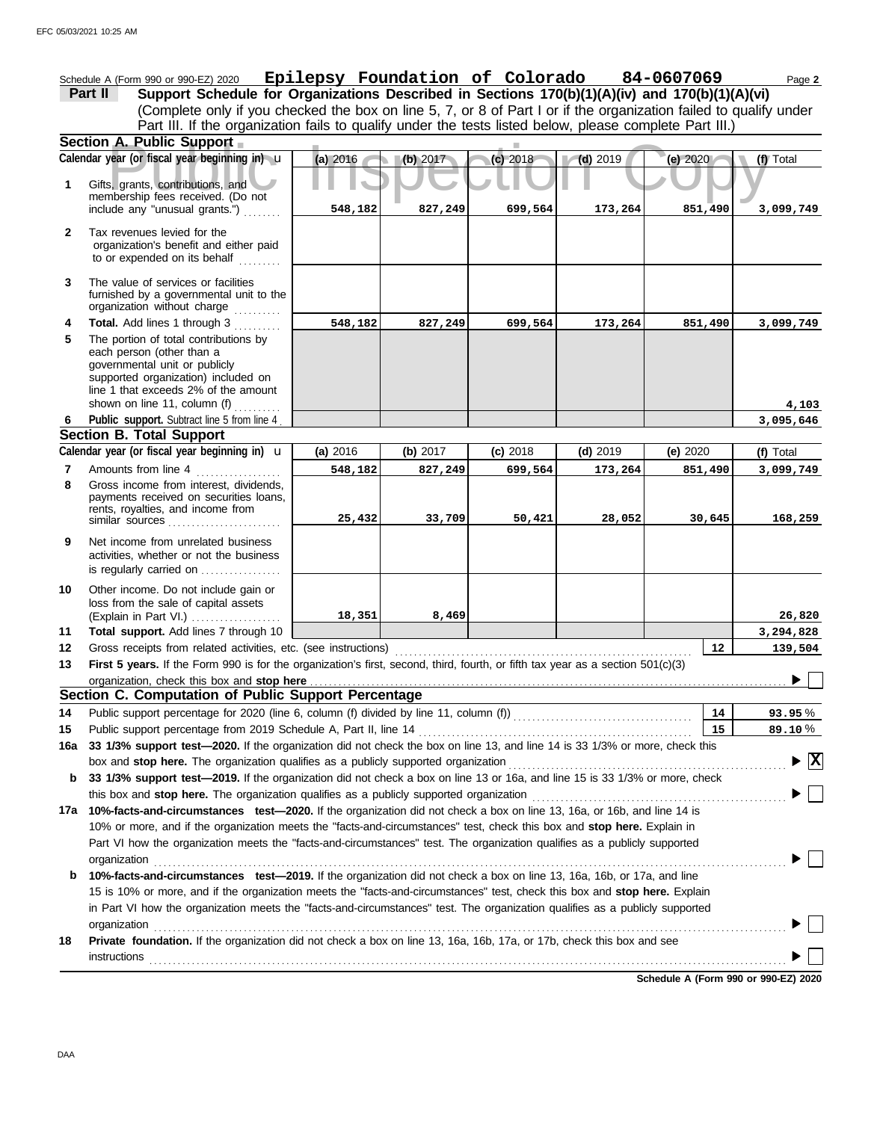**A. Public Support**<br>year (or fiscal year beginning in) **u** (a) 2016 (b) 2017 (c) 2018 (d) 2019 (e) 2020 (f)<br>s, grants, contributions, and therefore received. (Do not (Explain in Part VI.) . . . . . . . . . . . . . . . . . . . governmental unit or publicly **Section A. Public Support Total support.** Add lines 7 through 10 loss from the sale of capital assets Other income. Do not include gain or is regularly carried on ................. activities, whether or not the business Net income from unrelated business rents, royalties, and income from payments received on securities loans, Gross income from interest, dividends, line 1 that exceeds 2% of the amount supported organization) included on each person (other than a The portion of total contributions by **Total.** Add lines 1 through 3 .......... The value of services or facilities to or expended on its behalf ......... organization's benefit and either paid Tax revenues levied for the First 5 years. If the Form 990 is for the organization's first, second, third, fourth, or fifth tax year as a section 501(c)(3) Gross receipts from related activities, etc. (see instructions) . . . . . . . . . . . . . . . . . . . . . . . . . . . . . . . . . . . . . . . . . . . . . . . . . . . . . . . . . . . . . . . Amounts from line 4 Public support. Subtract line 5 from line 4 include any "unusual grants.") . . . . . . . . membership fees received. (Do not Gifts, grants, contributions, and Schedule A (Form 990 or 990-EZ) 2020 Page **2 Epilepsy Foundation of Colorado 84-0607069 13 12 11 9 8 6 4 3 2 1 (a)** 2016 **(b)** 2017 **(c)** 2018 **(d)** 2019 **(e)** 2020 (Complete only if you checked the box on line 5, 7, or 8 of Part I or if the organization failed to qualify under **Part II Support Schedule for Organizations Described in Sections 170(b)(1)(A)(iv) and 170(b)(1)(A)(vi)** Calendar year (or fiscal year beginning in)  $\cdot$  **(a)** 2016 (b) 2017 (c) 2018 (d) 2019 (d) 2019 (e) 2020 (f) Total furnished by a governmental unit to the organization without charge **5 Section B. Total Support 7** similar sources **10** organization, check this box and stop here **Section C. Computation of Public Support Percentage 12 14** Public support percentage for 2020 (line 6, column (f) divided by line 11, column (f)) . . . . . . . . . . . . . . . . . . . . . . . . . . . . . . . . . . . . . . Public support percentage from 2019 Schedule A, Part II, line 14 . . . . . . . . . . . . . . . . . . . . . . . . . . . . . . . . . . . . . . . . . . . . . . . . . . . . . . . . . . **15 16a 33 1/3% support test—2020.** If the organization did not check the box on line 13, and line 14 is 33 1/3% or more, check this box and stop here. The organization qualifies as a publicly supported organization .............. **b 33 1/3% support test—2019.** If the organization did not check a box on line 13 or 16a, and line 15 is 33 1/3% or more, check this box and **stop here.** The organization qualifies as a publicly supported organization . . . . . . . . . . . . . . . . . . . . . . . . . . . . . . . . . . . . . . . . . . . . . . . . . . . . . . **17a 10%-facts-and-circumstances test—2020.** If the organization did not check a box on line 13, 16a, or 16b, and line 14 is 10% or more, and if the organization meets the "facts-and-circumstances" test, check this box and **stop here.** Explain in Part VI how the organization meets the "facts-and-circumstances" test. The organization qualifies as a publicly supported **b 10%-facts-and-circumstances test—2019.** If the organization did not check a box on line 13, 16a, 16b, or 17a, and line in Part VI how the organization meets the "facts-and-circumstances" test. The organization qualifies as a publicly supported 15 is 10% or more, and if the organization meets the "facts-and-circumstances" test, check this box and **stop here.** Explain **18 Private foundation.** If the organization did not check a box on line 13, 16a, 16b, 17a, or 17b, check this box and see **14 15** % **93.95** % **89.10** Calendar year (or fiscal year beginning in)  $\mathbf{u}$  (a) 2016 (b) 2017 (c) 2018 (d) 2019 (e) 2020 (f) Total Part III. If the organization fails to qualify under the tests listed below, please complete Part III.) **(a)** 2016 shown on line 11, column (f)  $\ldots$ organization . . . . . . . . . . . . . . . . . . . . . . . . . . . . . . . . . . . . . . . . . . . . . . . . . . . . . . . . . . . . . . . . . . . . . . . . . . . . . . . . . . . . . . . . . . . . . . . . . . . . . . . . . . . . . . . . . . . . . . . . . . . . . . . . . . . . . . organization and the contract of the contract of the contract of the contract of the contract of the contract of the contract of the contract of the contract of the contract of the contract of the contract of the contract **instructions** u **(b)** 2017 **(c)** 2018 **(d)** 2019 **(e)** 2020 **548,182 827,249 699,564 173,264 851,490 3,099,749 548,182 827,249 699,564 173,264 851,490 3,099,749 4,103 3,095,646 548,182 827,249 699,564 173,264 851,490 3,099,749 25,432 33,709 50,421 28,052 30,645 168,259 18,351 8,469 26,820 3,294,828 139,504 X**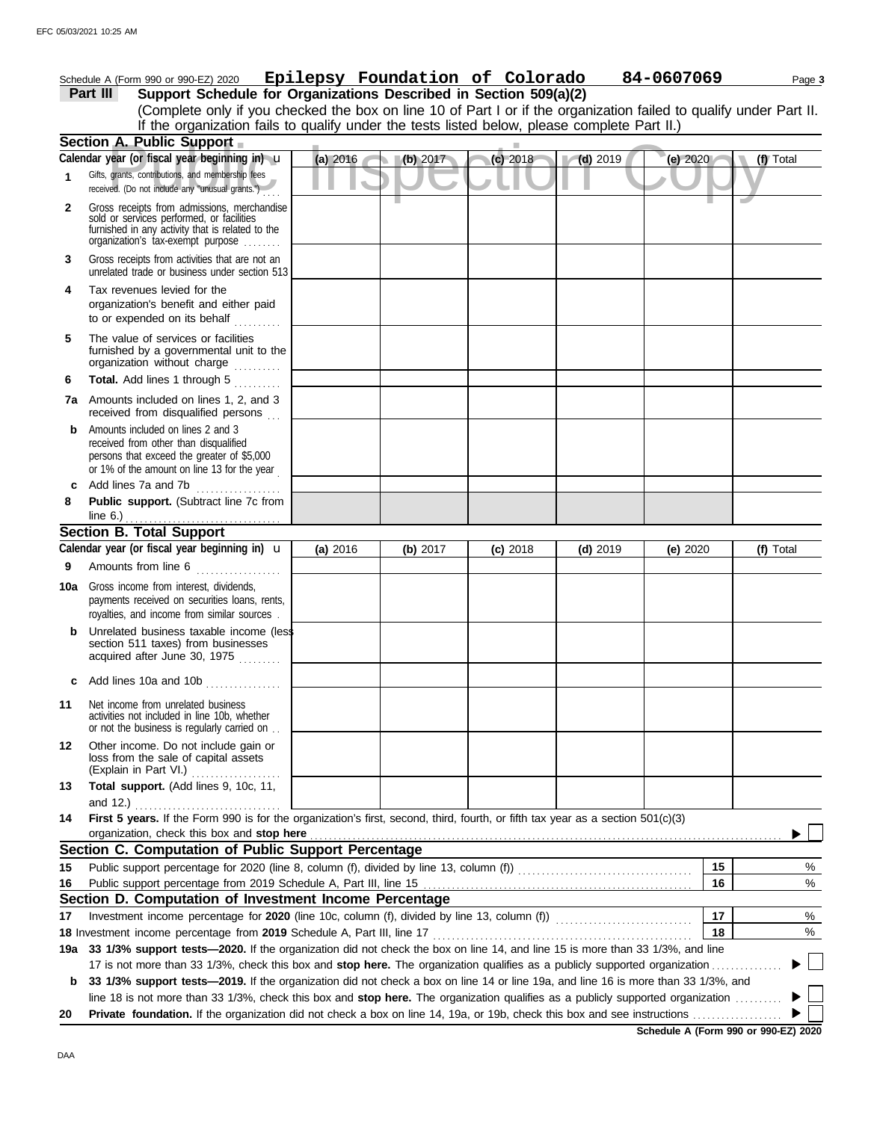|     | Schedule A (Form 990 or 990-EZ) 2020                                                                                                                                                                                                                                 | Epilepsy Foundation of Colorado |          |            |            | 84-0607069 | Page 3    |
|-----|----------------------------------------------------------------------------------------------------------------------------------------------------------------------------------------------------------------------------------------------------------------------|---------------------------------|----------|------------|------------|------------|-----------|
|     | Support Schedule for Organizations Described in Section 509(a)(2)<br>Part III                                                                                                                                                                                        |                                 |          |            |            |            |           |
|     | (Complete only if you checked the box on line 10 of Part I or if the organization failed to qualify under Part II.                                                                                                                                                   |                                 |          |            |            |            |           |
|     | If the organization fails to qualify under the tests listed below, please complete Part II.)                                                                                                                                                                         |                                 |          |            |            |            |           |
|     | Section A. Public Support                                                                                                                                                                                                                                            |                                 |          |            |            |            |           |
|     | Calendar year (or fiscal year beginning in) u                                                                                                                                                                                                                        | (a) 2016                        | (b) 2017 | $(c)$ 2018 | $(d)$ 2019 | (e) 2020   | (f) Total |
| 1   | Gifts, grants, contributions, and membership fees<br>received. (Do not include any "unusual grants.")                                                                                                                                                                |                                 |          |            |            |            |           |
| 2   | Gross receipts from admissions, merchandise<br>sold or services performed, or facilities<br>furnished in any activity that is related to the<br>organization's tax-exempt purpose                                                                                    |                                 |          |            |            |            |           |
| 3   | Gross receipts from activities that are not an<br>unrelated trade or business under section 513                                                                                                                                                                      |                                 |          |            |            |            |           |
| 4   | Tax revenues levied for the<br>organization's benefit and either paid<br>to or expended on its behalf                                                                                                                                                                |                                 |          |            |            |            |           |
| 5   | The value of services or facilities<br>furnished by a governmental unit to the<br>organization without charge                                                                                                                                                        |                                 |          |            |            |            |           |
| 6   | Total. Add lines 1 through 5                                                                                                                                                                                                                                         |                                 |          |            |            |            |           |
|     | 7a Amounts included on lines 1, 2, and 3<br>received from disqualified persons                                                                                                                                                                                       |                                 |          |            |            |            |           |
| b   | Amounts included on lines 2 and 3<br>received from other than disqualified<br>persons that exceed the greater of \$5,000<br>or 1% of the amount on line 13 for the year                                                                                              |                                 |          |            |            |            |           |
| c   | Add lines 7a and 7b                                                                                                                                                                                                                                                  |                                 |          |            |            |            |           |
| 8   | Public support. (Subtract line 7c from                                                                                                                                                                                                                               |                                 |          |            |            |            |           |
|     | <b>Section B. Total Support</b>                                                                                                                                                                                                                                      |                                 |          |            |            |            |           |
|     | Calendar year (or fiscal year beginning in) $\mathbf u$                                                                                                                                                                                                              | (a) 2016                        | (b) 2017 | $(c)$ 2018 | $(d)$ 2019 | (e) $2020$ | (f) Total |
| 9   | Amounts from line 6                                                                                                                                                                                                                                                  |                                 |          |            |            |            |           |
| 10a | Gross income from interest, dividends,<br>payments received on securities loans, rents,<br>royalties, and income from similar sources.                                                                                                                               |                                 |          |            |            |            |           |
|     | Unrelated business taxable income (less<br>section 511 taxes) from businesses<br>acquired after June 30, 1975                                                                                                                                                        |                                 |          |            |            |            |           |
|     | c Add lines 10a and 10b                                                                                                                                                                                                                                              |                                 |          |            |            |            |           |
| 11  | Net income from unrelated business<br>activities not included in line 10b, whether<br>or not the business is regularly carried on                                                                                                                                    |                                 |          |            |            |            |           |
| 12  | Other income. Do not include gain or<br>loss from the sale of capital assets<br>(Explain in Part VI.)                                                                                                                                                                |                                 |          |            |            |            |           |
| 13  | Total support. (Add lines 9, 10c, 11,<br>and 12.)                                                                                                                                                                                                                    |                                 |          |            |            |            |           |
| 14  | First 5 years. If the Form 990 is for the organization's first, second, third, fourth, or fifth tax year as a section 501(c)(3)<br>organization, check this box and stop here                                                                                        |                                 |          |            |            |            |           |
|     | Section C. Computation of Public Support Percentage                                                                                                                                                                                                                  |                                 |          |            |            |            |           |
| 15  |                                                                                                                                                                                                                                                                      |                                 |          |            |            | 15         | %         |
| 16  |                                                                                                                                                                                                                                                                      |                                 |          |            |            | 16         | %         |
|     | Section D. Computation of Investment Income Percentage                                                                                                                                                                                                               |                                 |          |            |            |            |           |
| 17  |                                                                                                                                                                                                                                                                      |                                 |          |            |            | 17         | %         |
|     |                                                                                                                                                                                                                                                                      |                                 |          |            |            | 18         | %         |
|     | 19a 33 1/3% support tests-2020. If the organization did not check the box on line 14, and line 15 is more than 33 1/3%, and line                                                                                                                                     |                                 |          |            |            |            |           |
|     | 17 is not more than 33 1/3%, check this box and stop here. The organization qualifies as a publicly supported organization                                                                                                                                           |                                 |          |            |            |            |           |
| b   | 33 1/3% support tests—2019. If the organization did not check a box on line 14 or line 19a, and line 16 is more than 33 1/3%, and<br>line 18 is not more than 33 1/3%, check this box and stop here. The organization qualifies as a publicly supported organization |                                 |          |            |            |            |           |
| 20  |                                                                                                                                                                                                                                                                      |                                 |          |            |            |            |           |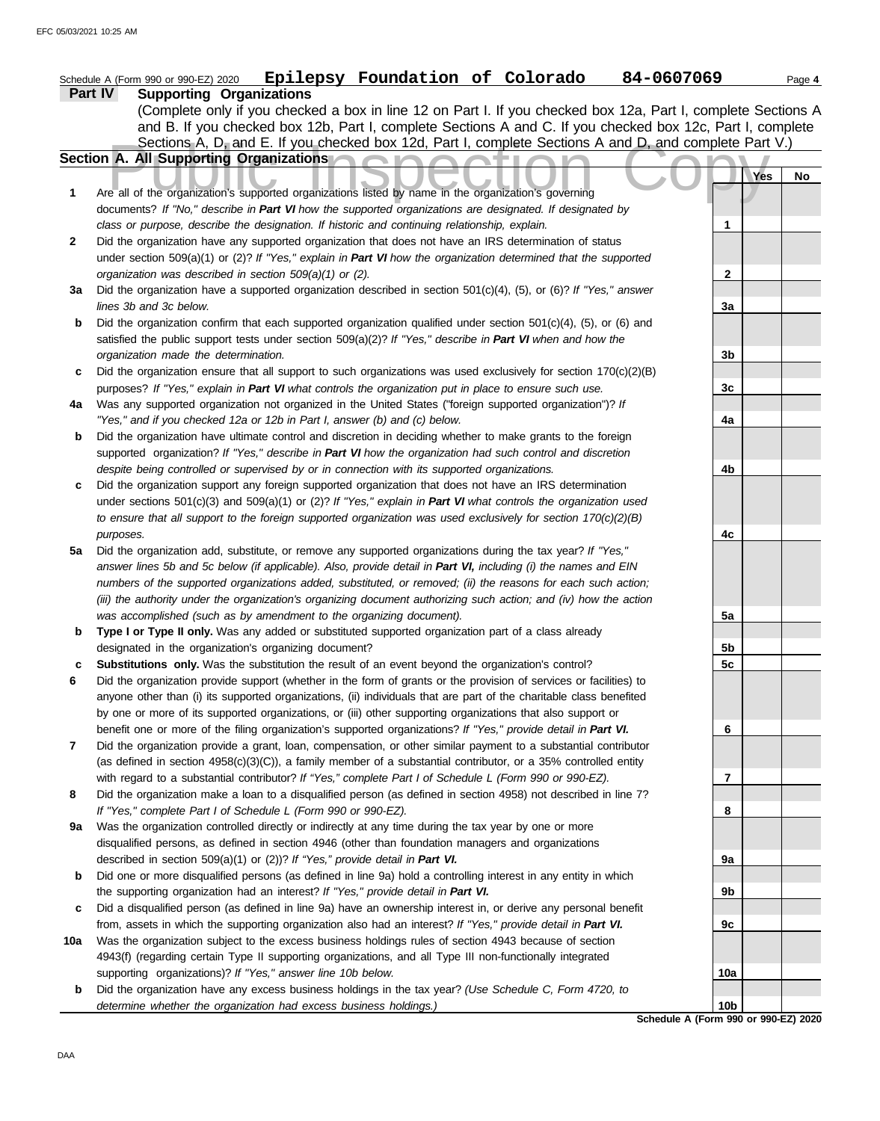|              | Epilepsy Foundation of Colorado<br>84-0607069<br>Schedule A (Form 990 or 990-EZ) 2020                                                                                                                                           |                |     | Page 4 |
|--------------|---------------------------------------------------------------------------------------------------------------------------------------------------------------------------------------------------------------------------------|----------------|-----|--------|
|              | <b>Supporting Organizations</b><br>Part IV                                                                                                                                                                                      |                |     |        |
|              | (Complete only if you checked a box in line 12 on Part I. If you checked box 12a, Part I, complete Sections A                                                                                                                   |                |     |        |
|              | and B. If you checked box 12b, Part I, complete Sections A and C. If you checked box 12c, Part I, complete                                                                                                                      |                |     |        |
|              | Sections A, D, and E. If you checked box 12d, Part I, complete Sections A and D, and complete Part V.)                                                                                                                          |                |     |        |
|              | Section A. All Supporting Organizations                                                                                                                                                                                         |                |     |        |
|              |                                                                                                                                                                                                                                 |                | Yes | No     |
| 1            | Are all of the organization's supported organizations listed by name in the organization's governing                                                                                                                            |                |     |        |
|              | documents? If "No," describe in Part VI how the supported organizations are designated. If designated by                                                                                                                        |                |     |        |
|              | class or purpose, describe the designation. If historic and continuing relationship, explain.                                                                                                                                   | 1              |     |        |
| $\mathbf{2}$ | Did the organization have any supported organization that does not have an IRS determination of status                                                                                                                          |                |     |        |
|              | under section 509(a)(1) or (2)? If "Yes," explain in Part VI how the organization determined that the supported                                                                                                                 |                |     |        |
|              | organization was described in section 509(a)(1) or (2).                                                                                                                                                                         | $\mathbf{2}$   |     |        |
| За           | Did the organization have a supported organization described in section $501(c)(4)$ , (5), or (6)? If "Yes," answer<br>lines 3b and 3c below.                                                                                   | 3a             |     |        |
| b            | Did the organization confirm that each supported organization qualified under section $501(c)(4)$ , (5), or (6) and                                                                                                             |                |     |        |
|              | satisfied the public support tests under section 509(a)(2)? If "Yes," describe in Part VI when and how the                                                                                                                      |                |     |        |
|              | organization made the determination.                                                                                                                                                                                            | 3b             |     |        |
| c            | Did the organization ensure that all support to such organizations was used exclusively for section $170(c)(2)(B)$                                                                                                              |                |     |        |
|              | purposes? If "Yes," explain in Part VI what controls the organization put in place to ensure such use.                                                                                                                          | 3 <sub>c</sub> |     |        |
| 4a           | Was any supported organization not organized in the United States ("foreign supported organization")? If                                                                                                                        |                |     |        |
|              | "Yes," and if you checked 12a or 12b in Part I, answer (b) and (c) below.                                                                                                                                                       | 4a             |     |        |
| b            | Did the organization have ultimate control and discretion in deciding whether to make grants to the foreign                                                                                                                     |                |     |        |
|              | supported organization? If "Yes," describe in Part VI how the organization had such control and discretion                                                                                                                      |                |     |        |
|              | despite being controlled or supervised by or in connection with its supported organizations.                                                                                                                                    | 4b             |     |        |
| c            | Did the organization support any foreign supported organization that does not have an IRS determination                                                                                                                         |                |     |        |
|              | under sections $501(c)(3)$ and $509(a)(1)$ or (2)? If "Yes," explain in Part VI what controls the organization used                                                                                                             |                |     |        |
|              | to ensure that all support to the foreign supported organization was used exclusively for section $170(c)(2)(B)$                                                                                                                |                |     |        |
|              | purposes.                                                                                                                                                                                                                       | 4c             |     |        |
| 5a           | Did the organization add, substitute, or remove any supported organizations during the tax year? If "Yes,"                                                                                                                      |                |     |        |
|              | answer lines 5b and 5c below (if applicable). Also, provide detail in Part VI, including (i) the names and EIN<br>numbers of the supported organizations added, substituted, or removed; (ii) the reasons for each such action; |                |     |        |
|              | (iii) the authority under the organization's organizing document authorizing such action; and (iv) how the action                                                                                                               |                |     |        |
|              | was accomplished (such as by amendment to the organizing document).                                                                                                                                                             | 5a             |     |        |
| b            | Type I or Type II only. Was any added or substituted supported organization part of a class already                                                                                                                             |                |     |        |
|              | designated in the organization's organizing document?                                                                                                                                                                           | 5b             |     |        |
|              | Substitutions only. Was the substitution the result of an event beyond the organization's control?                                                                                                                              | 5c             |     |        |
|              | Did the organization provide support (whether in the form of grants or the provision of services or facilities) to                                                                                                              |                |     |        |
|              | anyone other than (i) its supported organizations, (ii) individuals that are part of the charitable class benefited                                                                                                             |                |     |        |
|              | by one or more of its supported organizations, or (iii) other supporting organizations that also support or                                                                                                                     |                |     |        |
|              | benefit one or more of the filing organization's supported organizations? If "Yes," provide detail in Part VI.                                                                                                                  | 6              |     |        |
| 7            | Did the organization provide a grant, loan, compensation, or other similar payment to a substantial contributor                                                                                                                 |                |     |        |
|              | (as defined in section $4958(c)(3)(C)$ ), a family member of a substantial contributor, or a 35% controlled entity                                                                                                              |                |     |        |
|              | with regard to a substantial contributor? If "Yes," complete Part I of Schedule L (Form 990 or 990-EZ).                                                                                                                         | 7              |     |        |
| 8            | Did the organization make a loan to a disqualified person (as defined in section 4958) not described in line 7?                                                                                                                 |                |     |        |
|              | If "Yes," complete Part I of Schedule L (Form 990 or 990-EZ).                                                                                                                                                                   | 8              |     |        |
| 9a           | Was the organization controlled directly or indirectly at any time during the tax year by one or more                                                                                                                           |                |     |        |
|              | disqualified persons, as defined in section 4946 (other than foundation managers and organizations<br>described in section 509(a)(1) or (2))? If "Yes," provide detail in Part VI.                                              | 9а             |     |        |
| b            | Did one or more disqualified persons (as defined in line 9a) hold a controlling interest in any entity in which                                                                                                                 |                |     |        |
|              | the supporting organization had an interest? If "Yes," provide detail in Part VI.                                                                                                                                               | 9b             |     |        |
| c            | Did a disqualified person (as defined in line 9a) have an ownership interest in, or derive any personal benefit                                                                                                                 |                |     |        |
|              | from, assets in which the supporting organization also had an interest? If "Yes," provide detail in Part VI.                                                                                                                    | 9c             |     |        |
| 10a          | Was the organization subject to the excess business holdings rules of section 4943 because of section                                                                                                                           |                |     |        |
|              | 4943(f) (regarding certain Type II supporting organizations, and all Type III non-functionally integrated                                                                                                                       |                |     |        |
|              | supporting organizations)? If "Yes," answer line 10b below.                                                                                                                                                                     | 10a            |     |        |
| b            | Did the organization have any excess business holdings in the tax year? (Use Schedule C, Form 4720, to                                                                                                                          |                |     |        |
|              | determine whether the organization had excess business holdings.)                                                                                                                                                               | 10b            |     |        |
|              | Schedule A (Form 990 or 990-EZ) 2020                                                                                                                                                                                            |                |     |        |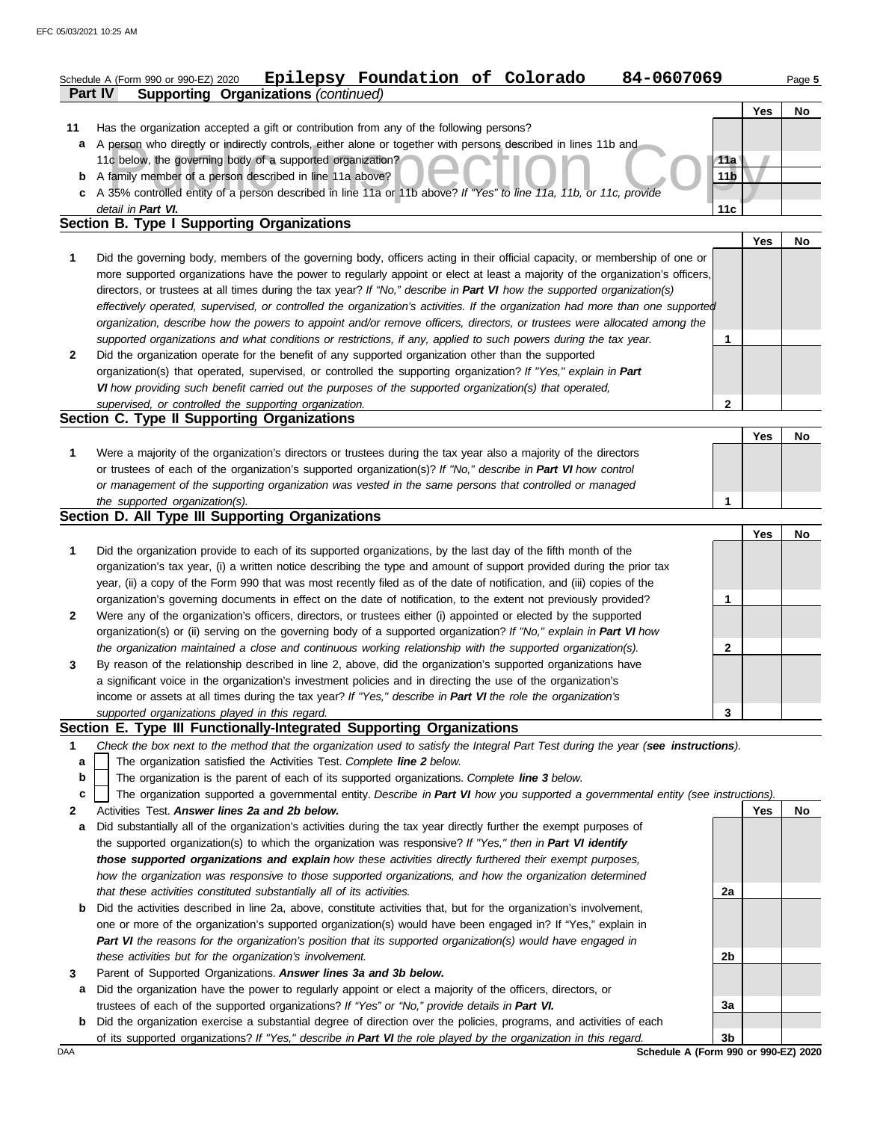## **Part IV Supporting Organizations** *(continued)* Schedule A (Form 990 or 990-EZ) 2020 Page **5 Epilepsy Foundation of Colorado 84-0607069**

|    |                                                                                                                      |                 | Yes | No |
|----|----------------------------------------------------------------------------------------------------------------------|-----------------|-----|----|
| 11 | Has the organization accepted a gift or contribution from any of the following persons?                              |                 |     |    |
| a  | A person who directly or indirectly controls, either alone or together with persons described in lines 11b and       |                 |     |    |
|    | 11c below, the governing body of a supported organization?                                                           | 11a             |     |    |
| b  | A family member of a person described in line 11a above?                                                             | 11 <sub>b</sub> |     |    |
|    | c A 35% controlled entity of a person described in line 11a or 11b above? If "Yes" to line 11a, 11b, or 11c, provide |                 |     |    |
|    | detail in Part VI.                                                                                                   | 11c             |     |    |
|    | Section B. Type I Supporting Organizations                                                                           |                 |     |    |

| Yes | No |
|-----|----|
|     |    |
|     |    |
|     |    |
|     |    |
|     |    |
|     |    |
|     |    |
|     |    |
|     |    |
|     |    |
|     |    |

|                                                                                                                  | Yes |  |
|------------------------------------------------------------------------------------------------------------------|-----|--|
| Were a majority of the organization's directors or trustees during the tax year also a majority of the directors |     |  |
| or trustees of each of the organization's supported organization(s)? If "No," describe in Part VI how control    |     |  |
| or management of the supporting organization was vested in the same persons that controlled or managed           |     |  |
| the supported organization(s).                                                                                   |     |  |

## **Section D. All Type III Supporting Organizations**

|                |                                                                                                                        |   | Yes | No |
|----------------|------------------------------------------------------------------------------------------------------------------------|---|-----|----|
| 1              | Did the organization provide to each of its supported organizations, by the last day of the fifth month of the         |   |     |    |
|                | organization's tax year, (i) a written notice describing the type and amount of support provided during the prior tax  |   |     |    |
|                | year, (ii) a copy of the Form 990 that was most recently filed as of the date of notification, and (iii) copies of the |   |     |    |
|                | organization's governing documents in effect on the date of notification, to the extent not previously provided?       |   |     |    |
| $\overline{2}$ | Were any of the organization's officers, directors, or trustees either (i) appointed or elected by the supported       |   |     |    |
|                | organization(s) or (ii) serving on the governing body of a supported organization? If "No," explain in Part VI how     |   |     |    |
|                | the organization maintained a close and continuous working relationship with the supported organization(s).            | 2 |     |    |
| $\mathbf{3}$   | By reason of the relationship described in line 2, above, did the organization's supported organizations have          |   |     |    |
|                | a significant voice in the organization's investment policies and in directing the use of the organization's           |   |     |    |
|                | income or assets at all times during the tax year? If "Yes," describe in Part VI the role the organization's           |   |     |    |
|                | supported organizations played in this regard.                                                                         |   |     |    |

## **Section E. Type III Functionally-Integrated Supporting Organizations**

- **1** *Check the box next to the method that the organization used to satisfy the Integral Part Test during the year (see instructions).*
	- The organization satisfied the Activities Test. *Complete line 2 below.* **a**
	- The organization is the parent of each of its supported organizations. *Complete line 3 below.* **b**
	- The organization supported a governmental entity. *Describe in Part VI how you supported a governmental entity (see instructions).* **c**
- **2** Activities Test. *Answer lines 2a and 2b below.*
- **a** Did substantially all of the organization's activities during the tax year directly further the exempt purposes of the supported organization(s) to which the organization was responsive? *If "Yes," then in Part VI identify those supported organizations and explain how these activities directly furthered their exempt purposes, how the organization was responsive to those supported organizations, and how the organization determined that these activities constituted substantially all of its activities.*
- **b** Did the activities described in line 2a, above, constitute activities that, but for the organization's involvement, one or more of the organization's supported organization(s) would have been engaged in? If "Yes," explain in *Part VI the reasons for the organization's position that its supported organization(s) would have engaged in these activities but for the organization's involvement.*
- **3** Parent of Supported Organizations. *Answer lines 3a and 3b below.*
	- **a** Did the organization have the power to regularly appoint or elect a majority of the officers, directors, or trustees of each of the supported organizations? *If "Yes" or "No," provide details in Part VI.*
- **b** Did the organization exercise a substantial degree of direction over the policies, programs, and activities of each of its supported organizations? *If "Yes," describe in Part VI the role played by the organization in this regard.*

**Yes No 2a 2b 3a 3b**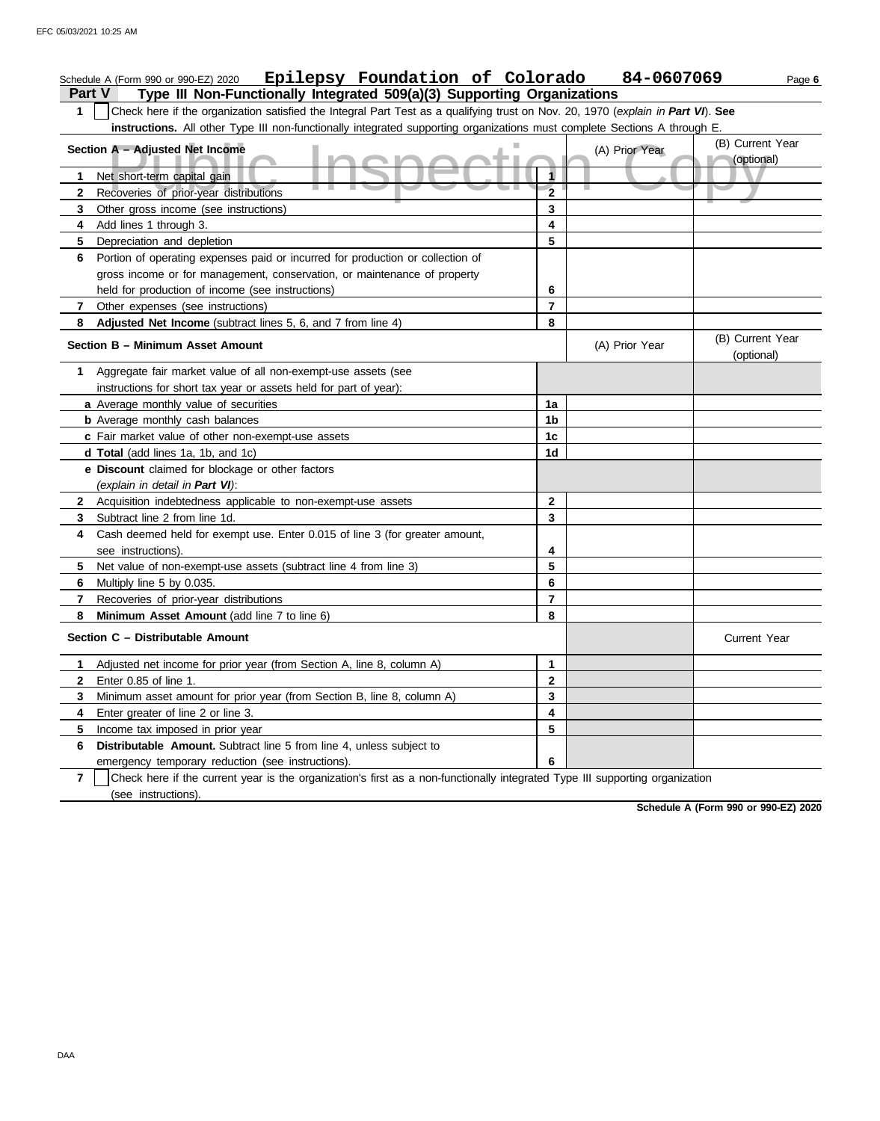|                | Epilepsy Foundation of Colorado<br>Schedule A (Form 990 or 990-EZ) 2020                                                          |                | 84-0607069     | Page 6                         |
|----------------|----------------------------------------------------------------------------------------------------------------------------------|----------------|----------------|--------------------------------|
| <b>Part V</b>  | Type III Non-Functionally Integrated 509(a)(3) Supporting Organizations                                                          |                |                |                                |
| 1              | Check here if the organization satisfied the Integral Part Test as a qualifying trust on Nov. 20, 1970 (explain in Part VI). See |                |                |                                |
|                | instructions. All other Type III non-functionally integrated supporting organizations must complete Sections A through E.        |                |                |                                |
|                | Section A - Adjusted Net Income                                                                                                  |                | (A) Prior Year | (B) Current Year<br>(optional) |
| 1              | Net short-term capital gain                                                                                                      | 1              |                |                                |
| $\mathbf{2}$   | Recoveries of prior-year distributions                                                                                           | $\overline{2}$ |                |                                |
| 3              | Other gross income (see instructions)                                                                                            | 3              |                |                                |
| 4              | Add lines 1 through 3.                                                                                                           | 4              |                |                                |
| 5              | Depreciation and depletion                                                                                                       | 5              |                |                                |
| 6              | Portion of operating expenses paid or incurred for production or collection of                                                   |                |                |                                |
|                | gross income or for management, conservation, or maintenance of property                                                         |                |                |                                |
|                | held for production of income (see instructions)                                                                                 | 6              |                |                                |
| $\mathbf{7}$   | Other expenses (see instructions)                                                                                                | $\overline{7}$ |                |                                |
| 8              | Adjusted Net Income (subtract lines 5, 6, and 7 from line 4)                                                                     | 8              |                |                                |
|                | Section B - Minimum Asset Amount                                                                                                 |                | (A) Prior Year | (B) Current Year<br>(optional) |
| 1              | Aggregate fair market value of all non-exempt-use assets (see                                                                    |                |                |                                |
|                | instructions for short tax year or assets held for part of year):                                                                |                |                |                                |
|                | a Average monthly value of securities                                                                                            | 1a             |                |                                |
|                | <b>b</b> Average monthly cash balances                                                                                           | 1b             |                |                                |
|                | c Fair market value of other non-exempt-use assets                                                                               | 1c             |                |                                |
|                | d Total (add lines 1a, 1b, and 1c)                                                                                               | 1d             |                |                                |
|                | e Discount claimed for blockage or other factors                                                                                 |                |                |                                |
|                | (explain in detail in Part VI):                                                                                                  |                |                |                                |
| $\mathbf{2}$   | Acquisition indebtedness applicable to non-exempt-use assets                                                                     | $\mathbf{2}$   |                |                                |
| 3              | Subtract line 2 from line 1d.                                                                                                    | 3              |                |                                |
| 4              | Cash deemed held for exempt use. Enter 0.015 of line 3 (for greater amount,                                                      |                |                |                                |
| 5              | see instructions).<br>Net value of non-exempt-use assets (subtract line 4 from line 3)                                           | 4<br>5         |                |                                |
| 6              | Multiply line 5 by 0.035.                                                                                                        | 6              |                |                                |
| $\overline{7}$ | Recoveries of prior-year distributions                                                                                           | $\overline{7}$ |                |                                |
| 8              | Minimum Asset Amount (add line 7 to line 6)                                                                                      | 8              |                |                                |
|                | Section C - Distributable Amount                                                                                                 |                |                | <b>Current Year</b>            |
| 1              | Adjusted net income for prior year (from Section A, line 8, column A)                                                            | 1              |                |                                |
| $\mathbf{2}$   | Enter 0.85 of line 1.                                                                                                            | $\mathbf{2}$   |                |                                |
| 3              | Minimum asset amount for prior year (from Section B, line 8, column A)                                                           | 3              |                |                                |
| 4              | Enter greater of line 2 or line 3.                                                                                               | 4              |                |                                |
| 5              | Income tax imposed in prior year                                                                                                 | 5              |                |                                |
| 6              | Distributable Amount. Subtract line 5 from line 4, unless subject to                                                             |                |                |                                |
|                | emergency temporary reduction (see instructions).                                                                                | 6              |                |                                |
| $\overline{7}$ | Check here if the current year is the organization's first as a non-functionally integrated Type III supporting organization     |                |                |                                |
|                | (see instructions).                                                                                                              |                |                |                                |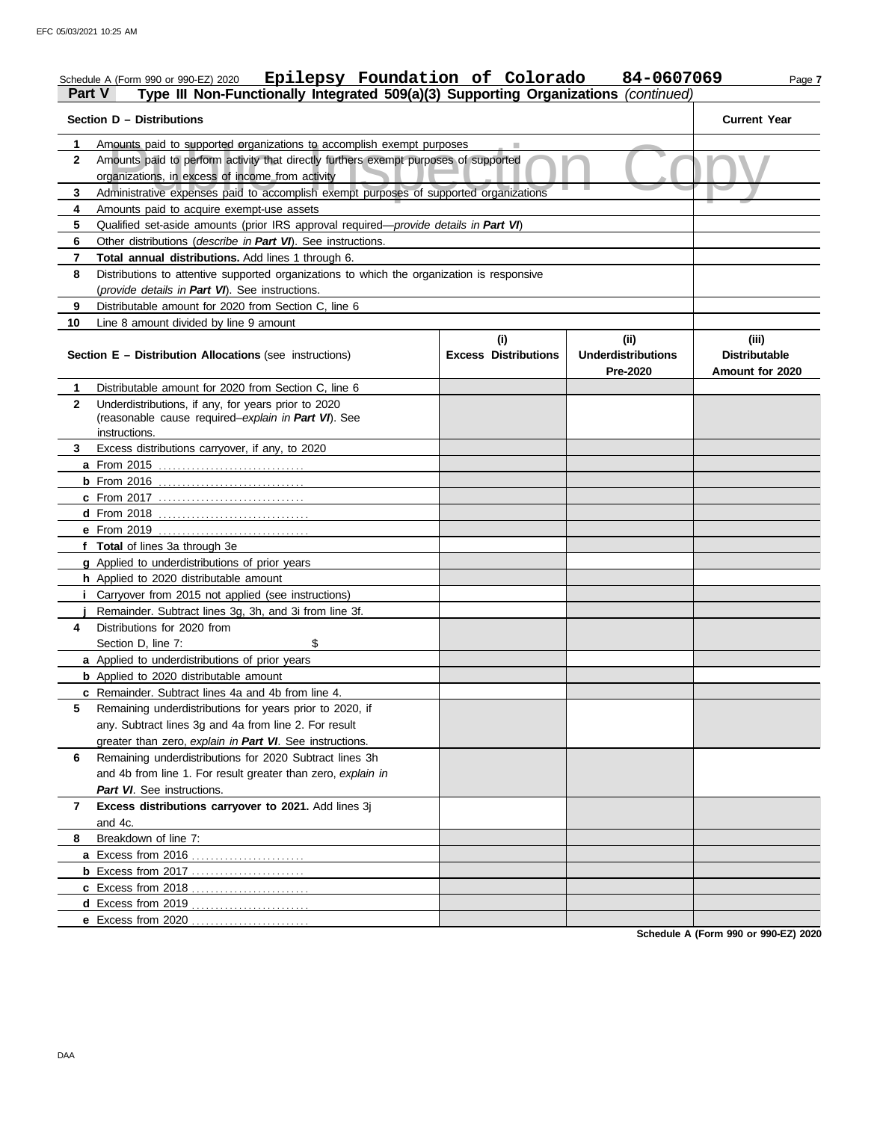| Part V       | Epilepsy Foundation of Colorado<br>Schedule A (Form 990 or 990-EZ) 2020<br>Type III Non-Functionally Integrated 509(a)(3) Supporting Organizations (continued) |                             | 84-0607069                            | Page 7                                  |
|--------------|----------------------------------------------------------------------------------------------------------------------------------------------------------------|-----------------------------|---------------------------------------|-----------------------------------------|
|              | Section D - Distributions                                                                                                                                      |                             |                                       | <b>Current Year</b>                     |
| 1            | Amounts paid to supported organizations to accomplish exempt purposes                                                                                          |                             |                                       |                                         |
| $\mathbf{2}$ | Amounts paid to perform activity that directly furthers exempt purposes of supported<br>organizations, in excess of income from activity                       |                             |                                       |                                         |
| 3            | Administrative expenses paid to accomplish exempt purposes of supported organizations                                                                          |                             |                                       |                                         |
| 4            | Amounts paid to acquire exempt-use assets                                                                                                                      |                             |                                       |                                         |
| 5            | Qualified set-aside amounts (prior IRS approval required-provide details in Part VI)                                                                           |                             |                                       |                                         |
| 6            | Other distributions (describe in Part VI). See instructions.                                                                                                   |                             |                                       |                                         |
| 7            | Total annual distributions. Add lines 1 through 6.                                                                                                             |                             |                                       |                                         |
| 8            | Distributions to attentive supported organizations to which the organization is responsive                                                                     |                             |                                       |                                         |
|              | (provide details in Part VI). See instructions.                                                                                                                |                             |                                       |                                         |
| 9            | Distributable amount for 2020 from Section C, line 6                                                                                                           |                             |                                       |                                         |
| 10           | Line 8 amount divided by line 9 amount                                                                                                                         |                             |                                       |                                         |
|              |                                                                                                                                                                | (i)                         | (i)                                   | (iii)                                   |
|              | <b>Section E - Distribution Allocations (see instructions)</b>                                                                                                 | <b>Excess Distributions</b> | <b>Underdistributions</b><br>Pre-2020 | <b>Distributable</b><br>Amount for 2020 |
| 1            | Distributable amount for 2020 from Section C, line 6                                                                                                           |                             |                                       |                                         |
| $\mathbf{2}$ | Underdistributions, if any, for years prior to 2020                                                                                                            |                             |                                       |                                         |
|              | (reasonable cause required-explain in Part VI). See                                                                                                            |                             |                                       |                                         |
|              | instructions.                                                                                                                                                  |                             |                                       |                                         |
| 3            | Excess distributions carryover, if any, to 2020                                                                                                                |                             |                                       |                                         |
|              |                                                                                                                                                                |                             |                                       |                                         |
|              |                                                                                                                                                                |                             |                                       |                                         |
|              | c From 2017                                                                                                                                                    |                             |                                       |                                         |
|              |                                                                                                                                                                |                             |                                       |                                         |
|              | e From 2019                                                                                                                                                    |                             |                                       |                                         |
|              | f Total of lines 3a through 3e                                                                                                                                 |                             |                                       |                                         |
|              | g Applied to underdistributions of prior years                                                                                                                 |                             |                                       |                                         |
|              | h Applied to 2020 distributable amount                                                                                                                         |                             |                                       |                                         |
|              | Carryover from 2015 not applied (see instructions)                                                                                                             |                             |                                       |                                         |
|              | Remainder. Subtract lines 3g, 3h, and 3i from line 3f.                                                                                                         |                             |                                       |                                         |
| 4            | Distributions for 2020 from                                                                                                                                    |                             |                                       |                                         |
|              | \$<br>Section D, line 7:                                                                                                                                       |                             |                                       |                                         |
|              | a Applied to underdistributions of prior years                                                                                                                 |                             |                                       |                                         |
|              | <b>b</b> Applied to 2020 distributable amount                                                                                                                  |                             |                                       |                                         |
|              | <b>c</b> Remainder. Subtract lines 4a and 4b from line 4.                                                                                                      |                             |                                       |                                         |
| 5.           | Remaining underdistributions for years prior to 2020, if                                                                                                       |                             |                                       |                                         |
|              | any. Subtract lines 3g and 4a from line 2. For result                                                                                                          |                             |                                       |                                         |
|              | greater than zero, explain in Part VI. See instructions.                                                                                                       |                             |                                       |                                         |
| 6            | Remaining underdistributions for 2020 Subtract lines 3h                                                                                                        |                             |                                       |                                         |
|              | and 4b from line 1. For result greater than zero, explain in                                                                                                   |                             |                                       |                                         |
|              | Part VI. See instructions.                                                                                                                                     |                             |                                       |                                         |
| 7            | Excess distributions carryover to 2021. Add lines 3j<br>and 4c.                                                                                                |                             |                                       |                                         |
| 8            | Breakdown of line 7:                                                                                                                                           |                             |                                       |                                         |
|              |                                                                                                                                                                |                             |                                       |                                         |
|              | <b>b</b> Excess from 2017                                                                                                                                      |                             |                                       |                                         |
|              |                                                                                                                                                                |                             |                                       |                                         |
|              | d Excess from 2019                                                                                                                                             |                             |                                       |                                         |
|              | <b>e</b> Excess from $2020$<br>.                                                                                                                               |                             |                                       |                                         |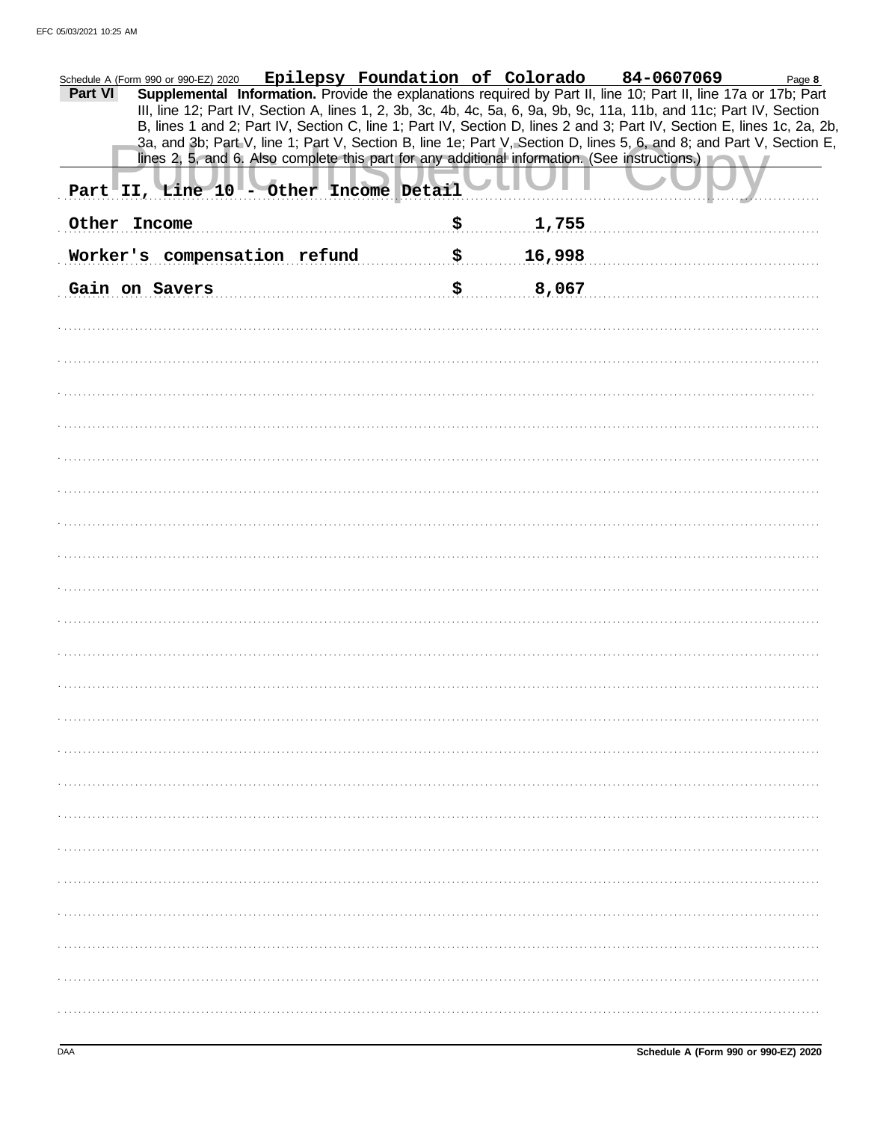| Epilepsy Foundation of Colorado<br>Schedule A (Form 990 or 990-EZ) 2020<br>Supplemental Information. Provide the explanations required by Part II, line 10; Part II, line 17a or 17b; Part<br>Part VI<br>III, line 12; Part IV, Section A, lines 1, 2, 3b, 3c, 4b, 4c, 5a, 6, 9a, 9b, 9c, 11a, 11b, and 11c; Part IV, Section<br>B, lines 1 and 2; Part IV, Section C, line 1; Part IV, Section D, lines 2 and 3; Part IV, Section E, lines 1c, 2a, 2b,<br>3a, and 3b; Part V, line 1; Part V, Section B, line 1e; Part V, Section D, lines 5, 6, and 8; and Part V, Section E,<br>lines 2, 5, and 6. Also complete this part for any additional information. (See instructions.)<br>Part II, Line 10 - Other Income Detail |              | 84-0607069 | Page 8 |
|-----------------------------------------------------------------------------------------------------------------------------------------------------------------------------------------------------------------------------------------------------------------------------------------------------------------------------------------------------------------------------------------------------------------------------------------------------------------------------------------------------------------------------------------------------------------------------------------------------------------------------------------------------------------------------------------------------------------------------|--------------|------------|--------|
| Other Income                                                                                                                                                                                                                                                                                                                                                                                                                                                                                                                                                                                                                                                                                                                | \$<br>1,755  |            |        |
| Worker's compensation refund                                                                                                                                                                                                                                                                                                                                                                                                                                                                                                                                                                                                                                                                                                | \$<br>16,998 |            |        |
| Gain on Savers                                                                                                                                                                                                                                                                                                                                                                                                                                                                                                                                                                                                                                                                                                              | \$<br>8,067  |            |        |
|                                                                                                                                                                                                                                                                                                                                                                                                                                                                                                                                                                                                                                                                                                                             |              |            |        |
|                                                                                                                                                                                                                                                                                                                                                                                                                                                                                                                                                                                                                                                                                                                             |              |            |        |
|                                                                                                                                                                                                                                                                                                                                                                                                                                                                                                                                                                                                                                                                                                                             |              |            |        |
|                                                                                                                                                                                                                                                                                                                                                                                                                                                                                                                                                                                                                                                                                                                             |              |            |        |
|                                                                                                                                                                                                                                                                                                                                                                                                                                                                                                                                                                                                                                                                                                                             |              |            |        |
|                                                                                                                                                                                                                                                                                                                                                                                                                                                                                                                                                                                                                                                                                                                             |              |            |        |
|                                                                                                                                                                                                                                                                                                                                                                                                                                                                                                                                                                                                                                                                                                                             |              |            |        |
|                                                                                                                                                                                                                                                                                                                                                                                                                                                                                                                                                                                                                                                                                                                             |              |            |        |
|                                                                                                                                                                                                                                                                                                                                                                                                                                                                                                                                                                                                                                                                                                                             |              |            |        |
|                                                                                                                                                                                                                                                                                                                                                                                                                                                                                                                                                                                                                                                                                                                             |              |            |        |
|                                                                                                                                                                                                                                                                                                                                                                                                                                                                                                                                                                                                                                                                                                                             |              |            |        |
|                                                                                                                                                                                                                                                                                                                                                                                                                                                                                                                                                                                                                                                                                                                             |              |            |        |
|                                                                                                                                                                                                                                                                                                                                                                                                                                                                                                                                                                                                                                                                                                                             |              |            |        |
|                                                                                                                                                                                                                                                                                                                                                                                                                                                                                                                                                                                                                                                                                                                             |              |            |        |
|                                                                                                                                                                                                                                                                                                                                                                                                                                                                                                                                                                                                                                                                                                                             |              |            |        |
|                                                                                                                                                                                                                                                                                                                                                                                                                                                                                                                                                                                                                                                                                                                             |              |            |        |
|                                                                                                                                                                                                                                                                                                                                                                                                                                                                                                                                                                                                                                                                                                                             |              |            |        |
|                                                                                                                                                                                                                                                                                                                                                                                                                                                                                                                                                                                                                                                                                                                             |              |            |        |
|                                                                                                                                                                                                                                                                                                                                                                                                                                                                                                                                                                                                                                                                                                                             |              |            |        |
|                                                                                                                                                                                                                                                                                                                                                                                                                                                                                                                                                                                                                                                                                                                             |              |            |        |
|                                                                                                                                                                                                                                                                                                                                                                                                                                                                                                                                                                                                                                                                                                                             |              |            |        |
|                                                                                                                                                                                                                                                                                                                                                                                                                                                                                                                                                                                                                                                                                                                             |              |            |        |
|                                                                                                                                                                                                                                                                                                                                                                                                                                                                                                                                                                                                                                                                                                                             |              |            |        |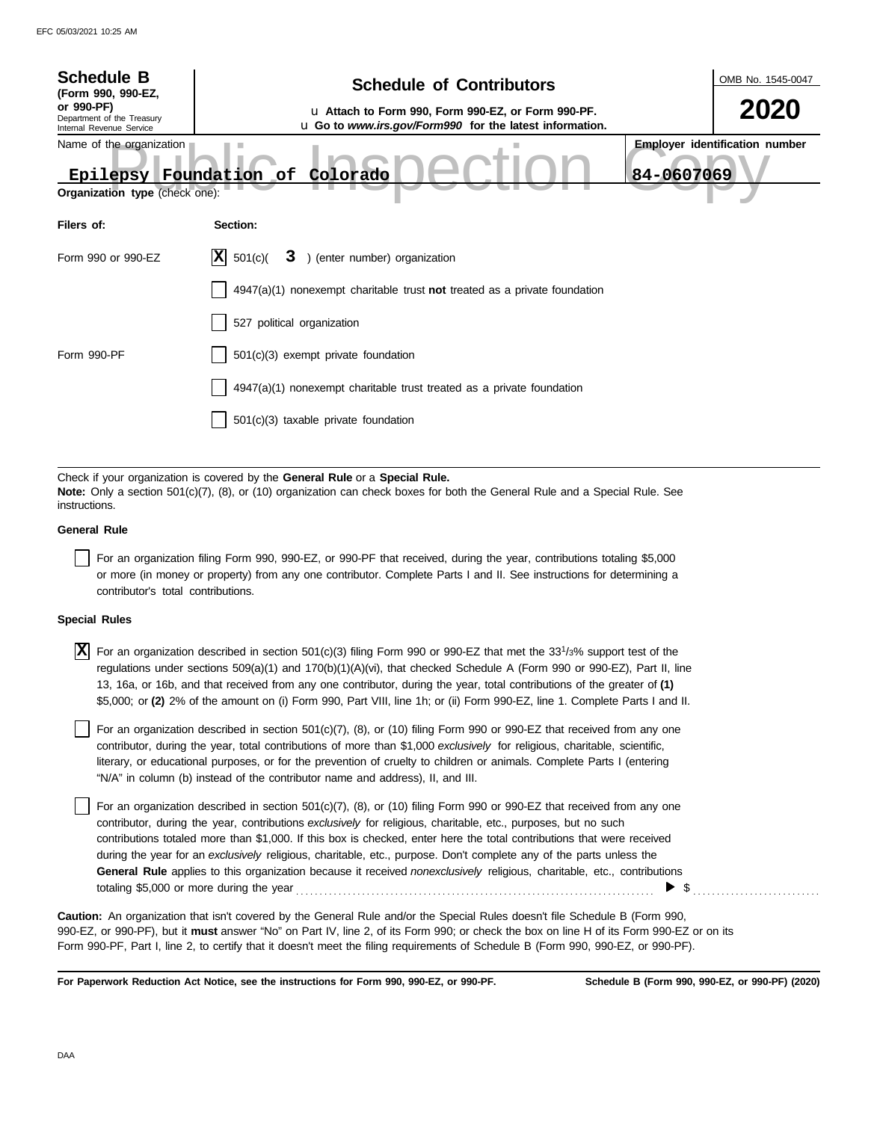| <b>Schedule B</b><br>(Form 990, 990-EZ,<br>or 990-PF)<br>Department of the Treasury<br>Internal Revenue Service                                                   | <b>Schedule of Contributors</b><br>u Attach to Form 990, Form 990-EZ, or Form 990-PF.<br>u Go to www.irs.gov/Form990 for the latest information.                                                            | OMB No. 1545-0047<br>2020 |  |  |  |
|-------------------------------------------------------------------------------------------------------------------------------------------------------------------|-------------------------------------------------------------------------------------------------------------------------------------------------------------------------------------------------------------|---------------------------|--|--|--|
| <b>Employer identification number</b><br>Name of the organization<br>84-0607069<br>Colorado<br>Epilepsy<br>Foundation of<br><b>Organization type (check one):</b> |                                                                                                                                                                                                             |                           |  |  |  |
| Filers of:                                                                                                                                                        | Section:                                                                                                                                                                                                    |                           |  |  |  |
| Form 990 or 990-EZ                                                                                                                                                | X <br>3 ) (enter number) organization<br>501(c)(                                                                                                                                                            |                           |  |  |  |
|                                                                                                                                                                   | $4947(a)(1)$ nonexempt charitable trust <b>not</b> treated as a private foundation                                                                                                                          |                           |  |  |  |
|                                                                                                                                                                   | 527 political organization                                                                                                                                                                                  |                           |  |  |  |
| Form 990-PF                                                                                                                                                       | 501(c)(3) exempt private foundation                                                                                                                                                                         |                           |  |  |  |
|                                                                                                                                                                   | 4947(a)(1) nonexempt charitable trust treated as a private foundation                                                                                                                                       |                           |  |  |  |
|                                                                                                                                                                   | 501(c)(3) taxable private foundation                                                                                                                                                                        |                           |  |  |  |
|                                                                                                                                                                   |                                                                                                                                                                                                             |                           |  |  |  |
| instructions.                                                                                                                                                     | Check if your organization is covered by the General Rule or a Special Rule.<br>Note: Only a section 501(c)(7), (8), or (10) organization can check boxes for both the General Rule and a Special Rule. See |                           |  |  |  |
| Concrol Dulo                                                                                                                                                      |                                                                                                                                                                                                             |                           |  |  |  |

### **General Rule**

For an organization filing Form 990, 990-EZ, or 990-PF that received, during the year, contributions totaling \$5,000 or more (in money or property) from any one contributor. Complete Parts I and II. See instructions for determining a contributor's total contributions.

### **Special Rules**

 $\overline{X}$  For an organization described in section 501(c)(3) filing Form 990 or 990-EZ that met the 33<sup>1</sup>/3% support test of the regulations under sections 509(a)(1) and 170(b)(1)(A)(vi), that checked Schedule A (Form 990 or 990-EZ), Part II, line 13, 16a, or 16b, and that received from any one contributor, during the year, total contributions of the greater of **(1)** \$5,000; or **(2)** 2% of the amount on (i) Form 990, Part VIII, line 1h; or (ii) Form 990-EZ, line 1. Complete Parts I and II.

literary, or educational purposes, or for the prevention of cruelty to children or animals. Complete Parts I (entering For an organization described in section 501(c)(7), (8), or (10) filing Form 990 or 990-EZ that received from any one contributor, during the year, total contributions of more than \$1,000 *exclusively* for religious, charitable, scientific, "N/A" in column (b) instead of the contributor name and address), II, and III.

For an organization described in section 501(c)(7), (8), or (10) filing Form 990 or 990-EZ that received from any one contributor, during the year, contributions *exclusively* for religious, charitable, etc., purposes, but no such contributions totaled more than \$1,000. If this box is checked, enter here the total contributions that were received during the year for an *exclusively* religious, charitable, etc., purpose. Don't complete any of the parts unless the **General Rule** applies to this organization because it received *nonexclusively* religious, charitable, etc., contributions totaling \$5,000 or more during the year . . . . . . . . . . . . . . . . . . . . . . . . . . . . . . . . . . . . . . . . . . . . . . . . . . . . . . . . . . . . . . . . . . . . . . . . . . . .  $\triangleright$  \$

990-EZ, or 990-PF), but it **must** answer "No" on Part IV, line 2, of its Form 990; or check the box on line H of its Form 990-EZ or on its Form 990-PF, Part I, line 2, to certify that it doesn't meet the filing requirements of Schedule B (Form 990, 990-EZ, or 990-PF). **Caution:** An organization that isn't covered by the General Rule and/or the Special Rules doesn't file Schedule B (Form 990,

**For Paperwork Reduction Act Notice, see the instructions for Form 990, 990-EZ, or 990-PF.**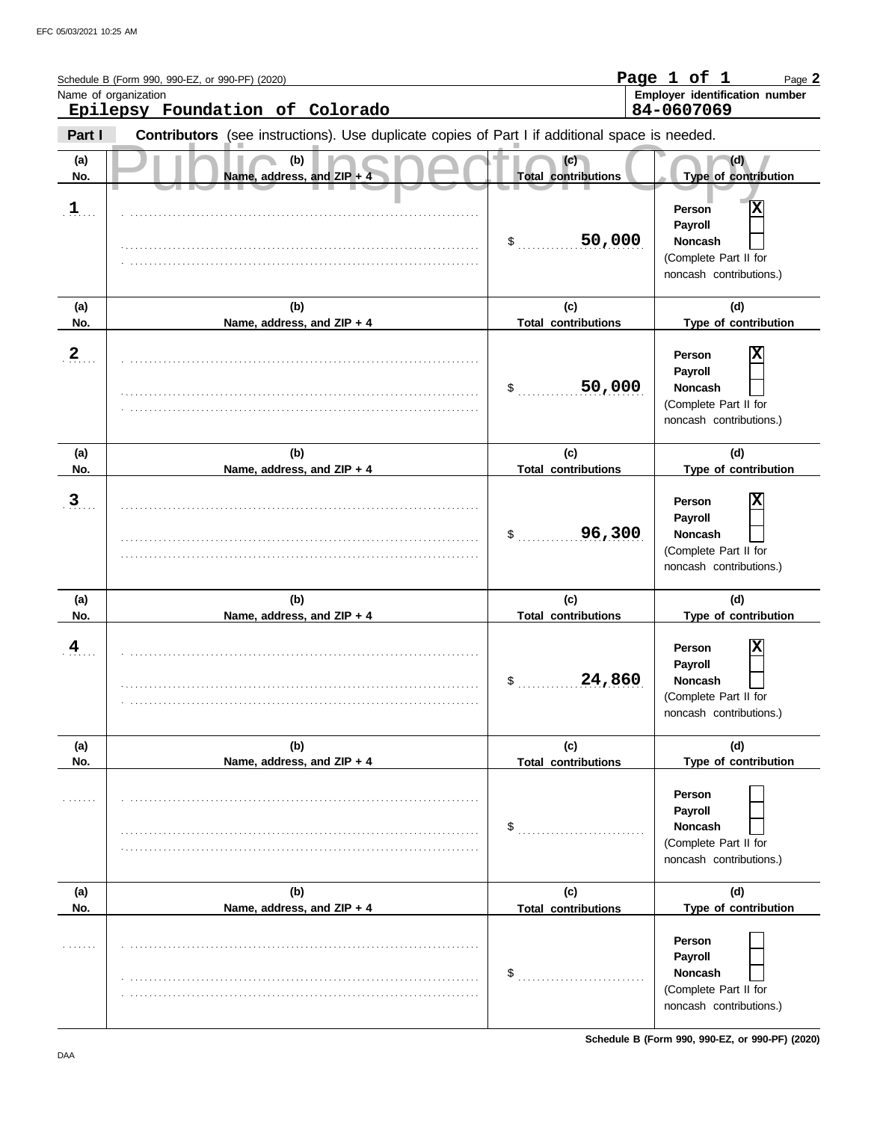|                         | Schedule B (Form 990, 990-EZ, or 990-PF) (2020)<br>Name of organization<br>Epilepsy Foundation of Colorado |                                            | Page 1 of 1<br>Page 2<br>Employer identification number<br>84-0607069                                                |
|-------------------------|------------------------------------------------------------------------------------------------------------|--------------------------------------------|----------------------------------------------------------------------------------------------------------------------|
| Part I                  | Contributors (see instructions). Use duplicate copies of Part I if additional space is needed.             |                                            |                                                                                                                      |
| (a)<br>No.              | (b)<br>Name, address, and ZIP +                                                                            | (c)<br><b>Total contributions</b>          | (d)<br>Type of contribution                                                                                          |
| $\mathbf{1}$            |                                                                                                            | 50,000<br>$\sim$                           | Χ<br>Person<br>Payroll<br><b>Noncash</b><br>(Complete Part II for<br>noncash contributions.)                         |
| (a)<br>No.              | (b)<br>Name, address, and ZIP + 4                                                                          | (c)<br><b>Total contributions</b>          | (d)<br>Type of contribution                                                                                          |
| $\overline{2}$          |                                                                                                            | 50,000<br>\$                               | X<br>Person<br>Payroll<br><b>Noncash</b><br>(Complete Part II for<br>noncash contributions.)                         |
| (a)                     | (b)                                                                                                        | (c)                                        | (d)                                                                                                                  |
| No.<br>$\overline{3}$   | Name, address, and ZIP + 4                                                                                 | <b>Total contributions</b><br>96,300<br>\$ | Type of contribution<br>Χ<br>Person<br>Payroll<br><b>Noncash</b><br>(Complete Part II for<br>noncash contributions.) |
| (a)<br>No.              | (b)<br>Name, address, and ZIP + 4                                                                          | (c)<br><b>Total contributions</b>          | (d)<br>Type of contribution                                                                                          |
| $\overline{\mathbf{4}}$ |                                                                                                            | 24,860<br>\$                               | X<br>Person<br>Payroll<br><b>Noncash</b><br>(Complete Part II for<br>noncash contributions.)                         |
| (a)<br>No.              | (b)<br>Name, address, and ZIP + 4                                                                          | (c)<br><b>Total contributions</b>          | (d)<br>Type of contribution                                                                                          |
|                         |                                                                                                            | \$                                         | Person<br>Payroll<br><b>Noncash</b><br>(Complete Part II for<br>noncash contributions.)                              |
| (a)<br>No.              | (b)<br>Name, address, and ZIP + 4                                                                          | (c)<br><b>Total contributions</b>          | (d)<br>Type of contribution                                                                                          |
|                         |                                                                                                            | \$                                         | Person<br>Payroll<br>Noncash<br>(Complete Part II for<br>noncash contributions.)                                     |

**Schedule B (Form 990, 990-EZ, or 990-PF) (2020)**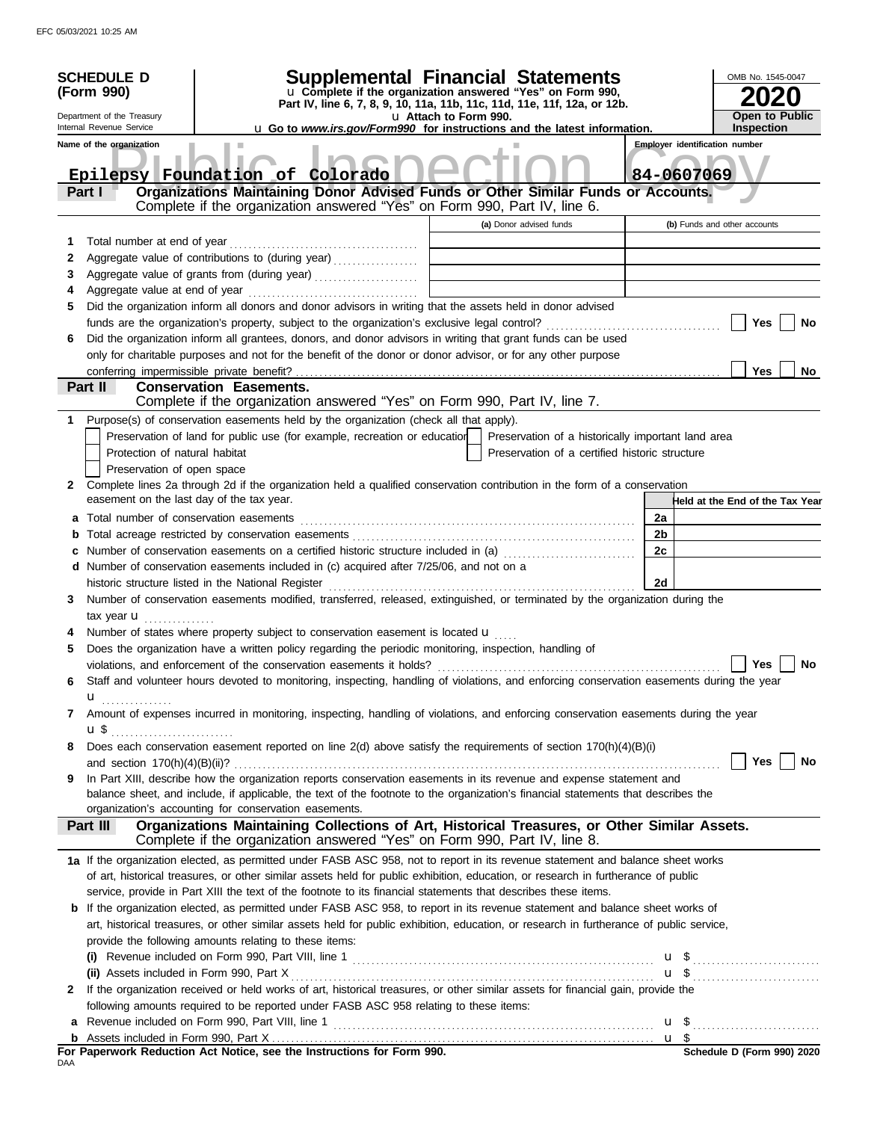| Name of the organization<br><b>Employer identification number</b><br>84-0607069<br>Epilepsy Foundation of Colorado<br>Organizations Maintaining Donor Advised Funds or Other Similar Funds or Accounts.<br>Part I<br>Complete if the organization answered "Yes" on Form 990, Part IV, line 6.<br>(a) Donor advised funds<br>(b) Funds and other accounts<br>Total number at end of year<br>1.<br>Aggregate value of contributions to (during year)<br>2<br>Aggregate value of grants from (during year)<br>3<br>4<br>Did the organization inform all donors and donor advisors in writing that the assets held in donor advised<br>5<br>Yes<br>No<br>Did the organization inform all grantees, donors, and donor advisors in writing that grant funds can be used<br>6<br>only for charitable purposes and not for the benefit of the donor or donor advisor, or for any other purpose<br>Yes<br>conferring impermissible private benefit?<br>No<br>Part II<br><b>Conservation Easements.</b><br>Complete if the organization answered "Yes" on Form 990, Part IV, line 7.<br>Purpose(s) of conservation easements held by the organization (check all that apply).<br>1<br>Preservation of land for public use (for example, recreation or education<br>Preservation of a historically important land area<br>Preservation of a certified historic structure<br>Protection of natural habitat<br>Preservation of open space<br>Complete lines 2a through 2d if the organization held a qualified conservation contribution in the form of a conservation<br>2<br>easement on the last day of the tax year.<br>Held at the End of the Tax Year<br>Total number of conservation easements<br>2a<br>а<br>2 <sub>b</sub><br>b<br>2c<br>Number of conservation easements on a certified historic structure included in (a)<br>d Number of conservation easements included in (c) acquired after 7/25/06, and not on a<br>2d<br>Number of conservation easements modified, transferred, released, extinguished, or terminated by the organization during the<br>3<br>tax year $\mathbf{u}$<br>Number of states where property subject to conservation easement is located <b>u</b><br>Does the organization have a written policy regarding the periodic monitoring, inspection, handling of<br>5<br><b>Yes</b><br>No<br>violations, and enforcement of the conservation easements it holds?<br>Staff and volunteer hours devoted to monitoring, inspecting, handling of violations, and enforcing conservation easements during the year<br>u<br>.<br>Amount of expenses incurred in monitoring, inspecting, handling of violations, and enforcing conservation easements during the year<br>7<br>$\mathbf{u} \mathbf{\$}$<br>Does each conservation easement reported on line $2(d)$ above satisfy the requirements of section $170(h)(4)(B)(i)$<br>8<br>Yes  <br>No<br>In Part XIII, describe how the organization reports conservation easements in its revenue and expense statement and<br>9<br>balance sheet, and include, if applicable, the text of the footnote to the organization's financial statements that describes the<br>organization's accounting for conservation easements.<br>Organizations Maintaining Collections of Art, Historical Treasures, or Other Similar Assets.<br>Part III<br>Complete if the organization answered "Yes" on Form 990, Part IV, line 8.<br>1a If the organization elected, as permitted under FASB ASC 958, not to report in its revenue statement and balance sheet works<br>of art, historical treasures, or other similar assets held for public exhibition, education, or research in furtherance of public<br>service, provide in Part XIII the text of the footnote to its financial statements that describes these items.<br><b>b</b> If the organization elected, as permitted under FASB ASC 958, to report in its revenue statement and balance sheet works of<br>art, historical treasures, or other similar assets held for public exhibition, education, or research in furtherance of public service,<br>provide the following amounts relating to these items:<br>(ii) Assets included in Form 990, Part X<br>If the organization received or held works of art, historical treasures, or other similar assets for financial gain, provide the<br>2<br>following amounts required to be reported under FASB ASC 958 relating to these items:<br>a<br>$\mathbf{u}$ \$<br>b<br>For Paperwork Reduction Act Notice, see the Instructions for Form 990.<br>Schedule D (Form 990) 2020<br>DAA | <b>SCHEDULE D</b><br>(Form 990)<br>Department of the Treasury<br>Internal Revenue Service | <b>Supplemental Financial Statements</b><br>u Complete if the organization answered "Yes" on Form 990,<br>Part IV, line 6, 7, 8, 9, 10, 11a, 11b, 11c, 11d, 11e, 11f, 12a, or 12b.<br>u Attach to Form 990.<br><b>u</b> Go to <i>www.irs.gov/Form990</i> for instructions and the latest information. | OMB No. 1545-0047<br><b>Open to Public</b><br><b>Inspection</b> |
|--------------------------------------------------------------------------------------------------------------------------------------------------------------------------------------------------------------------------------------------------------------------------------------------------------------------------------------------------------------------------------------------------------------------------------------------------------------------------------------------------------------------------------------------------------------------------------------------------------------------------------------------------------------------------------------------------------------------------------------------------------------------------------------------------------------------------------------------------------------------------------------------------------------------------------------------------------------------------------------------------------------------------------------------------------------------------------------------------------------------------------------------------------------------------------------------------------------------------------------------------------------------------------------------------------------------------------------------------------------------------------------------------------------------------------------------------------------------------------------------------------------------------------------------------------------------------------------------------------------------------------------------------------------------------------------------------------------------------------------------------------------------------------------------------------------------------------------------------------------------------------------------------------------------------------------------------------------------------------------------------------------------------------------------------------------------------------------------------------------------------------------------------------------------------------------------------------------------------------------------------------------------------------------------------------------------------------------------------------------------------------------------------------------------------------------------------------------------------------------------------------------------------------------------------------------------------------------------------------------------------------------------------------------------------------------------------------------------------------------------------------------------------------------------------------------------------------------------------------------------------------------------------------------------------------------------------------------------------------------------------------------------------------------------------------------------------------------------------------------------------------------------------------------------------------------------------------------------------------------------------------------------------------------------------------------------------------------------------------------------------------------------------------------------------------------------------------------------------------------------------------------------------------------------------------------------------------------------------------------------------------------------------------------------------------------------------------------------------------------------------------------------------------------------------------------------------------------------------------------------------------------------------------------------------------------------------------------------------------------------------------------------------------------------------------------------------------------------------------------------------------------------------------------------------------------------------------------------------------------------------------------------------------------------------------------------------------------------------------------------------------------------------------------------------------------------------------------------------------------------------------------------------------------------------------|-------------------------------------------------------------------------------------------|-------------------------------------------------------------------------------------------------------------------------------------------------------------------------------------------------------------------------------------------------------------------------------------------------------|-----------------------------------------------------------------|
|                                                                                                                                                                                                                                                                                                                                                                                                                                                                                                                                                                                                                                                                                                                                                                                                                                                                                                                                                                                                                                                                                                                                                                                                                                                                                                                                                                                                                                                                                                                                                                                                                                                                                                                                                                                                                                                                                                                                                                                                                                                                                                                                                                                                                                                                                                                                                                                                                                                                                                                                                                                                                                                                                                                                                                                                                                                                                                                                                                                                                                                                                                                                                                                                                                                                                                                                                                                                                                                                                                                                                                                                                                                                                                                                                                                                                                                                                                                                                                                                                                                                                                                                                                                                                                                                                                                                                                                                                                                                                                                                                        |                                                                                           |                                                                                                                                                                                                                                                                                                       |                                                                 |
|                                                                                                                                                                                                                                                                                                                                                                                                                                                                                                                                                                                                                                                                                                                                                                                                                                                                                                                                                                                                                                                                                                                                                                                                                                                                                                                                                                                                                                                                                                                                                                                                                                                                                                                                                                                                                                                                                                                                                                                                                                                                                                                                                                                                                                                                                                                                                                                                                                                                                                                                                                                                                                                                                                                                                                                                                                                                                                                                                                                                                                                                                                                                                                                                                                                                                                                                                                                                                                                                                                                                                                                                                                                                                                                                                                                                                                                                                                                                                                                                                                                                                                                                                                                                                                                                                                                                                                                                                                                                                                                                                        |                                                                                           |                                                                                                                                                                                                                                                                                                       |                                                                 |
|                                                                                                                                                                                                                                                                                                                                                                                                                                                                                                                                                                                                                                                                                                                                                                                                                                                                                                                                                                                                                                                                                                                                                                                                                                                                                                                                                                                                                                                                                                                                                                                                                                                                                                                                                                                                                                                                                                                                                                                                                                                                                                                                                                                                                                                                                                                                                                                                                                                                                                                                                                                                                                                                                                                                                                                                                                                                                                                                                                                                                                                                                                                                                                                                                                                                                                                                                                                                                                                                                                                                                                                                                                                                                                                                                                                                                                                                                                                                                                                                                                                                                                                                                                                                                                                                                                                                                                                                                                                                                                                                                        |                                                                                           |                                                                                                                                                                                                                                                                                                       |                                                                 |
|                                                                                                                                                                                                                                                                                                                                                                                                                                                                                                                                                                                                                                                                                                                                                                                                                                                                                                                                                                                                                                                                                                                                                                                                                                                                                                                                                                                                                                                                                                                                                                                                                                                                                                                                                                                                                                                                                                                                                                                                                                                                                                                                                                                                                                                                                                                                                                                                                                                                                                                                                                                                                                                                                                                                                                                                                                                                                                                                                                                                                                                                                                                                                                                                                                                                                                                                                                                                                                                                                                                                                                                                                                                                                                                                                                                                                                                                                                                                                                                                                                                                                                                                                                                                                                                                                                                                                                                                                                                                                                                                                        |                                                                                           |                                                                                                                                                                                                                                                                                                       |                                                                 |
|                                                                                                                                                                                                                                                                                                                                                                                                                                                                                                                                                                                                                                                                                                                                                                                                                                                                                                                                                                                                                                                                                                                                                                                                                                                                                                                                                                                                                                                                                                                                                                                                                                                                                                                                                                                                                                                                                                                                                                                                                                                                                                                                                                                                                                                                                                                                                                                                                                                                                                                                                                                                                                                                                                                                                                                                                                                                                                                                                                                                                                                                                                                                                                                                                                                                                                                                                                                                                                                                                                                                                                                                                                                                                                                                                                                                                                                                                                                                                                                                                                                                                                                                                                                                                                                                                                                                                                                                                                                                                                                                                        |                                                                                           |                                                                                                                                                                                                                                                                                                       |                                                                 |
|                                                                                                                                                                                                                                                                                                                                                                                                                                                                                                                                                                                                                                                                                                                                                                                                                                                                                                                                                                                                                                                                                                                                                                                                                                                                                                                                                                                                                                                                                                                                                                                                                                                                                                                                                                                                                                                                                                                                                                                                                                                                                                                                                                                                                                                                                                                                                                                                                                                                                                                                                                                                                                                                                                                                                                                                                                                                                                                                                                                                                                                                                                                                                                                                                                                                                                                                                                                                                                                                                                                                                                                                                                                                                                                                                                                                                                                                                                                                                                                                                                                                                                                                                                                                                                                                                                                                                                                                                                                                                                                                                        |                                                                                           |                                                                                                                                                                                                                                                                                                       |                                                                 |
|                                                                                                                                                                                                                                                                                                                                                                                                                                                                                                                                                                                                                                                                                                                                                                                                                                                                                                                                                                                                                                                                                                                                                                                                                                                                                                                                                                                                                                                                                                                                                                                                                                                                                                                                                                                                                                                                                                                                                                                                                                                                                                                                                                                                                                                                                                                                                                                                                                                                                                                                                                                                                                                                                                                                                                                                                                                                                                                                                                                                                                                                                                                                                                                                                                                                                                                                                                                                                                                                                                                                                                                                                                                                                                                                                                                                                                                                                                                                                                                                                                                                                                                                                                                                                                                                                                                                                                                                                                                                                                                                                        |                                                                                           |                                                                                                                                                                                                                                                                                                       |                                                                 |
|                                                                                                                                                                                                                                                                                                                                                                                                                                                                                                                                                                                                                                                                                                                                                                                                                                                                                                                                                                                                                                                                                                                                                                                                                                                                                                                                                                                                                                                                                                                                                                                                                                                                                                                                                                                                                                                                                                                                                                                                                                                                                                                                                                                                                                                                                                                                                                                                                                                                                                                                                                                                                                                                                                                                                                                                                                                                                                                                                                                                                                                                                                                                                                                                                                                                                                                                                                                                                                                                                                                                                                                                                                                                                                                                                                                                                                                                                                                                                                                                                                                                                                                                                                                                                                                                                                                                                                                                                                                                                                                                                        |                                                                                           |                                                                                                                                                                                                                                                                                                       |                                                                 |
|                                                                                                                                                                                                                                                                                                                                                                                                                                                                                                                                                                                                                                                                                                                                                                                                                                                                                                                                                                                                                                                                                                                                                                                                                                                                                                                                                                                                                                                                                                                                                                                                                                                                                                                                                                                                                                                                                                                                                                                                                                                                                                                                                                                                                                                                                                                                                                                                                                                                                                                                                                                                                                                                                                                                                                                                                                                                                                                                                                                                                                                                                                                                                                                                                                                                                                                                                                                                                                                                                                                                                                                                                                                                                                                                                                                                                                                                                                                                                                                                                                                                                                                                                                                                                                                                                                                                                                                                                                                                                                                                                        |                                                                                           |                                                                                                                                                                                                                                                                                                       |                                                                 |
|                                                                                                                                                                                                                                                                                                                                                                                                                                                                                                                                                                                                                                                                                                                                                                                                                                                                                                                                                                                                                                                                                                                                                                                                                                                                                                                                                                                                                                                                                                                                                                                                                                                                                                                                                                                                                                                                                                                                                                                                                                                                                                                                                                                                                                                                                                                                                                                                                                                                                                                                                                                                                                                                                                                                                                                                                                                                                                                                                                                                                                                                                                                                                                                                                                                                                                                                                                                                                                                                                                                                                                                                                                                                                                                                                                                                                                                                                                                                                                                                                                                                                                                                                                                                                                                                                                                                                                                                                                                                                                                                                        |                                                                                           |                                                                                                                                                                                                                                                                                                       |                                                                 |
|                                                                                                                                                                                                                                                                                                                                                                                                                                                                                                                                                                                                                                                                                                                                                                                                                                                                                                                                                                                                                                                                                                                                                                                                                                                                                                                                                                                                                                                                                                                                                                                                                                                                                                                                                                                                                                                                                                                                                                                                                                                                                                                                                                                                                                                                                                                                                                                                                                                                                                                                                                                                                                                                                                                                                                                                                                                                                                                                                                                                                                                                                                                                                                                                                                                                                                                                                                                                                                                                                                                                                                                                                                                                                                                                                                                                                                                                                                                                                                                                                                                                                                                                                                                                                                                                                                                                                                                                                                                                                                                                                        |                                                                                           |                                                                                                                                                                                                                                                                                                       |                                                                 |
|                                                                                                                                                                                                                                                                                                                                                                                                                                                                                                                                                                                                                                                                                                                                                                                                                                                                                                                                                                                                                                                                                                                                                                                                                                                                                                                                                                                                                                                                                                                                                                                                                                                                                                                                                                                                                                                                                                                                                                                                                                                                                                                                                                                                                                                                                                                                                                                                                                                                                                                                                                                                                                                                                                                                                                                                                                                                                                                                                                                                                                                                                                                                                                                                                                                                                                                                                                                                                                                                                                                                                                                                                                                                                                                                                                                                                                                                                                                                                                                                                                                                                                                                                                                                                                                                                                                                                                                                                                                                                                                                                        |                                                                                           |                                                                                                                                                                                                                                                                                                       |                                                                 |
|                                                                                                                                                                                                                                                                                                                                                                                                                                                                                                                                                                                                                                                                                                                                                                                                                                                                                                                                                                                                                                                                                                                                                                                                                                                                                                                                                                                                                                                                                                                                                                                                                                                                                                                                                                                                                                                                                                                                                                                                                                                                                                                                                                                                                                                                                                                                                                                                                                                                                                                                                                                                                                                                                                                                                                                                                                                                                                                                                                                                                                                                                                                                                                                                                                                                                                                                                                                                                                                                                                                                                                                                                                                                                                                                                                                                                                                                                                                                                                                                                                                                                                                                                                                                                                                                                                                                                                                                                                                                                                                                                        |                                                                                           |                                                                                                                                                                                                                                                                                                       |                                                                 |
|                                                                                                                                                                                                                                                                                                                                                                                                                                                                                                                                                                                                                                                                                                                                                                                                                                                                                                                                                                                                                                                                                                                                                                                                                                                                                                                                                                                                                                                                                                                                                                                                                                                                                                                                                                                                                                                                                                                                                                                                                                                                                                                                                                                                                                                                                                                                                                                                                                                                                                                                                                                                                                                                                                                                                                                                                                                                                                                                                                                                                                                                                                                                                                                                                                                                                                                                                                                                                                                                                                                                                                                                                                                                                                                                                                                                                                                                                                                                                                                                                                                                                                                                                                                                                                                                                                                                                                                                                                                                                                                                                        |                                                                                           |                                                                                                                                                                                                                                                                                                       |                                                                 |
|                                                                                                                                                                                                                                                                                                                                                                                                                                                                                                                                                                                                                                                                                                                                                                                                                                                                                                                                                                                                                                                                                                                                                                                                                                                                                                                                                                                                                                                                                                                                                                                                                                                                                                                                                                                                                                                                                                                                                                                                                                                                                                                                                                                                                                                                                                                                                                                                                                                                                                                                                                                                                                                                                                                                                                                                                                                                                                                                                                                                                                                                                                                                                                                                                                                                                                                                                                                                                                                                                                                                                                                                                                                                                                                                                                                                                                                                                                                                                                                                                                                                                                                                                                                                                                                                                                                                                                                                                                                                                                                                                        |                                                                                           |                                                                                                                                                                                                                                                                                                       |                                                                 |
|                                                                                                                                                                                                                                                                                                                                                                                                                                                                                                                                                                                                                                                                                                                                                                                                                                                                                                                                                                                                                                                                                                                                                                                                                                                                                                                                                                                                                                                                                                                                                                                                                                                                                                                                                                                                                                                                                                                                                                                                                                                                                                                                                                                                                                                                                                                                                                                                                                                                                                                                                                                                                                                                                                                                                                                                                                                                                                                                                                                                                                                                                                                                                                                                                                                                                                                                                                                                                                                                                                                                                                                                                                                                                                                                                                                                                                                                                                                                                                                                                                                                                                                                                                                                                                                                                                                                                                                                                                                                                                                                                        |                                                                                           |                                                                                                                                                                                                                                                                                                       |                                                                 |
|                                                                                                                                                                                                                                                                                                                                                                                                                                                                                                                                                                                                                                                                                                                                                                                                                                                                                                                                                                                                                                                                                                                                                                                                                                                                                                                                                                                                                                                                                                                                                                                                                                                                                                                                                                                                                                                                                                                                                                                                                                                                                                                                                                                                                                                                                                                                                                                                                                                                                                                                                                                                                                                                                                                                                                                                                                                                                                                                                                                                                                                                                                                                                                                                                                                                                                                                                                                                                                                                                                                                                                                                                                                                                                                                                                                                                                                                                                                                                                                                                                                                                                                                                                                                                                                                                                                                                                                                                                                                                                                                                        |                                                                                           |                                                                                                                                                                                                                                                                                                       |                                                                 |
|                                                                                                                                                                                                                                                                                                                                                                                                                                                                                                                                                                                                                                                                                                                                                                                                                                                                                                                                                                                                                                                                                                                                                                                                                                                                                                                                                                                                                                                                                                                                                                                                                                                                                                                                                                                                                                                                                                                                                                                                                                                                                                                                                                                                                                                                                                                                                                                                                                                                                                                                                                                                                                                                                                                                                                                                                                                                                                                                                                                                                                                                                                                                                                                                                                                                                                                                                                                                                                                                                                                                                                                                                                                                                                                                                                                                                                                                                                                                                                                                                                                                                                                                                                                                                                                                                                                                                                                                                                                                                                                                                        |                                                                                           |                                                                                                                                                                                                                                                                                                       |                                                                 |
|                                                                                                                                                                                                                                                                                                                                                                                                                                                                                                                                                                                                                                                                                                                                                                                                                                                                                                                                                                                                                                                                                                                                                                                                                                                                                                                                                                                                                                                                                                                                                                                                                                                                                                                                                                                                                                                                                                                                                                                                                                                                                                                                                                                                                                                                                                                                                                                                                                                                                                                                                                                                                                                                                                                                                                                                                                                                                                                                                                                                                                                                                                                                                                                                                                                                                                                                                                                                                                                                                                                                                                                                                                                                                                                                                                                                                                                                                                                                                                                                                                                                                                                                                                                                                                                                                                                                                                                                                                                                                                                                                        |                                                                                           |                                                                                                                                                                                                                                                                                                       |                                                                 |
|                                                                                                                                                                                                                                                                                                                                                                                                                                                                                                                                                                                                                                                                                                                                                                                                                                                                                                                                                                                                                                                                                                                                                                                                                                                                                                                                                                                                                                                                                                                                                                                                                                                                                                                                                                                                                                                                                                                                                                                                                                                                                                                                                                                                                                                                                                                                                                                                                                                                                                                                                                                                                                                                                                                                                                                                                                                                                                                                                                                                                                                                                                                                                                                                                                                                                                                                                                                                                                                                                                                                                                                                                                                                                                                                                                                                                                                                                                                                                                                                                                                                                                                                                                                                                                                                                                                                                                                                                                                                                                                                                        |                                                                                           |                                                                                                                                                                                                                                                                                                       |                                                                 |
|                                                                                                                                                                                                                                                                                                                                                                                                                                                                                                                                                                                                                                                                                                                                                                                                                                                                                                                                                                                                                                                                                                                                                                                                                                                                                                                                                                                                                                                                                                                                                                                                                                                                                                                                                                                                                                                                                                                                                                                                                                                                                                                                                                                                                                                                                                                                                                                                                                                                                                                                                                                                                                                                                                                                                                                                                                                                                                                                                                                                                                                                                                                                                                                                                                                                                                                                                                                                                                                                                                                                                                                                                                                                                                                                                                                                                                                                                                                                                                                                                                                                                                                                                                                                                                                                                                                                                                                                                                                                                                                                                        |                                                                                           |                                                                                                                                                                                                                                                                                                       |                                                                 |
|                                                                                                                                                                                                                                                                                                                                                                                                                                                                                                                                                                                                                                                                                                                                                                                                                                                                                                                                                                                                                                                                                                                                                                                                                                                                                                                                                                                                                                                                                                                                                                                                                                                                                                                                                                                                                                                                                                                                                                                                                                                                                                                                                                                                                                                                                                                                                                                                                                                                                                                                                                                                                                                                                                                                                                                                                                                                                                                                                                                                                                                                                                                                                                                                                                                                                                                                                                                                                                                                                                                                                                                                                                                                                                                                                                                                                                                                                                                                                                                                                                                                                                                                                                                                                                                                                                                                                                                                                                                                                                                                                        |                                                                                           |                                                                                                                                                                                                                                                                                                       |                                                                 |
|                                                                                                                                                                                                                                                                                                                                                                                                                                                                                                                                                                                                                                                                                                                                                                                                                                                                                                                                                                                                                                                                                                                                                                                                                                                                                                                                                                                                                                                                                                                                                                                                                                                                                                                                                                                                                                                                                                                                                                                                                                                                                                                                                                                                                                                                                                                                                                                                                                                                                                                                                                                                                                                                                                                                                                                                                                                                                                                                                                                                                                                                                                                                                                                                                                                                                                                                                                                                                                                                                                                                                                                                                                                                                                                                                                                                                                                                                                                                                                                                                                                                                                                                                                                                                                                                                                                                                                                                                                                                                                                                                        |                                                                                           |                                                                                                                                                                                                                                                                                                       |                                                                 |
|                                                                                                                                                                                                                                                                                                                                                                                                                                                                                                                                                                                                                                                                                                                                                                                                                                                                                                                                                                                                                                                                                                                                                                                                                                                                                                                                                                                                                                                                                                                                                                                                                                                                                                                                                                                                                                                                                                                                                                                                                                                                                                                                                                                                                                                                                                                                                                                                                                                                                                                                                                                                                                                                                                                                                                                                                                                                                                                                                                                                                                                                                                                                                                                                                                                                                                                                                                                                                                                                                                                                                                                                                                                                                                                                                                                                                                                                                                                                                                                                                                                                                                                                                                                                                                                                                                                                                                                                                                                                                                                                                        |                                                                                           |                                                                                                                                                                                                                                                                                                       |                                                                 |
|                                                                                                                                                                                                                                                                                                                                                                                                                                                                                                                                                                                                                                                                                                                                                                                                                                                                                                                                                                                                                                                                                                                                                                                                                                                                                                                                                                                                                                                                                                                                                                                                                                                                                                                                                                                                                                                                                                                                                                                                                                                                                                                                                                                                                                                                                                                                                                                                                                                                                                                                                                                                                                                                                                                                                                                                                                                                                                                                                                                                                                                                                                                                                                                                                                                                                                                                                                                                                                                                                                                                                                                                                                                                                                                                                                                                                                                                                                                                                                                                                                                                                                                                                                                                                                                                                                                                                                                                                                                                                                                                                        |                                                                                           |                                                                                                                                                                                                                                                                                                       |                                                                 |
|                                                                                                                                                                                                                                                                                                                                                                                                                                                                                                                                                                                                                                                                                                                                                                                                                                                                                                                                                                                                                                                                                                                                                                                                                                                                                                                                                                                                                                                                                                                                                                                                                                                                                                                                                                                                                                                                                                                                                                                                                                                                                                                                                                                                                                                                                                                                                                                                                                                                                                                                                                                                                                                                                                                                                                                                                                                                                                                                                                                                                                                                                                                                                                                                                                                                                                                                                                                                                                                                                                                                                                                                                                                                                                                                                                                                                                                                                                                                                                                                                                                                                                                                                                                                                                                                                                                                                                                                                                                                                                                                                        |                                                                                           |                                                                                                                                                                                                                                                                                                       |                                                                 |
|                                                                                                                                                                                                                                                                                                                                                                                                                                                                                                                                                                                                                                                                                                                                                                                                                                                                                                                                                                                                                                                                                                                                                                                                                                                                                                                                                                                                                                                                                                                                                                                                                                                                                                                                                                                                                                                                                                                                                                                                                                                                                                                                                                                                                                                                                                                                                                                                                                                                                                                                                                                                                                                                                                                                                                                                                                                                                                                                                                                                                                                                                                                                                                                                                                                                                                                                                                                                                                                                                                                                                                                                                                                                                                                                                                                                                                                                                                                                                                                                                                                                                                                                                                                                                                                                                                                                                                                                                                                                                                                                                        |                                                                                           |                                                                                                                                                                                                                                                                                                       |                                                                 |
|                                                                                                                                                                                                                                                                                                                                                                                                                                                                                                                                                                                                                                                                                                                                                                                                                                                                                                                                                                                                                                                                                                                                                                                                                                                                                                                                                                                                                                                                                                                                                                                                                                                                                                                                                                                                                                                                                                                                                                                                                                                                                                                                                                                                                                                                                                                                                                                                                                                                                                                                                                                                                                                                                                                                                                                                                                                                                                                                                                                                                                                                                                                                                                                                                                                                                                                                                                                                                                                                                                                                                                                                                                                                                                                                                                                                                                                                                                                                                                                                                                                                                                                                                                                                                                                                                                                                                                                                                                                                                                                                                        |                                                                                           |                                                                                                                                                                                                                                                                                                       |                                                                 |
|                                                                                                                                                                                                                                                                                                                                                                                                                                                                                                                                                                                                                                                                                                                                                                                                                                                                                                                                                                                                                                                                                                                                                                                                                                                                                                                                                                                                                                                                                                                                                                                                                                                                                                                                                                                                                                                                                                                                                                                                                                                                                                                                                                                                                                                                                                                                                                                                                                                                                                                                                                                                                                                                                                                                                                                                                                                                                                                                                                                                                                                                                                                                                                                                                                                                                                                                                                                                                                                                                                                                                                                                                                                                                                                                                                                                                                                                                                                                                                                                                                                                                                                                                                                                                                                                                                                                                                                                                                                                                                                                                        |                                                                                           |                                                                                                                                                                                                                                                                                                       |                                                                 |
|                                                                                                                                                                                                                                                                                                                                                                                                                                                                                                                                                                                                                                                                                                                                                                                                                                                                                                                                                                                                                                                                                                                                                                                                                                                                                                                                                                                                                                                                                                                                                                                                                                                                                                                                                                                                                                                                                                                                                                                                                                                                                                                                                                                                                                                                                                                                                                                                                                                                                                                                                                                                                                                                                                                                                                                                                                                                                                                                                                                                                                                                                                                                                                                                                                                                                                                                                                                                                                                                                                                                                                                                                                                                                                                                                                                                                                                                                                                                                                                                                                                                                                                                                                                                                                                                                                                                                                                                                                                                                                                                                        |                                                                                           |                                                                                                                                                                                                                                                                                                       |                                                                 |
|                                                                                                                                                                                                                                                                                                                                                                                                                                                                                                                                                                                                                                                                                                                                                                                                                                                                                                                                                                                                                                                                                                                                                                                                                                                                                                                                                                                                                                                                                                                                                                                                                                                                                                                                                                                                                                                                                                                                                                                                                                                                                                                                                                                                                                                                                                                                                                                                                                                                                                                                                                                                                                                                                                                                                                                                                                                                                                                                                                                                                                                                                                                                                                                                                                                                                                                                                                                                                                                                                                                                                                                                                                                                                                                                                                                                                                                                                                                                                                                                                                                                                                                                                                                                                                                                                                                                                                                                                                                                                                                                                        |                                                                                           |                                                                                                                                                                                                                                                                                                       |                                                                 |
|                                                                                                                                                                                                                                                                                                                                                                                                                                                                                                                                                                                                                                                                                                                                                                                                                                                                                                                                                                                                                                                                                                                                                                                                                                                                                                                                                                                                                                                                                                                                                                                                                                                                                                                                                                                                                                                                                                                                                                                                                                                                                                                                                                                                                                                                                                                                                                                                                                                                                                                                                                                                                                                                                                                                                                                                                                                                                                                                                                                                                                                                                                                                                                                                                                                                                                                                                                                                                                                                                                                                                                                                                                                                                                                                                                                                                                                                                                                                                                                                                                                                                                                                                                                                                                                                                                                                                                                                                                                                                                                                                        |                                                                                           |                                                                                                                                                                                                                                                                                                       |                                                                 |
|                                                                                                                                                                                                                                                                                                                                                                                                                                                                                                                                                                                                                                                                                                                                                                                                                                                                                                                                                                                                                                                                                                                                                                                                                                                                                                                                                                                                                                                                                                                                                                                                                                                                                                                                                                                                                                                                                                                                                                                                                                                                                                                                                                                                                                                                                                                                                                                                                                                                                                                                                                                                                                                                                                                                                                                                                                                                                                                                                                                                                                                                                                                                                                                                                                                                                                                                                                                                                                                                                                                                                                                                                                                                                                                                                                                                                                                                                                                                                                                                                                                                                                                                                                                                                                                                                                                                                                                                                                                                                                                                                        |                                                                                           |                                                                                                                                                                                                                                                                                                       |                                                                 |
|                                                                                                                                                                                                                                                                                                                                                                                                                                                                                                                                                                                                                                                                                                                                                                                                                                                                                                                                                                                                                                                                                                                                                                                                                                                                                                                                                                                                                                                                                                                                                                                                                                                                                                                                                                                                                                                                                                                                                                                                                                                                                                                                                                                                                                                                                                                                                                                                                                                                                                                                                                                                                                                                                                                                                                                                                                                                                                                                                                                                                                                                                                                                                                                                                                                                                                                                                                                                                                                                                                                                                                                                                                                                                                                                                                                                                                                                                                                                                                                                                                                                                                                                                                                                                                                                                                                                                                                                                                                                                                                                                        |                                                                                           |                                                                                                                                                                                                                                                                                                       |                                                                 |
|                                                                                                                                                                                                                                                                                                                                                                                                                                                                                                                                                                                                                                                                                                                                                                                                                                                                                                                                                                                                                                                                                                                                                                                                                                                                                                                                                                                                                                                                                                                                                                                                                                                                                                                                                                                                                                                                                                                                                                                                                                                                                                                                                                                                                                                                                                                                                                                                                                                                                                                                                                                                                                                                                                                                                                                                                                                                                                                                                                                                                                                                                                                                                                                                                                                                                                                                                                                                                                                                                                                                                                                                                                                                                                                                                                                                                                                                                                                                                                                                                                                                                                                                                                                                                                                                                                                                                                                                                                                                                                                                                        |                                                                                           |                                                                                                                                                                                                                                                                                                       |                                                                 |
|                                                                                                                                                                                                                                                                                                                                                                                                                                                                                                                                                                                                                                                                                                                                                                                                                                                                                                                                                                                                                                                                                                                                                                                                                                                                                                                                                                                                                                                                                                                                                                                                                                                                                                                                                                                                                                                                                                                                                                                                                                                                                                                                                                                                                                                                                                                                                                                                                                                                                                                                                                                                                                                                                                                                                                                                                                                                                                                                                                                                                                                                                                                                                                                                                                                                                                                                                                                                                                                                                                                                                                                                                                                                                                                                                                                                                                                                                                                                                                                                                                                                                                                                                                                                                                                                                                                                                                                                                                                                                                                                                        |                                                                                           |                                                                                                                                                                                                                                                                                                       |                                                                 |
|                                                                                                                                                                                                                                                                                                                                                                                                                                                                                                                                                                                                                                                                                                                                                                                                                                                                                                                                                                                                                                                                                                                                                                                                                                                                                                                                                                                                                                                                                                                                                                                                                                                                                                                                                                                                                                                                                                                                                                                                                                                                                                                                                                                                                                                                                                                                                                                                                                                                                                                                                                                                                                                                                                                                                                                                                                                                                                                                                                                                                                                                                                                                                                                                                                                                                                                                                                                                                                                                                                                                                                                                                                                                                                                                                                                                                                                                                                                                                                                                                                                                                                                                                                                                                                                                                                                                                                                                                                                                                                                                                        |                                                                                           |                                                                                                                                                                                                                                                                                                       |                                                                 |
|                                                                                                                                                                                                                                                                                                                                                                                                                                                                                                                                                                                                                                                                                                                                                                                                                                                                                                                                                                                                                                                                                                                                                                                                                                                                                                                                                                                                                                                                                                                                                                                                                                                                                                                                                                                                                                                                                                                                                                                                                                                                                                                                                                                                                                                                                                                                                                                                                                                                                                                                                                                                                                                                                                                                                                                                                                                                                                                                                                                                                                                                                                                                                                                                                                                                                                                                                                                                                                                                                                                                                                                                                                                                                                                                                                                                                                                                                                                                                                                                                                                                                                                                                                                                                                                                                                                                                                                                                                                                                                                                                        |                                                                                           |                                                                                                                                                                                                                                                                                                       |                                                                 |
|                                                                                                                                                                                                                                                                                                                                                                                                                                                                                                                                                                                                                                                                                                                                                                                                                                                                                                                                                                                                                                                                                                                                                                                                                                                                                                                                                                                                                                                                                                                                                                                                                                                                                                                                                                                                                                                                                                                                                                                                                                                                                                                                                                                                                                                                                                                                                                                                                                                                                                                                                                                                                                                                                                                                                                                                                                                                                                                                                                                                                                                                                                                                                                                                                                                                                                                                                                                                                                                                                                                                                                                                                                                                                                                                                                                                                                                                                                                                                                                                                                                                                                                                                                                                                                                                                                                                                                                                                                                                                                                                                        |                                                                                           |                                                                                                                                                                                                                                                                                                       |                                                                 |
|                                                                                                                                                                                                                                                                                                                                                                                                                                                                                                                                                                                                                                                                                                                                                                                                                                                                                                                                                                                                                                                                                                                                                                                                                                                                                                                                                                                                                                                                                                                                                                                                                                                                                                                                                                                                                                                                                                                                                                                                                                                                                                                                                                                                                                                                                                                                                                                                                                                                                                                                                                                                                                                                                                                                                                                                                                                                                                                                                                                                                                                                                                                                                                                                                                                                                                                                                                                                                                                                                                                                                                                                                                                                                                                                                                                                                                                                                                                                                                                                                                                                                                                                                                                                                                                                                                                                                                                                                                                                                                                                                        |                                                                                           |                                                                                                                                                                                                                                                                                                       |                                                                 |
|                                                                                                                                                                                                                                                                                                                                                                                                                                                                                                                                                                                                                                                                                                                                                                                                                                                                                                                                                                                                                                                                                                                                                                                                                                                                                                                                                                                                                                                                                                                                                                                                                                                                                                                                                                                                                                                                                                                                                                                                                                                                                                                                                                                                                                                                                                                                                                                                                                                                                                                                                                                                                                                                                                                                                                                                                                                                                                                                                                                                                                                                                                                                                                                                                                                                                                                                                                                                                                                                                                                                                                                                                                                                                                                                                                                                                                                                                                                                                                                                                                                                                                                                                                                                                                                                                                                                                                                                                                                                                                                                                        |                                                                                           |                                                                                                                                                                                                                                                                                                       |                                                                 |
|                                                                                                                                                                                                                                                                                                                                                                                                                                                                                                                                                                                                                                                                                                                                                                                                                                                                                                                                                                                                                                                                                                                                                                                                                                                                                                                                                                                                                                                                                                                                                                                                                                                                                                                                                                                                                                                                                                                                                                                                                                                                                                                                                                                                                                                                                                                                                                                                                                                                                                                                                                                                                                                                                                                                                                                                                                                                                                                                                                                                                                                                                                                                                                                                                                                                                                                                                                                                                                                                                                                                                                                                                                                                                                                                                                                                                                                                                                                                                                                                                                                                                                                                                                                                                                                                                                                                                                                                                                                                                                                                                        |                                                                                           |                                                                                                                                                                                                                                                                                                       |                                                                 |
|                                                                                                                                                                                                                                                                                                                                                                                                                                                                                                                                                                                                                                                                                                                                                                                                                                                                                                                                                                                                                                                                                                                                                                                                                                                                                                                                                                                                                                                                                                                                                                                                                                                                                                                                                                                                                                                                                                                                                                                                                                                                                                                                                                                                                                                                                                                                                                                                                                                                                                                                                                                                                                                                                                                                                                                                                                                                                                                                                                                                                                                                                                                                                                                                                                                                                                                                                                                                                                                                                                                                                                                                                                                                                                                                                                                                                                                                                                                                                                                                                                                                                                                                                                                                                                                                                                                                                                                                                                                                                                                                                        |                                                                                           |                                                                                                                                                                                                                                                                                                       |                                                                 |
|                                                                                                                                                                                                                                                                                                                                                                                                                                                                                                                                                                                                                                                                                                                                                                                                                                                                                                                                                                                                                                                                                                                                                                                                                                                                                                                                                                                                                                                                                                                                                                                                                                                                                                                                                                                                                                                                                                                                                                                                                                                                                                                                                                                                                                                                                                                                                                                                                                                                                                                                                                                                                                                                                                                                                                                                                                                                                                                                                                                                                                                                                                                                                                                                                                                                                                                                                                                                                                                                                                                                                                                                                                                                                                                                                                                                                                                                                                                                                                                                                                                                                                                                                                                                                                                                                                                                                                                                                                                                                                                                                        |                                                                                           |                                                                                                                                                                                                                                                                                                       |                                                                 |
|                                                                                                                                                                                                                                                                                                                                                                                                                                                                                                                                                                                                                                                                                                                                                                                                                                                                                                                                                                                                                                                                                                                                                                                                                                                                                                                                                                                                                                                                                                                                                                                                                                                                                                                                                                                                                                                                                                                                                                                                                                                                                                                                                                                                                                                                                                                                                                                                                                                                                                                                                                                                                                                                                                                                                                                                                                                                                                                                                                                                                                                                                                                                                                                                                                                                                                                                                                                                                                                                                                                                                                                                                                                                                                                                                                                                                                                                                                                                                                                                                                                                                                                                                                                                                                                                                                                                                                                                                                                                                                                                                        |                                                                                           |                                                                                                                                                                                                                                                                                                       |                                                                 |
|                                                                                                                                                                                                                                                                                                                                                                                                                                                                                                                                                                                                                                                                                                                                                                                                                                                                                                                                                                                                                                                                                                                                                                                                                                                                                                                                                                                                                                                                                                                                                                                                                                                                                                                                                                                                                                                                                                                                                                                                                                                                                                                                                                                                                                                                                                                                                                                                                                                                                                                                                                                                                                                                                                                                                                                                                                                                                                                                                                                                                                                                                                                                                                                                                                                                                                                                                                                                                                                                                                                                                                                                                                                                                                                                                                                                                                                                                                                                                                                                                                                                                                                                                                                                                                                                                                                                                                                                                                                                                                                                                        |                                                                                           |                                                                                                                                                                                                                                                                                                       |                                                                 |
|                                                                                                                                                                                                                                                                                                                                                                                                                                                                                                                                                                                                                                                                                                                                                                                                                                                                                                                                                                                                                                                                                                                                                                                                                                                                                                                                                                                                                                                                                                                                                                                                                                                                                                                                                                                                                                                                                                                                                                                                                                                                                                                                                                                                                                                                                                                                                                                                                                                                                                                                                                                                                                                                                                                                                                                                                                                                                                                                                                                                                                                                                                                                                                                                                                                                                                                                                                                                                                                                                                                                                                                                                                                                                                                                                                                                                                                                                                                                                                                                                                                                                                                                                                                                                                                                                                                                                                                                                                                                                                                                                        |                                                                                           |                                                                                                                                                                                                                                                                                                       |                                                                 |
|                                                                                                                                                                                                                                                                                                                                                                                                                                                                                                                                                                                                                                                                                                                                                                                                                                                                                                                                                                                                                                                                                                                                                                                                                                                                                                                                                                                                                                                                                                                                                                                                                                                                                                                                                                                                                                                                                                                                                                                                                                                                                                                                                                                                                                                                                                                                                                                                                                                                                                                                                                                                                                                                                                                                                                                                                                                                                                                                                                                                                                                                                                                                                                                                                                                                                                                                                                                                                                                                                                                                                                                                                                                                                                                                                                                                                                                                                                                                                                                                                                                                                                                                                                                                                                                                                                                                                                                                                                                                                                                                                        |                                                                                           |                                                                                                                                                                                                                                                                                                       |                                                                 |
|                                                                                                                                                                                                                                                                                                                                                                                                                                                                                                                                                                                                                                                                                                                                                                                                                                                                                                                                                                                                                                                                                                                                                                                                                                                                                                                                                                                                                                                                                                                                                                                                                                                                                                                                                                                                                                                                                                                                                                                                                                                                                                                                                                                                                                                                                                                                                                                                                                                                                                                                                                                                                                                                                                                                                                                                                                                                                                                                                                                                                                                                                                                                                                                                                                                                                                                                                                                                                                                                                                                                                                                                                                                                                                                                                                                                                                                                                                                                                                                                                                                                                                                                                                                                                                                                                                                                                                                                                                                                                                                                                        |                                                                                           |                                                                                                                                                                                                                                                                                                       |                                                                 |
|                                                                                                                                                                                                                                                                                                                                                                                                                                                                                                                                                                                                                                                                                                                                                                                                                                                                                                                                                                                                                                                                                                                                                                                                                                                                                                                                                                                                                                                                                                                                                                                                                                                                                                                                                                                                                                                                                                                                                                                                                                                                                                                                                                                                                                                                                                                                                                                                                                                                                                                                                                                                                                                                                                                                                                                                                                                                                                                                                                                                                                                                                                                                                                                                                                                                                                                                                                                                                                                                                                                                                                                                                                                                                                                                                                                                                                                                                                                                                                                                                                                                                                                                                                                                                                                                                                                                                                                                                                                                                                                                                        |                                                                                           |                                                                                                                                                                                                                                                                                                       |                                                                 |
|                                                                                                                                                                                                                                                                                                                                                                                                                                                                                                                                                                                                                                                                                                                                                                                                                                                                                                                                                                                                                                                                                                                                                                                                                                                                                                                                                                                                                                                                                                                                                                                                                                                                                                                                                                                                                                                                                                                                                                                                                                                                                                                                                                                                                                                                                                                                                                                                                                                                                                                                                                                                                                                                                                                                                                                                                                                                                                                                                                                                                                                                                                                                                                                                                                                                                                                                                                                                                                                                                                                                                                                                                                                                                                                                                                                                                                                                                                                                                                                                                                                                                                                                                                                                                                                                                                                                                                                                                                                                                                                                                        |                                                                                           |                                                                                                                                                                                                                                                                                                       |                                                                 |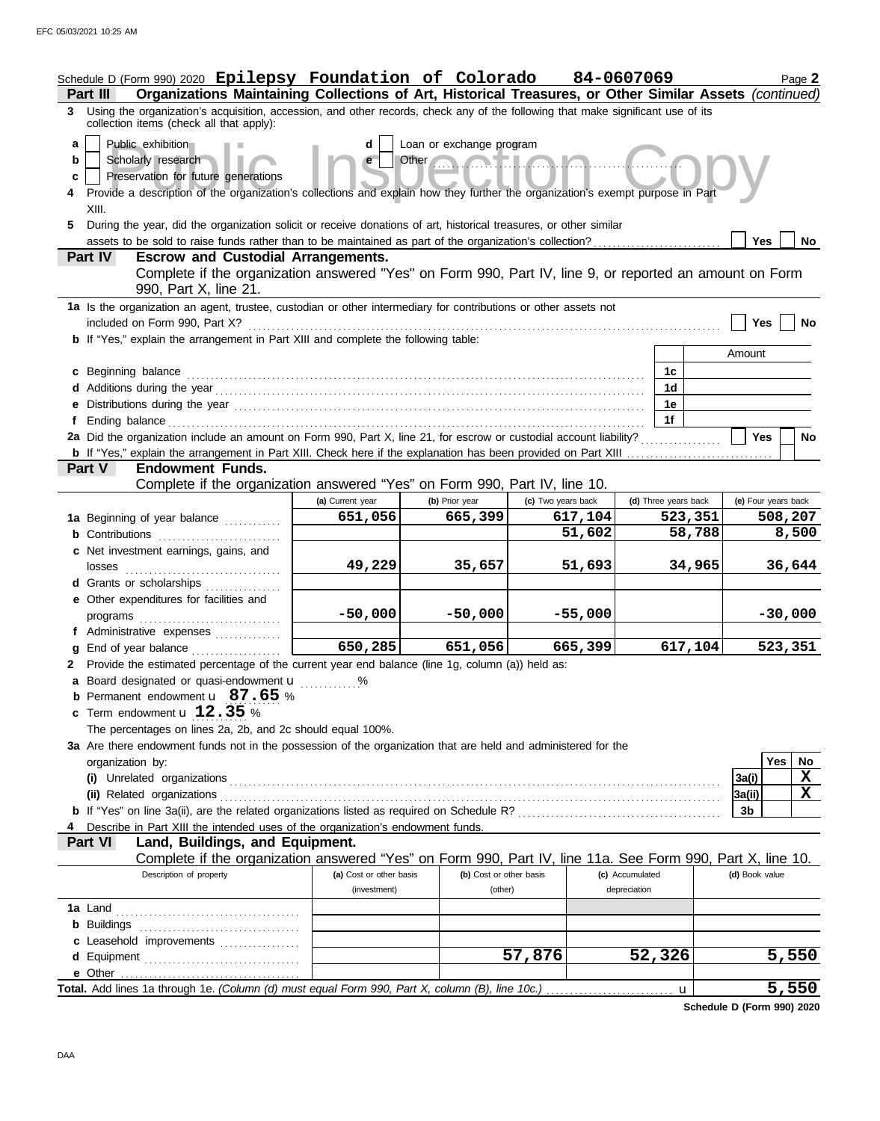|                   | Schedule D (Form 990) 2020 Epilepsy Foundation of Colorado 84-0607069<br>Organizations Maintaining Collections of Art, Historical Treasures, or Other Similar Assets (continued)<br>Part III                                                                                                                                                     |                         |                                                         |                    |                      | Page 2                  |
|-------------------|--------------------------------------------------------------------------------------------------------------------------------------------------------------------------------------------------------------------------------------------------------------------------------------------------------------------------------------------------|-------------------------|---------------------------------------------------------|--------------------|----------------------|-------------------------|
|                   | 3 Using the organization's acquisition, accession, and other records, check any of the following that make significant use of its<br>collection items (check all that apply):                                                                                                                                                                    |                         |                                                         |                    |                      |                         |
| a<br>b<br>С<br>5. | Public exhibition<br>Scholarly research<br>Preservation for future generations<br>4 Provide a description of the organization's collections and explain how they further the organization's exempt purpose in Part<br>XIII.<br>During the year, did the organization solicit or receive donations of art, historical treasures, or other similar | d                       | Loan or exchange program<br>Other <b>Contract Lines</b> |                    |                      | <b>Yes</b><br>No        |
|                   | <b>Escrow and Custodial Arrangements.</b><br><b>Part IV</b>                                                                                                                                                                                                                                                                                      |                         |                                                         |                    |                      |                         |
|                   | Complete if the organization answered "Yes" on Form 990, Part IV, line 9, or reported an amount on Form<br>990, Part X, line 21.                                                                                                                                                                                                                 |                         |                                                         |                    |                      |                         |
|                   | 1a Is the organization an agent, trustee, custodian or other intermediary for contributions or other assets not<br>included on Form 990, Part X?                                                                                                                                                                                                 |                         |                                                         |                    |                      | Yes<br>No               |
|                   | b If "Yes," explain the arrangement in Part XIII and complete the following table:                                                                                                                                                                                                                                                               |                         |                                                         |                    |                      |                         |
|                   |                                                                                                                                                                                                                                                                                                                                                  |                         |                                                         |                    |                      | Amount                  |
|                   | c Beginning balance                                                                                                                                                                                                                                                                                                                              |                         |                                                         |                    | 1c                   |                         |
|                   |                                                                                                                                                                                                                                                                                                                                                  |                         |                                                         |                    | 1d                   |                         |
| f                 |                                                                                                                                                                                                                                                                                                                                                  |                         |                                                         |                    | 1е<br>1f             |                         |
|                   | 2a Did the organization include an amount on Form 990, Part X, line 21, for escrow or custodial account liability?                                                                                                                                                                                                                               |                         |                                                         |                    |                      | <b>Yes</b><br><b>No</b> |
|                   |                                                                                                                                                                                                                                                                                                                                                  |                         |                                                         |                    |                      |                         |
|                   | <b>Endowment Funds.</b><br><b>Part V</b>                                                                                                                                                                                                                                                                                                         |                         |                                                         |                    |                      |                         |
|                   | Complete if the organization answered "Yes" on Form 990, Part IV, line 10.                                                                                                                                                                                                                                                                       |                         |                                                         |                    |                      |                         |
|                   |                                                                                                                                                                                                                                                                                                                                                  | (a) Current year        | (b) Prior year                                          | (c) Two years back | (d) Three years back | (e) Four years back     |
|                   | 1a Beginning of year balance                                                                                                                                                                                                                                                                                                                     | 651,056                 | 665,399                                                 | 617,104            |                      | 523,351<br>508,207      |
|                   | <b>b</b> Contributions                                                                                                                                                                                                                                                                                                                           |                         |                                                         | 51,602             |                      | 58,788<br>8,500         |
|                   | c Net investment earnings, gains, and<br>losses                                                                                                                                                                                                                                                                                                  | 49,229                  | 35,657                                                  | 51,693             |                      | 34,965<br>36,644        |
|                   | d Grants or scholarships [11] [11] Crants or scholarships                                                                                                                                                                                                                                                                                        |                         |                                                         |                    |                      |                         |
|                   | e Other expenditures for facilities and                                                                                                                                                                                                                                                                                                          | $-50,000$               | $-50,000$                                               | $-55,000$          |                      | $-30,000$               |
|                   | programs<br>f Administrative expenses                                                                                                                                                                                                                                                                                                            |                         |                                                         |                    |                      |                         |
| a                 | End of year balance                                                                                                                                                                                                                                                                                                                              | 650,285                 | 651,056                                                 | 665,399            |                      | 617,104<br>523,351      |
|                   | 2 Provide the estimated percentage of the current year end balance (line 1g, column (a)) held as:                                                                                                                                                                                                                                                |                         |                                                         |                    |                      |                         |
|                   | a Board designated or quasi-endowment u                                                                                                                                                                                                                                                                                                          |                         |                                                         |                    |                      |                         |
|                   | <b>b</b> Permanent endowment $\mathbf{u}$ 87.65 %                                                                                                                                                                                                                                                                                                |                         |                                                         |                    |                      |                         |
|                   | c Term endowment $u$ $12.35$ %                                                                                                                                                                                                                                                                                                                   |                         |                                                         |                    |                      |                         |
|                   | The percentages on lines 2a, 2b, and 2c should equal 100%.                                                                                                                                                                                                                                                                                       |                         |                                                         |                    |                      |                         |
|                   | 3a Are there endowment funds not in the possession of the organization that are held and administered for the                                                                                                                                                                                                                                    |                         |                                                         |                    |                      |                         |
|                   | organization by:                                                                                                                                                                                                                                                                                                                                 |                         |                                                         |                    |                      | <b>Yes</b><br>No<br>X   |
|                   |                                                                                                                                                                                                                                                                                                                                                  |                         |                                                         |                    |                      | 3a(i)<br>X<br> 3a(ii)   |
|                   |                                                                                                                                                                                                                                                                                                                                                  |                         |                                                         |                    |                      | 3b                      |
|                   | Describe in Part XIII the intended uses of the organization's endowment funds.                                                                                                                                                                                                                                                                   |                         |                                                         |                    |                      |                         |
|                   | Land, Buildings, and Equipment.<br><b>Part VI</b>                                                                                                                                                                                                                                                                                                |                         |                                                         |                    |                      |                         |
|                   | Complete if the organization answered "Yes" on Form 990, Part IV, line 11a. See Form 990, Part X, line 10.                                                                                                                                                                                                                                       |                         |                                                         |                    |                      |                         |
|                   | Description of property                                                                                                                                                                                                                                                                                                                          | (a) Cost or other basis | (b) Cost or other basis                                 |                    | (c) Accumulated      | (d) Book value          |
|                   |                                                                                                                                                                                                                                                                                                                                                  | (investment)            | (other)                                                 |                    | depreciation         |                         |
|                   |                                                                                                                                                                                                                                                                                                                                                  |                         |                                                         |                    |                      |                         |
|                   | c Leasehold improvements                                                                                                                                                                                                                                                                                                                         |                         |                                                         |                    |                      |                         |
|                   | d Equipment                                                                                                                                                                                                                                                                                                                                      |                         |                                                         | 57,876             | 52,326               | 5,550                   |
|                   |                                                                                                                                                                                                                                                                                                                                                  |                         |                                                         |                    |                      |                         |
|                   |                                                                                                                                                                                                                                                                                                                                                  |                         |                                                         |                    | u                    | 5,550                   |

**Schedule D (Form 990) 2020**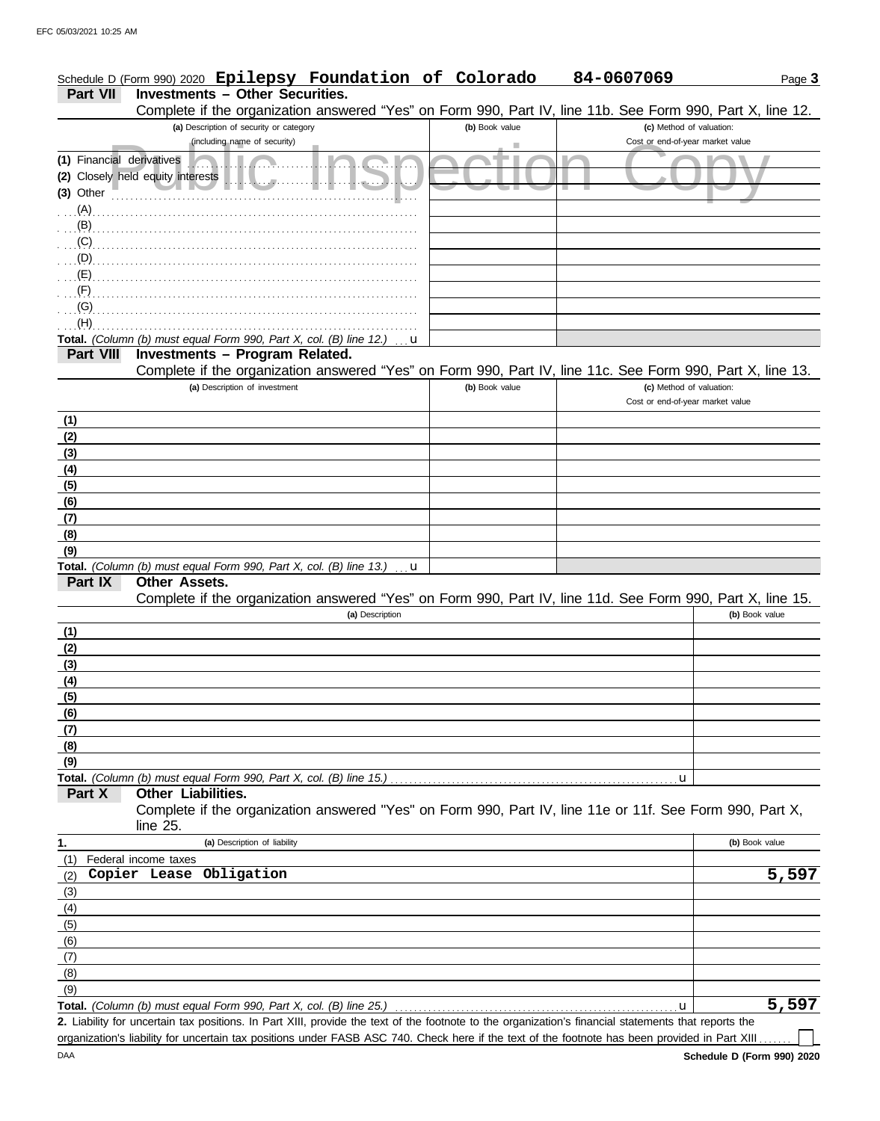|                 | Schedule D (Form 990) 2020 Epilepsy Foundation of Colorado                                                                     |                | 84-0607069                       | Page 3         |
|-----------------|--------------------------------------------------------------------------------------------------------------------------------|----------------|----------------------------------|----------------|
| <b>Part VII</b> | <b>Investments - Other Securities.</b>                                                                                         |                |                                  |                |
|                 | Complete if the organization answered "Yes" on Form 990, Part IV, line 11b. See Form 990, Part X, line 12.                     |                |                                  |                |
|                 | (a) Description of security or category                                                                                        | (b) Book value | (c) Method of valuation:         |                |
|                 | (including name of security)                                                                                                   |                | Cost or end-of-year market value |                |
|                 | (1) Financial derivatives                                                                                                      |                |                                  |                |
|                 | (2) Closely held equity interests                                                                                              |                |                                  |                |
| $(3)$ Other     |                                                                                                                                |                |                                  |                |
| (A)             |                                                                                                                                |                |                                  |                |
| (B)             |                                                                                                                                |                |                                  |                |
| (C)             |                                                                                                                                |                |                                  |                |
| (D)             |                                                                                                                                |                |                                  |                |
| (E)             |                                                                                                                                |                |                                  |                |
|                 |                                                                                                                                |                |                                  |                |
| (G)             |                                                                                                                                |                |                                  |                |
| (H)             |                                                                                                                                |                |                                  |                |
|                 | Total. (Column (b) must equal Form 990, Part X, col. (B) line 12.)<br>u                                                        |                |                                  |                |
| Part VIII       | Investments - Program Related.                                                                                                 |                |                                  |                |
|                 | Complete if the organization answered "Yes" on Form 990, Part IV, line 11c. See Form 990, Part X, line 13.                     |                |                                  |                |
|                 | (a) Description of investment                                                                                                  | (b) Book value | (c) Method of valuation:         |                |
|                 |                                                                                                                                |                | Cost or end-of-year market value |                |
| (1)             |                                                                                                                                |                |                                  |                |
| (2)             |                                                                                                                                |                |                                  |                |
| (3)             |                                                                                                                                |                |                                  |                |
| (4)             |                                                                                                                                |                |                                  |                |
| (5)             |                                                                                                                                |                |                                  |                |
| (6)             |                                                                                                                                |                |                                  |                |
| (7)             |                                                                                                                                |                |                                  |                |
| (8)             |                                                                                                                                |                |                                  |                |
| (9)             |                                                                                                                                |                |                                  |                |
|                 | Total. (Column (b) must equal Form 990, Part X, col. (B) line 13.)<br>u                                                        |                |                                  |                |
| Part IX         | <b>Other Assets.</b>                                                                                                           |                |                                  |                |
|                 | Complete if the organization answered "Yes" on Form 990, Part IV, line 11d. See Form 990, Part X, line 15.                     |                |                                  |                |
|                 | (a) Description                                                                                                                |                |                                  | (b) Book value |
| (1)             |                                                                                                                                |                |                                  |                |
| (2)             |                                                                                                                                |                |                                  |                |
| <u>(3)</u>      |                                                                                                                                |                |                                  |                |
| (4)             |                                                                                                                                |                |                                  |                |
| (5)             |                                                                                                                                |                |                                  |                |
| (6)             |                                                                                                                                |                |                                  |                |
| (7)             |                                                                                                                                |                |                                  |                |
| (8)             |                                                                                                                                |                |                                  |                |
| (9)             |                                                                                                                                |                |                                  |                |
|                 | Total. (Column (b) must equal Form 990, Part X, col. (B) line 15.)                                                             |                | u                                |                |
| Part X          | Other Liabilities.<br>Complete if the organization answered "Yes" on Form 990, Part IV, line 11e or 11f. See Form 990, Part X, |                |                                  |                |
|                 | line 25.                                                                                                                       |                |                                  |                |
| 1.              | (a) Description of liability                                                                                                   |                |                                  | (b) Book value |
| (1)             | Federal income taxes                                                                                                           |                |                                  | E O 5          |

| . . |                          |                                                                    | $\cdot$ $\cdot$ |
|-----|--------------------------|--------------------------------------------------------------------|-----------------|
|     | (1) Federal income taxes |                                                                    |                 |
|     |                          | (2) Copier Lease Obligation                                        | 5,597           |
| (3) |                          |                                                                    |                 |
| (4) |                          |                                                                    |                 |
| (5) |                          |                                                                    |                 |
| (6) |                          |                                                                    |                 |
| (7) |                          |                                                                    |                 |
| (8) |                          |                                                                    |                 |
| (9) |                          |                                                                    |                 |
|     |                          | Total. (Column (b) must equal Form 990, Part X, col. (B) line 25.) | 5,              |

Liability for uncertain tax positions. In Part XIII, provide the text of the footnote to the organization's financial statements that reports the **2. Total.** *(Column (b) must equal Form 990, Part X, col. (B) line 25.)* . . . . . . . . . . . . . . . . . . . . . . . . . . . . . . . . . . . . . . . . . . . . . . . . . . . . . . . . . . . .  $\mathbf{u}_\perp$ 

organization's liability for uncertain tax positions under FASB ASC 740. Check here if the text of the footnote has been provided in Part XIII ....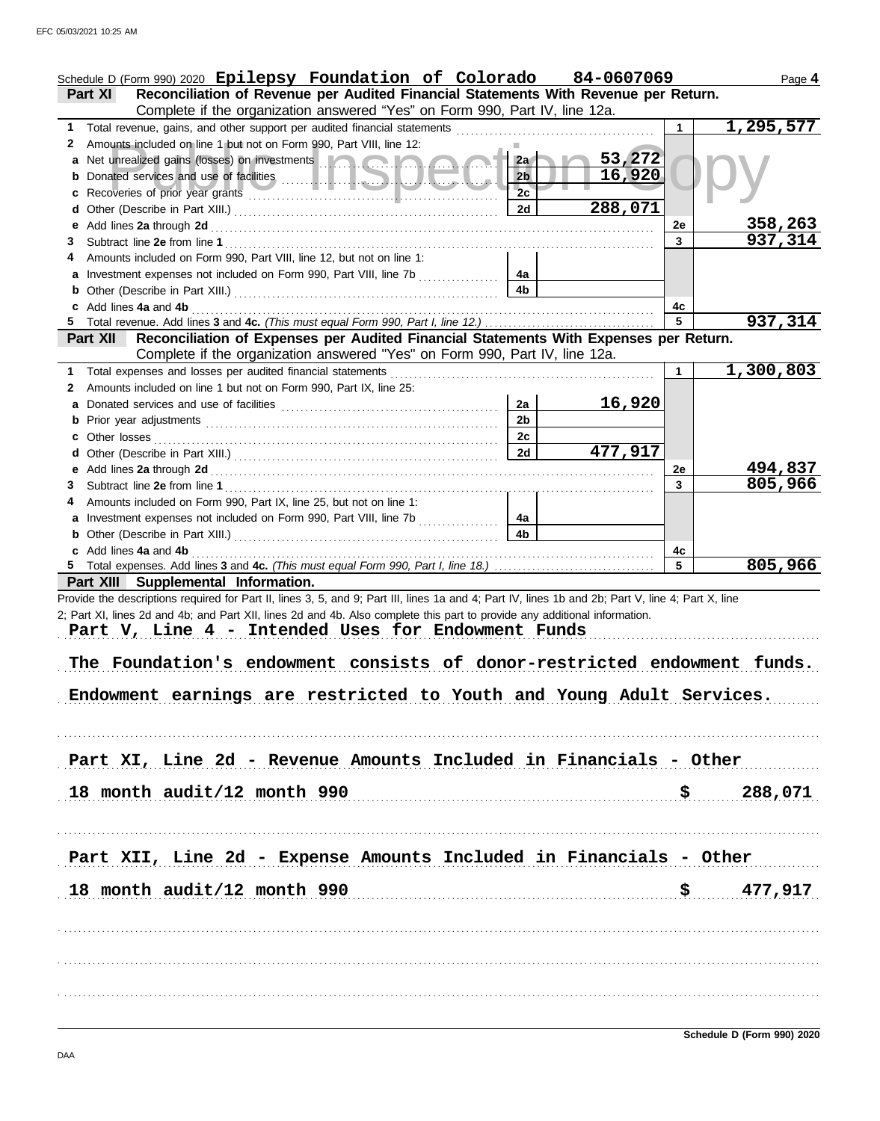|                 | Schedule D (Form 990) 2020 Epilepsy Foundation of Colorado 84-0607069                                                                                                                                                         |                |         |                    | Page 4    |
|-----------------|-------------------------------------------------------------------------------------------------------------------------------------------------------------------------------------------------------------------------------|----------------|---------|--------------------|-----------|
| Part XI         | Reconciliation of Revenue per Audited Financial Statements With Revenue per Return.                                                                                                                                           |                |         |                    |           |
|                 | Complete if the organization answered "Yes" on Form 990, Part IV, line 12a.                                                                                                                                                   |                |         |                    |           |
| 1               |                                                                                                                                                                                                                               |                |         |                    | 1,295,577 |
| 2               | Amounts included on line 1 but not on Form 990, Part VIII, line 12:                                                                                                                                                           |                |         |                    |           |
|                 | a Net unrealized gains (losses) on investments <b>and a strategie of the strategy of the strategy</b>                                                                                                                         | 2a             | 53,272  |                    |           |
|                 |                                                                                                                                                                                                                               | 2 <sub>b</sub> | 16,920  |                    |           |
|                 |                                                                                                                                                                                                                               | 2c             | 288,071 |                    |           |
|                 |                                                                                                                                                                                                                               | 2d             |         |                    | 358,263   |
| 3.              |                                                                                                                                                                                                                               |                |         | 2e<br>$\mathbf{3}$ | 937, 314  |
|                 | Amounts included on Form 990, Part VIII, line 12, but not on line 1:                                                                                                                                                          |                |         |                    |           |
|                 |                                                                                                                                                                                                                               | 4a             |         |                    |           |
|                 | <b>b</b> Other (Describe in Part XIII.) <b>CONSIDENT DESCRIPTION DESCRIPTION DESCRIPTION DESCRIPTION DESCRIPTION DESCRIPTION DESCRIPTION DESCRIPTION DESCRIPTION DESCRIPTION DESCRIPTION DESCRIPTION DESCRI</b>               | 4 <sub>b</sub> |         |                    |           |
|                 | c Add lines 4a and 4b (a) and the contract of the contract of the contract of the contract of the contract of the contract of the contract of the contract of the contract of the contract of the contract of the contract of |                |         | 4с                 |           |
|                 |                                                                                                                                                                                                                               |                |         | 5                  | 937,314   |
| <b>Part XII</b> | Reconciliation of Expenses per Audited Financial Statements With Expenses per Return.                                                                                                                                         |                |         |                    |           |
|                 | Complete if the organization answered "Yes" on Form 990, Part IV, line 12a.                                                                                                                                                   |                |         |                    |           |
| 1               |                                                                                                                                                                                                                               |                |         | 1                  | 1,300,803 |
| 2               | Amounts included on line 1 but not on Form 990, Part IX, line 25:                                                                                                                                                             |                |         |                    |           |
|                 |                                                                                                                                                                                                                               | 2a             | 16,920  |                    |           |
|                 |                                                                                                                                                                                                                               | 2 <sub>b</sub> |         |                    |           |
|                 |                                                                                                                                                                                                                               | 2c             |         |                    |           |
|                 |                                                                                                                                                                                                                               | 2d             | 477,917 |                    |           |
|                 |                                                                                                                                                                                                                               |                |         | 2e                 | 494,837   |
| 3               |                                                                                                                                                                                                                               |                |         | $\mathbf{3}$       | 805,966   |
|                 | Amounts included on Form 990, Part IX, line 25, but not on line 1:                                                                                                                                                            | 4a             |         |                    |           |
|                 | a Investment expenses not included on Form 990, Part VIII, line 7b                                                                                                                                                            | 4 <sub>b</sub> |         |                    |           |
|                 |                                                                                                                                                                                                                               |                |         | 4с                 |           |
|                 | c Add lines 4a and 4b (a) and the contract of the set of the set of the set of the set of the set of the set of the set of the set of the set of the set of the set of the set of the set of the set of the set of the set of |                |         | 5                  | 805,966   |
|                 | Part XIII Supplemental Information.                                                                                                                                                                                           |                |         |                    |           |
|                 | Provide the descriptions required for Part II, lines 3, 5, and 9; Part III, lines 1a and 4; Part IV, lines 1b and 2b; Part V, line 4; Part X, line                                                                            |                |         |                    |           |
|                 | 2; Part XI, lines 2d and 4b; and Part XII, lines 2d and 4b. Also complete this part to provide any additional information.                                                                                                    |                |         |                    |           |
|                 | Part V, Line 4 - Intended Uses for Endowment Funds                                                                                                                                                                            |                |         |                    |           |
|                 |                                                                                                                                                                                                                               |                |         |                    |           |
|                 | The Foundation's endowment consists of donor-restricted endowment funds.                                                                                                                                                      |                |         |                    |           |
|                 |                                                                                                                                                                                                                               |                |         |                    |           |
|                 | Endowment earnings are restricted to Youth and Young Adult Services.                                                                                                                                                          |                |         |                    |           |
|                 |                                                                                                                                                                                                                               |                |         |                    |           |
|                 |                                                                                                                                                                                                                               |                |         |                    |           |
|                 |                                                                                                                                                                                                                               |                |         |                    |           |
|                 | Part XI, Line 2d - Revenue Amounts Included in Financials - Other                                                                                                                                                             |                |         |                    |           |
|                 | 18 month audit/12 month 990                                                                                                                                                                                                   |                |         |                    | \$        |
|                 |                                                                                                                                                                                                                               |                |         |                    | 288,071   |
|                 |                                                                                                                                                                                                                               |                |         |                    |           |
|                 |                                                                                                                                                                                                                               |                |         |                    |           |
|                 | Part XII, Line 2d - Expense Amounts Included in Financials - Other                                                                                                                                                            |                |         |                    |           |
|                 |                                                                                                                                                                                                                               |                |         |                    |           |
|                 | 18 month audit/12 month 990                                                                                                                                                                                                   |                |         |                    | \$477,917 |
|                 |                                                                                                                                                                                                                               |                |         |                    |           |
|                 |                                                                                                                                                                                                                               |                |         |                    |           |
|                 |                                                                                                                                                                                                                               |                |         |                    |           |
|                 |                                                                                                                                                                                                                               |                |         |                    |           |
|                 |                                                                                                                                                                                                                               |                |         |                    |           |
|                 |                                                                                                                                                                                                                               |                |         |                    |           |
|                 |                                                                                                                                                                                                                               |                |         |                    |           |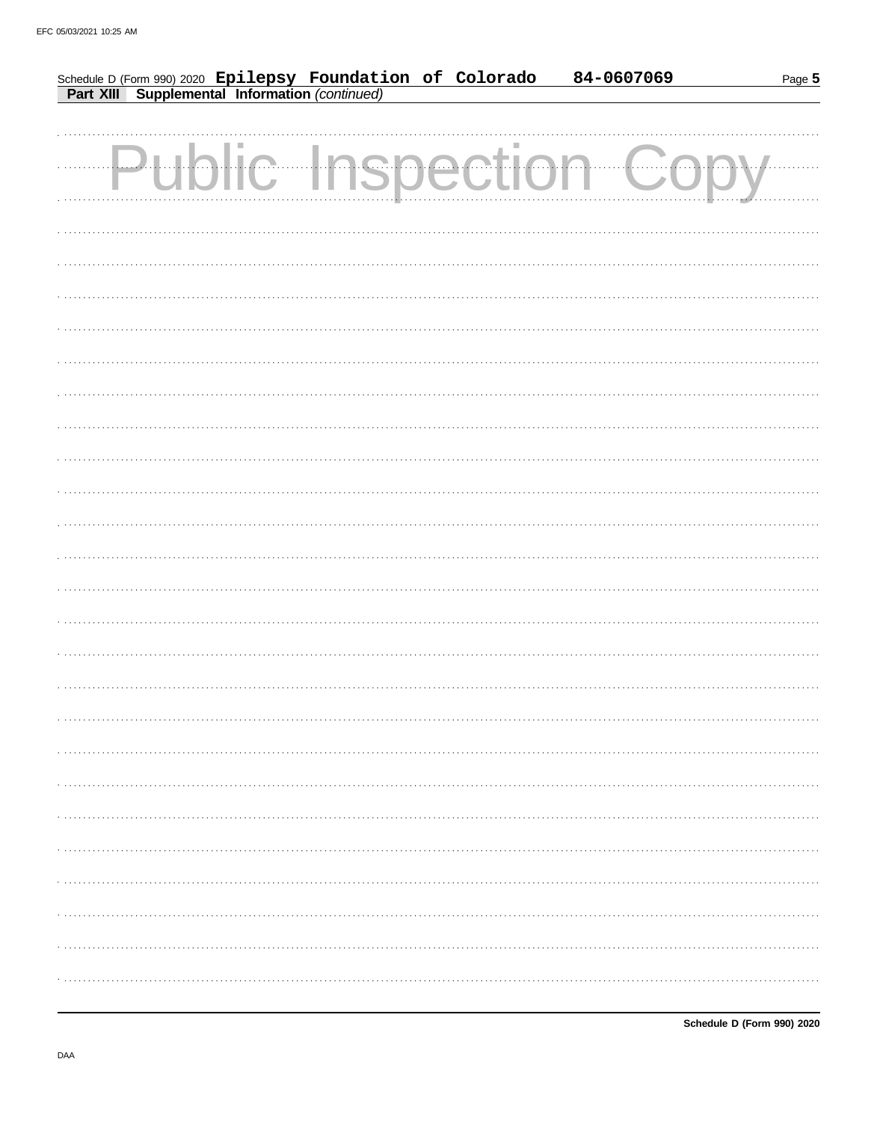| Schedule D (Form 990) 2020 Epilepsy Foundation of Colorado<br>Part XIII Supplemental Information (continued)<br>Public Inspection Co | Page 5 |
|--------------------------------------------------------------------------------------------------------------------------------------|--------|
|                                                                                                                                      |        |
|                                                                                                                                      |        |
|                                                                                                                                      |        |
|                                                                                                                                      |        |
|                                                                                                                                      |        |
|                                                                                                                                      |        |
|                                                                                                                                      |        |
|                                                                                                                                      |        |
|                                                                                                                                      |        |
|                                                                                                                                      |        |
|                                                                                                                                      |        |
|                                                                                                                                      |        |
|                                                                                                                                      |        |
|                                                                                                                                      |        |
|                                                                                                                                      |        |
|                                                                                                                                      |        |
|                                                                                                                                      |        |
|                                                                                                                                      |        |
|                                                                                                                                      |        |
|                                                                                                                                      |        |
|                                                                                                                                      |        |
|                                                                                                                                      |        |
|                                                                                                                                      |        |
|                                                                                                                                      |        |
|                                                                                                                                      |        |
|                                                                                                                                      |        |
|                                                                                                                                      |        |
|                                                                                                                                      |        |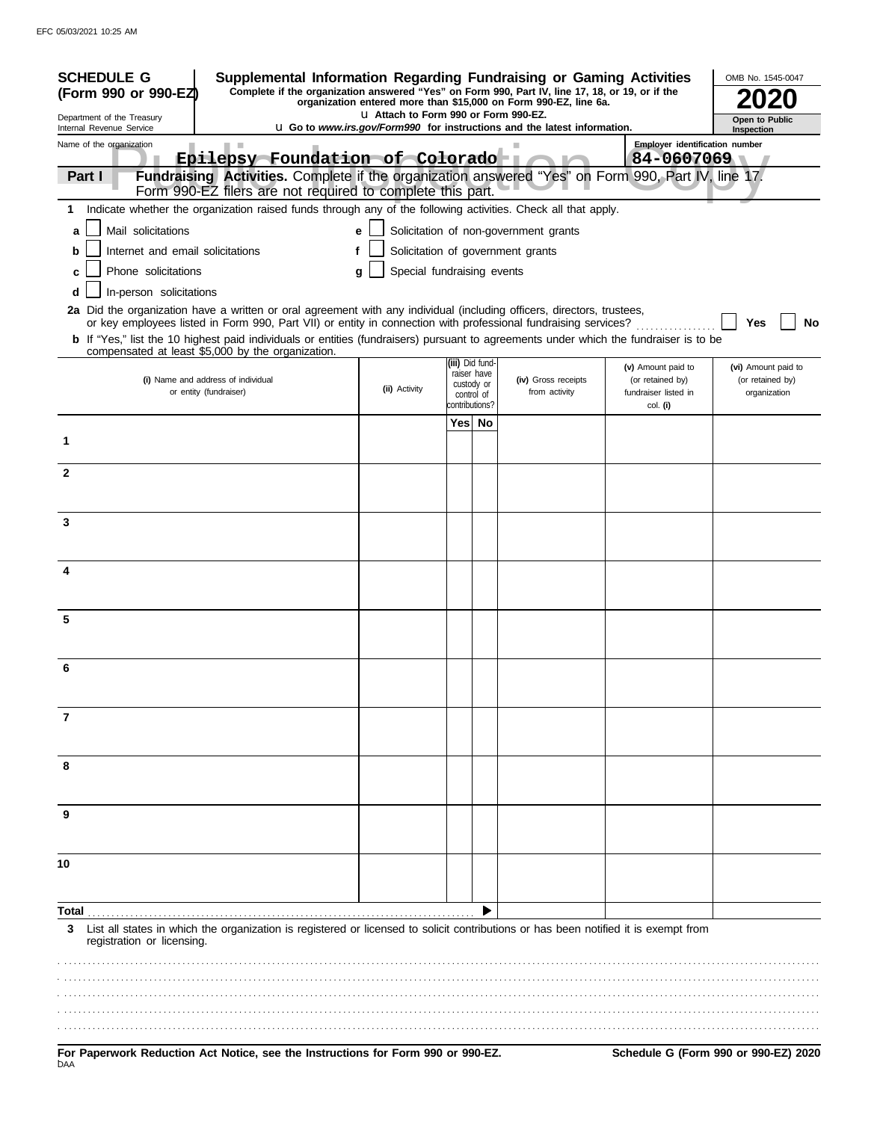| <b>SCHEDULE G</b><br>Supplemental Information Regarding Fundraising or Gaming Activities<br>Complete if the organization answered "Yes" on Form 990, Part IV, line 17, 18, or 19, or if the<br>(Form 990 or 990-EZ)<br>organization entered more than \$15,000 on Form 990-EZ, line 6a.                                                                                           |                                       |                                                                              |  |                                                                                 |                                                                            | OMB No. 1545-0047                                       |  |
|-----------------------------------------------------------------------------------------------------------------------------------------------------------------------------------------------------------------------------------------------------------------------------------------------------------------------------------------------------------------------------------|---------------------------------------|------------------------------------------------------------------------------|--|---------------------------------------------------------------------------------|----------------------------------------------------------------------------|---------------------------------------------------------|--|
| Department of the Treasury<br>Internal Revenue Service                                                                                                                                                                                                                                                                                                                            | L1 Attach to Form 990 or Form 990-EZ. |                                                                              |  | <b>u</b> Go to www.irs.gov/Form990 for instructions and the latest information. |                                                                            | Open to Public<br>Inspection                            |  |
| Name of the organization<br>Epilepsy Foundation of Colorado<br>Fundraising Activities. Complete if the organization answered "Yes" on Form 990, Part IV, line 17.<br>Part I                                                                                                                                                                                                       |                                       |                                                                              |  |                                                                                 | Employer identification number<br>84-0607069                               |                                                         |  |
| Form 990-EZ filers are not required to complete this part.                                                                                                                                                                                                                                                                                                                        |                                       |                                                                              |  |                                                                                 |                                                                            |                                                         |  |
| Indicate whether the organization raised funds through any of the following activities. Check all that apply.<br>1.                                                                                                                                                                                                                                                               |                                       |                                                                              |  |                                                                                 |                                                                            |                                                         |  |
| Mail solicitations<br>a                                                                                                                                                                                                                                                                                                                                                           |                                       |                                                                              |  | Solicitation of non-government grants                                           |                                                                            |                                                         |  |
| Internet and email solicitations<br>b                                                                                                                                                                                                                                                                                                                                             |                                       |                                                                              |  | Solicitation of government grants                                               |                                                                            |                                                         |  |
| Phone solicitations<br>c                                                                                                                                                                                                                                                                                                                                                          | Special fundraising events<br>q       |                                                                              |  |                                                                                 |                                                                            |                                                         |  |
| In-person solicitations<br>d                                                                                                                                                                                                                                                                                                                                                      |                                       |                                                                              |  |                                                                                 |                                                                            |                                                         |  |
| 2a Did the organization have a written or oral agreement with any individual (including officers, directors, trustees,<br>or key employees listed in Form 990, Part VII) or entity in connection with professional fundraising services?<br>b If "Yes," list the 10 highest paid individuals or entities (fundraisers) pursuant to agreements under which the fundraiser is to be |                                       |                                                                              |  |                                                                                 |                                                                            | Yes<br><b>No</b>                                        |  |
| compensated at least \$5,000 by the organization.                                                                                                                                                                                                                                                                                                                                 |                                       |                                                                              |  |                                                                                 |                                                                            |                                                         |  |
| (i) Name and address of individual<br>or entity (fundraiser)                                                                                                                                                                                                                                                                                                                      | (ii) Activity                         | (iii) Did fund-<br>raiser have<br>custody or<br>control of<br>contributions? |  | (iv) Gross receipts<br>from activity                                            | (v) Amount paid to<br>(or retained by)<br>fundraiser listed in<br>col. (i) | (vi) Amount paid to<br>(or retained by)<br>organization |  |
|                                                                                                                                                                                                                                                                                                                                                                                   |                                       | Yes No                                                                       |  |                                                                                 |                                                                            |                                                         |  |
| 1                                                                                                                                                                                                                                                                                                                                                                                 |                                       |                                                                              |  |                                                                                 |                                                                            |                                                         |  |
| $\mathbf{2}$                                                                                                                                                                                                                                                                                                                                                                      |                                       |                                                                              |  |                                                                                 |                                                                            |                                                         |  |
| 3                                                                                                                                                                                                                                                                                                                                                                                 |                                       |                                                                              |  |                                                                                 |                                                                            |                                                         |  |
|                                                                                                                                                                                                                                                                                                                                                                                   |                                       |                                                                              |  |                                                                                 |                                                                            |                                                         |  |
| 4                                                                                                                                                                                                                                                                                                                                                                                 |                                       |                                                                              |  |                                                                                 |                                                                            |                                                         |  |
| 5                                                                                                                                                                                                                                                                                                                                                                                 |                                       |                                                                              |  |                                                                                 |                                                                            |                                                         |  |
| 6                                                                                                                                                                                                                                                                                                                                                                                 |                                       |                                                                              |  |                                                                                 |                                                                            |                                                         |  |
| 7                                                                                                                                                                                                                                                                                                                                                                                 |                                       |                                                                              |  |                                                                                 |                                                                            |                                                         |  |
|                                                                                                                                                                                                                                                                                                                                                                                   |                                       |                                                                              |  |                                                                                 |                                                                            |                                                         |  |
| 9                                                                                                                                                                                                                                                                                                                                                                                 |                                       |                                                                              |  |                                                                                 |                                                                            |                                                         |  |
|                                                                                                                                                                                                                                                                                                                                                                                   |                                       |                                                                              |  |                                                                                 |                                                                            |                                                         |  |
| 10                                                                                                                                                                                                                                                                                                                                                                                |                                       |                                                                              |  |                                                                                 |                                                                            |                                                         |  |
| Total                                                                                                                                                                                                                                                                                                                                                                             |                                       |                                                                              |  |                                                                                 |                                                                            |                                                         |  |
| List all states in which the organization is registered or licensed to solicit contributions or has been notified it is exempt from<br>registration or licensing.                                                                                                                                                                                                                 |                                       |                                                                              |  |                                                                                 |                                                                            |                                                         |  |
|                                                                                                                                                                                                                                                                                                                                                                                   |                                       |                                                                              |  |                                                                                 |                                                                            |                                                         |  |
|                                                                                                                                                                                                                                                                                                                                                                                   |                                       |                                                                              |  |                                                                                 |                                                                            |                                                         |  |
|                                                                                                                                                                                                                                                                                                                                                                                   |                                       |                                                                              |  |                                                                                 |                                                                            |                                                         |  |
| convert Peduction Act Notice, see the Instructions for Ferm 000 or 000 F7                                                                                                                                                                                                                                                                                                         |                                       |                                                                              |  |                                                                                 | Cohodulo C (Form 000 or 000 $E7$ )                                         |                                                         |  |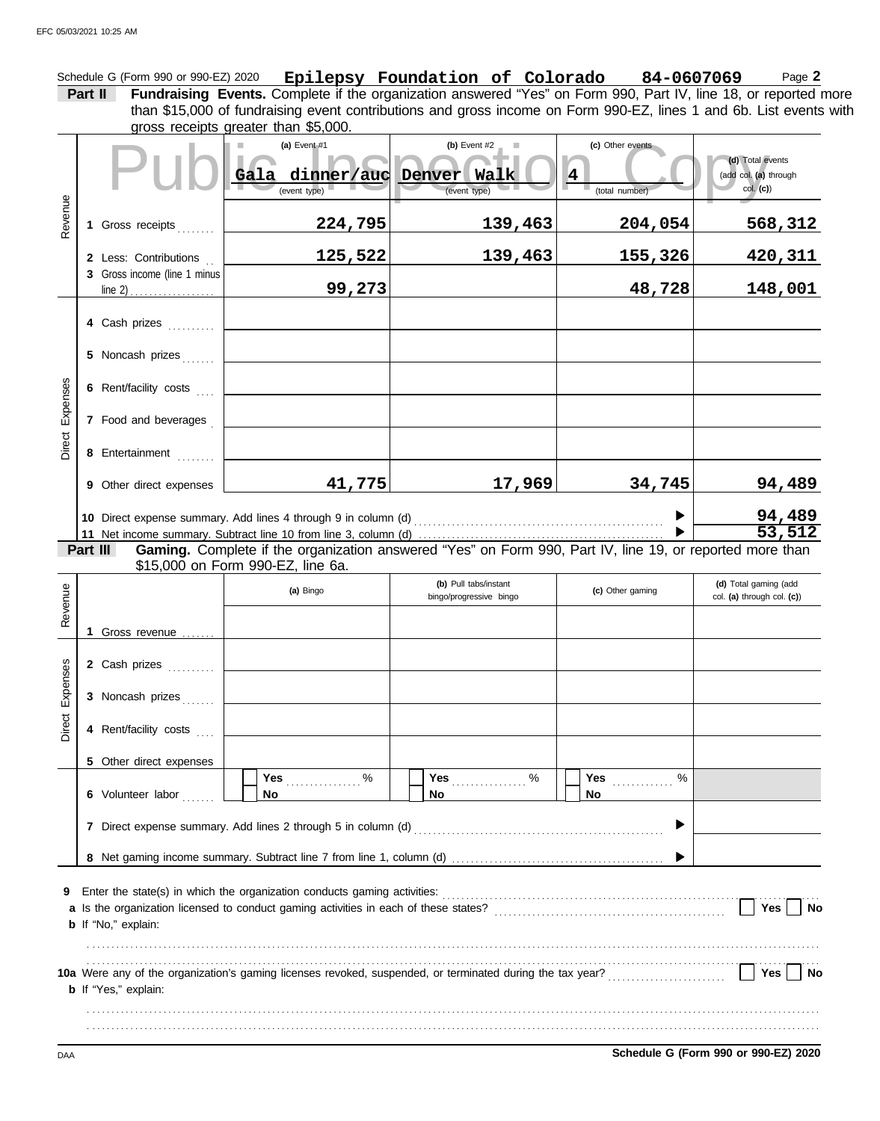Schedule G (Form 990 or 990-EZ) 2020 Epilepsy Foundation of Colorado 84-0607069 Page 2 **Part II Fundraising Events.** Complete if the organization answered "Yes" on Form 990, Part IV, line 18, or reported more than \$15,000 of fundraising event contributions and gross income on Form 990-EZ, lines 1 and 6b. List events with gross receipts greater than \$5,000.  $\overline{\phantom{a}}$ **(a)** Event #1 **(b)** Event #2 **(c)** Other events

| Revenue  |                                  |                              | (a) Event #1<br>dinner/auc<br>Gala<br>(event type)                                                       | (b) Event $#2$<br>Denver<br>Walk<br>(event type) | (c) Other events<br>4<br>(total number) | (d) Total events<br>(add col. (a) through<br>col. (c) |  |
|----------|----------------------------------|------------------------------|----------------------------------------------------------------------------------------------------------|--------------------------------------------------|-----------------------------------------|-------------------------------------------------------|--|
|          |                                  | 1 Gross receipts             | 224,795                                                                                                  | 139,463                                          | 204,054                                 | 568,312                                               |  |
|          |                                  | 2 Less: Contributions        | 125,522                                                                                                  | 139,463                                          | 155,326                                 | 420,311                                               |  |
|          |                                  | 3 Gross income (line 1 minus | 99,273                                                                                                   |                                                  | 48,728                                  | 148,001                                               |  |
|          |                                  | 4 Cash prizes                |                                                                                                          |                                                  |                                         |                                                       |  |
|          |                                  | 5 Noncash prizes             |                                                                                                          |                                                  |                                         |                                                       |  |
|          |                                  | 6 Rent/facility costs        |                                                                                                          |                                                  |                                         |                                                       |  |
| Expenses |                                  | 7 Food and beverages         |                                                                                                          |                                                  |                                         |                                                       |  |
| Direct   |                                  | 8 Entertainment              |                                                                                                          |                                                  |                                         |                                                       |  |
|          |                                  | 9 Other direct expenses      | 41,775                                                                                                   | 17,969                                           | 34,745                                  | 94,489                                                |  |
|          |                                  |                              | 10 Direct expense summary. Add lines 4 through 9 in column (d)                                           |                                                  |                                         | 94,489<br>53,512                                      |  |
|          |                                  | Part III                     | Gaming. Complete if the organization answered "Yes" on Form 990, Part IV, line 19, or reported more than |                                                  |                                         |                                                       |  |
|          |                                  |                              | \$15,000 on Form 990-EZ, line 6a.                                                                        | (b) Pull tabs/instant                            |                                         | (d) Total gaming (add                                 |  |
| Revenue  |                                  |                              | (a) Bingo                                                                                                | bingo/progressive bingo                          | (c) Other gaming                        | col. (a) through col. (c))                            |  |
|          |                                  | 1 Gross revenue              |                                                                                                          |                                                  |                                         |                                                       |  |
|          |                                  | 2 Cash prizes                |                                                                                                          |                                                  |                                         |                                                       |  |
| Expenses |                                  | 3 Noncash prizes             |                                                                                                          |                                                  |                                         |                                                       |  |
| Direct   |                                  | 4 Rent/facility costs        |                                                                                                          |                                                  |                                         |                                                       |  |
|          |                                  | 5 Other direct expenses      |                                                                                                          |                                                  |                                         |                                                       |  |
|          |                                  | 6 Volunteer labor            | Yes 2000<br>No                                                                                           | Yes $%$<br>No                                    | %<br>Yes<br>No                          |                                                       |  |
|          |                                  |                              | 7 Direct expense summary. Add lines 2 through 5 in column (d)                                            |                                                  |                                         |                                                       |  |
|          |                                  |                              |                                                                                                          |                                                  |                                         |                                                       |  |
| 9        | Yes<br>No<br>b If "No," explain: |                              |                                                                                                          |                                                  |                                         |                                                       |  |
|          |                                  | <b>b</b> If "Yes," explain:  |                                                                                                          |                                                  |                                         | Yes<br>No                                             |  |
|          |                                  |                              |                                                                                                          |                                                  |                                         |                                                       |  |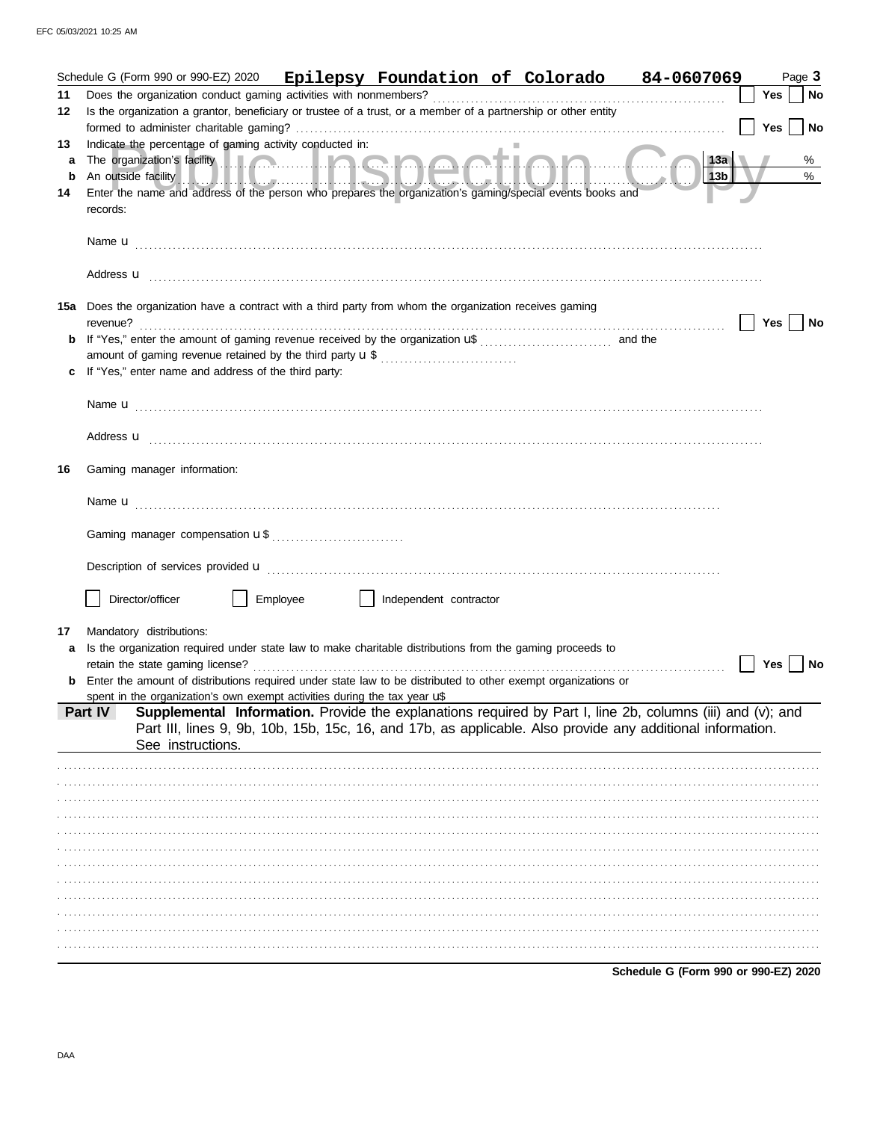|         | Schedule G (Form 990 or 990-EZ) 2020 Epilepsy Foundation of Colorado 84-0607069                                                                                                                                                                                                                                                           |                 |            | Page 3 |
|---------|-------------------------------------------------------------------------------------------------------------------------------------------------------------------------------------------------------------------------------------------------------------------------------------------------------------------------------------------|-----------------|------------|--------|
| 11      | Does the organization conduct gaming activities with nonmembers?                                                                                                                                                                                                                                                                          |                 | <b>Yes</b> | No     |
| 12      | Is the organization a grantor, beneficiary or trustee of a trust, or a member of a partnership or other entity                                                                                                                                                                                                                            |                 |            |        |
|         |                                                                                                                                                                                                                                                                                                                                           |                 | Yes        | No     |
| 13      | Indicate the percentage of gaming activity conducted in:                                                                                                                                                                                                                                                                                  |                 |            |        |
| a       | The organization's facility <b>with the contract of the organization's facility</b>                                                                                                                                                                                                                                                       | 13a             |            | %      |
| b<br>14 | An outside facility of the state of the state of the state of the state of the state of the state of the state of the state of the state of the state of the state of the state of the state of the state of the state of the<br>Enter the name and address of the person who prepares the organization's gaming/special events books and | 13 <sub>b</sub> |            | %      |
|         | records:                                                                                                                                                                                                                                                                                                                                  |                 |            |        |
|         |                                                                                                                                                                                                                                                                                                                                           |                 |            |        |
|         |                                                                                                                                                                                                                                                                                                                                           |                 |            |        |
|         |                                                                                                                                                                                                                                                                                                                                           |                 |            |        |
|         |                                                                                                                                                                                                                                                                                                                                           |                 |            |        |
|         |                                                                                                                                                                                                                                                                                                                                           |                 |            |        |
|         | 15a Does the organization have a contract with a third party from whom the organization receives gaming                                                                                                                                                                                                                                   |                 |            |        |
|         | revenue?                                                                                                                                                                                                                                                                                                                                  |                 | Yes        | No     |
|         |                                                                                                                                                                                                                                                                                                                                           |                 |            |        |
|         | amount of gaming revenue retained by the third party <b>u</b> \$<br>If "Yes," enter name and address of the third party:                                                                                                                                                                                                                  |                 |            |        |
|         |                                                                                                                                                                                                                                                                                                                                           |                 |            |        |
|         |                                                                                                                                                                                                                                                                                                                                           |                 |            |        |
|         |                                                                                                                                                                                                                                                                                                                                           |                 |            |        |
|         | Address <b>u</b>                                                                                                                                                                                                                                                                                                                          |                 |            |        |
|         |                                                                                                                                                                                                                                                                                                                                           |                 |            |        |
| 16      | Gaming manager information:                                                                                                                                                                                                                                                                                                               |                 |            |        |
|         |                                                                                                                                                                                                                                                                                                                                           |                 |            |        |
|         |                                                                                                                                                                                                                                                                                                                                           |                 |            |        |
|         |                                                                                                                                                                                                                                                                                                                                           |                 |            |        |
|         |                                                                                                                                                                                                                                                                                                                                           |                 |            |        |
|         |                                                                                                                                                                                                                                                                                                                                           |                 |            |        |
|         |                                                                                                                                                                                                                                                                                                                                           |                 |            |        |
|         | Director/officer<br>Employee<br>Independent contractor                                                                                                                                                                                                                                                                                    |                 |            |        |
|         |                                                                                                                                                                                                                                                                                                                                           |                 |            |        |
| 17      | Mandatory distributions:                                                                                                                                                                                                                                                                                                                  |                 |            |        |
|         | Is the organization required under state law to make charitable distributions from the gaming proceeds to                                                                                                                                                                                                                                 |                 |            |        |
|         | retain the state gaming license?                                                                                                                                                                                                                                                                                                          |                 | Yes        | No     |
|         | Enter the amount of distributions required under state law to be distributed to other exempt organizations or<br>spent in the organization's own exempt activities during the tax year $\mathbf{u}^*$                                                                                                                                     |                 |            |        |
|         | Supplemental Information. Provide the explanations required by Part I, line 2b, columns (iii) and (v); and<br>Part IV                                                                                                                                                                                                                     |                 |            |        |
|         | Part III, lines 9, 9b, 10b, 15b, 15c, 16, and 17b, as applicable. Also provide any additional information.                                                                                                                                                                                                                                |                 |            |        |
|         | See instructions.                                                                                                                                                                                                                                                                                                                         |                 |            |        |
|         |                                                                                                                                                                                                                                                                                                                                           |                 |            |        |
|         |                                                                                                                                                                                                                                                                                                                                           |                 |            |        |
|         |                                                                                                                                                                                                                                                                                                                                           |                 |            |        |
|         |                                                                                                                                                                                                                                                                                                                                           |                 |            |        |
|         |                                                                                                                                                                                                                                                                                                                                           |                 |            |        |
|         |                                                                                                                                                                                                                                                                                                                                           |                 |            |        |
|         |                                                                                                                                                                                                                                                                                                                                           |                 |            |        |
|         |                                                                                                                                                                                                                                                                                                                                           |                 |            |        |
|         |                                                                                                                                                                                                                                                                                                                                           |                 |            |        |
|         |                                                                                                                                                                                                                                                                                                                                           |                 |            |        |
|         |                                                                                                                                                                                                                                                                                                                                           |                 |            |        |
|         |                                                                                                                                                                                                                                                                                                                                           |                 |            |        |
|         | Schedule G (Form 990 or 990-EZ) 2020                                                                                                                                                                                                                                                                                                      |                 |            |        |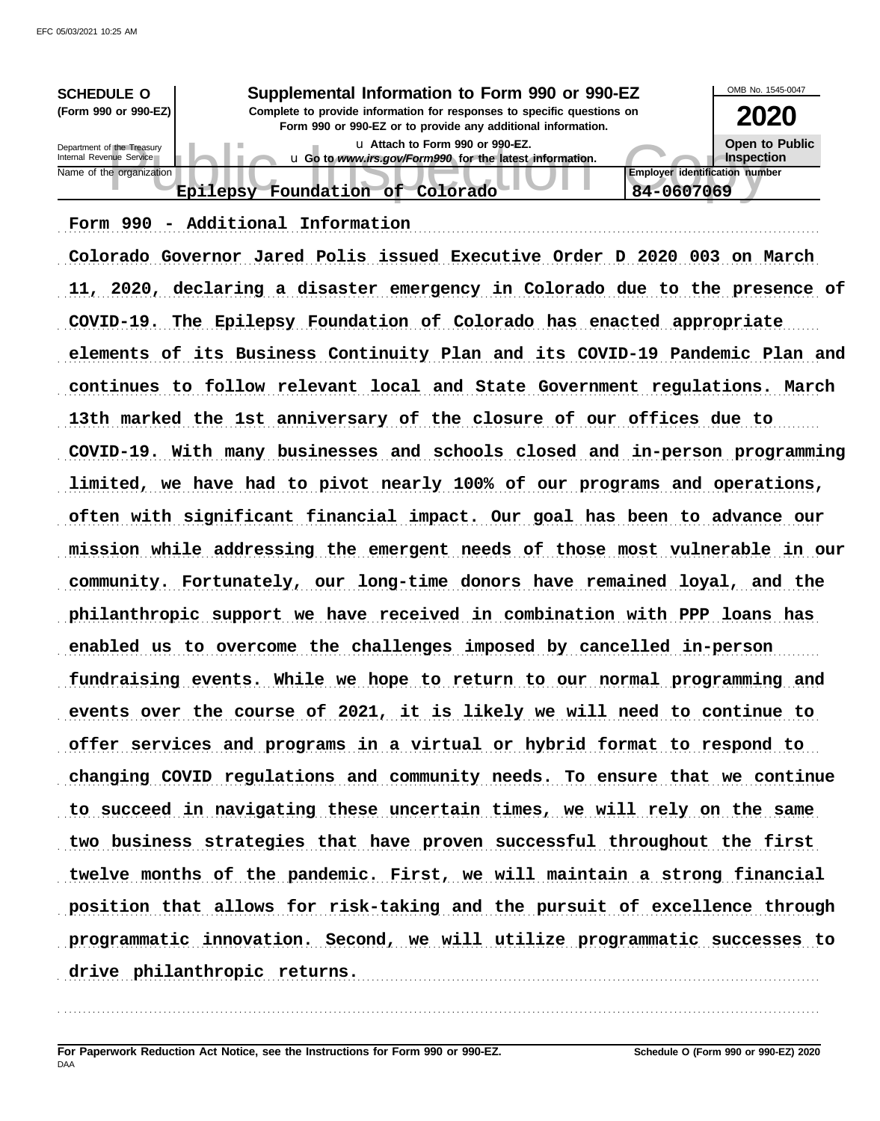| <b>SCHEDULE O</b>                                      | OMB No. 1545-0047                                                                                                                                                                        |                                                     |
|--------------------------------------------------------|------------------------------------------------------------------------------------------------------------------------------------------------------------------------------------------|-----------------------------------------------------|
| (Form 990 or 990-EZ)                                   | Supplemental Information to Form 990 or 990-EZ<br>Complete to provide information for responses to specific questions on<br>Form 990 or 990-EZ or to provide any additional information. | 2020                                                |
| Department of the Treasury<br>Internal Revenue Service | La Attach to Form 990 or 990-EZ.<br>u Go to www.irs.gov/Form990 for the latest information.                                                                                              | Open to Public<br><b>Inspection</b>                 |
| Name of the organization                               | Foundation of Colorado<br><b>Epilepsy</b>                                                                                                                                                | <b>Employer identification number</b><br>84-0607069 |
|                                                        |                                                                                                                                                                                          |                                                     |

# Form 990 - Additional Information

Colorado Governor Jared Polis issued Executive Order D 2020 003 on March 11, 2020, declaring a disaster emergency in Colorado due to the presence of COVID-19. The Epilepsy Foundation of Colorado has enacted appropriate elements of its Business Continuity Plan and its COVID-19 Pandemic Plan and continues to follow relevant local and State Government regulations. March 13th marked the 1st anniversary of the closure of our offices due to COVID-19. With many businesses and schools closed and in-person programming limited, we have had to pivot nearly 100% of our programs and operations, often with significant financial impact. Our goal has been to advance our mission while addressing the emergent needs of those most vulnerable in our community. Fortunately, our long-time donors have remained loyal, and the philanthropic support we have received in combination with PPP loans has enabled us to overcome the challenges imposed by cancelled in-person fundraising events. While we hope to return to our normal programming and events over the course of 2021, it is likely we will need to continue to offer services and programs in a virtual or hybrid format to respond to changing COVID regulations and community needs. To ensure that we continue to succeed in navigating these uncertain times, we will rely on the same two business strategies that have proven successful throughout the first twelve months of the pandemic. First, we will maintain a strong financial position that allows for risk-taking and the pursuit of excellence through programmatic innovation. Second, we will utilize programmatic successes to drive philanthropic returns.

. . . . . . . . . . . . . . . . . . . . . . . . . . . . . . . . . . . . . . . . . . . . . . . . . . . . . . . . . . . . . . . . . . . . . . . . . . . . . . . . . . . . . . . . . . . . . . . . . . . . . . . . . . . . . . . . . . . . . . . . . . . . . . . . . . . . . . . . . . . . . . . . . . . . . . . . . . . . . . . . .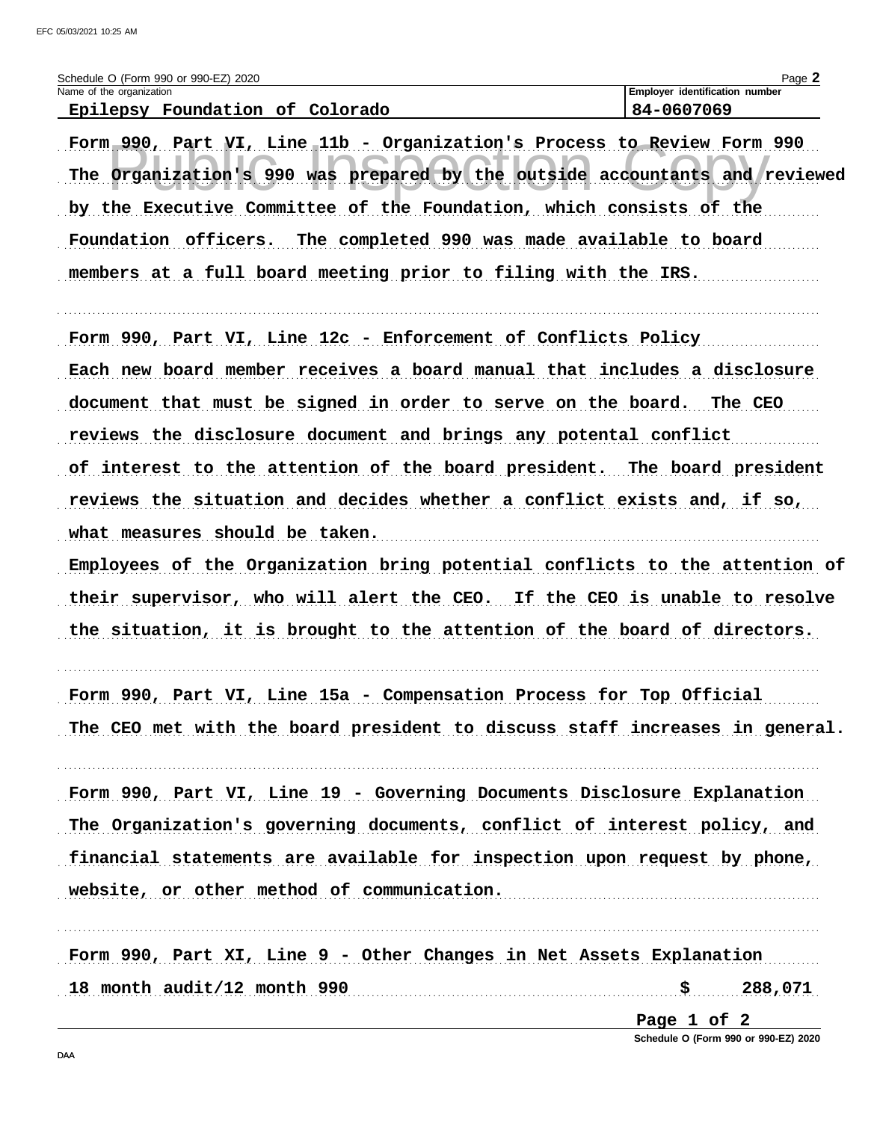| Schedule O (Form 990 or 990-EZ) 2020                                                                                                                                                                                          | Page 2<br>Employer identification number |
|-------------------------------------------------------------------------------------------------------------------------------------------------------------------------------------------------------------------------------|------------------------------------------|
| Name of the organization<br>Epilepsy Foundation of Colorado                                                                                                                                                                   | 84-0607069                               |
| Form 990, Part VI, Line 11b - Organization's Process to Review Form 990<br>The Organization's 990 was prepared by the outside accountants and reviewed<br>by the Executive Committee of the Foundation, which consists of the |                                          |
| Foundation officers. The completed 990 was made available to board<br>members at a full board meeting prior to filing with the IRS.                                                                                           |                                          |
| Form 990, Part VI, Line 12c - Enforcement of Conflicts Policy<br>Each new board member receives a board manual that includes a disclosure                                                                                     |                                          |

document that must be signed in order to serve on the board. The CEO reviews the disclosure document and brings any potental conflict of interest to the attention of the board president. The board president reviews the situation and decides whether a conflict exists and, if so, what measures should be taken. Employees of the Organization bring potential conflicts to the attention of their supervisor, who will alert the CEO. If the CEO is unable to resolve the situation, it is brought to the attention of the board of directors.

Form 990, Part VI, Line 15a - Compensation Process for Top Official

The CEO met with the board president to discuss staff increases in general.

Form 990, Part VI, Line 19 - Governing Documents Disclosure Explanation The Organization's governing documents, conflict of interest policy, and financial statements are available for inspection upon request by phone, website, or other method of communication.

Form 990, Part XI, Line 9 - Other Changes in Net Assets Explanation  $18 \text{ month}$  audit/12 month 990

Page 1 of 2